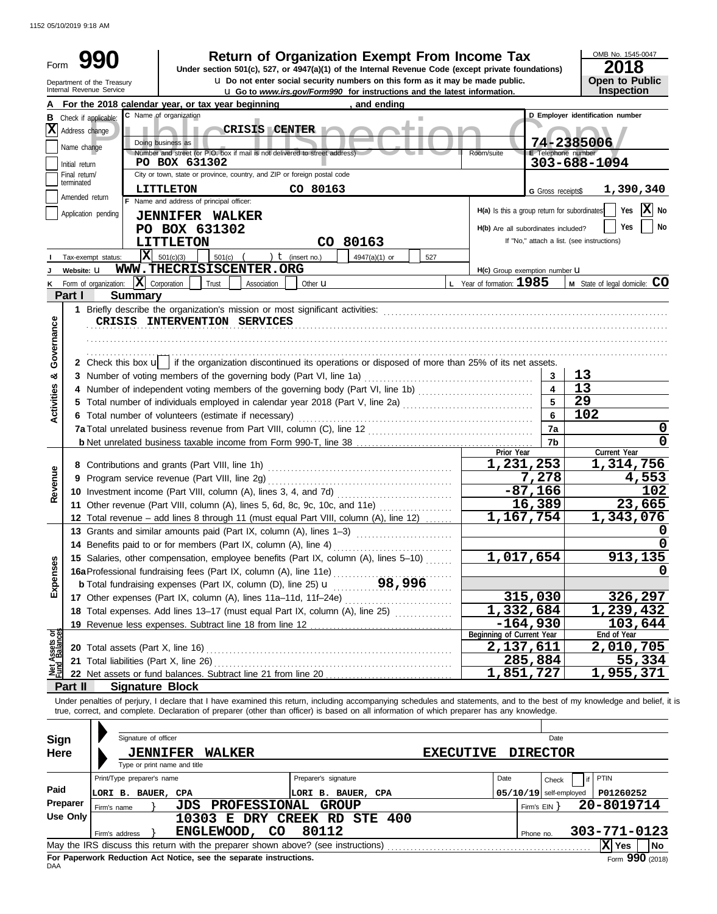1152 05/10/2019 9:18 AM

| Form              |                             | Return of Organization Exempt From Income Tax<br>Under section 501(c), 527, or 4947(a)(1) of the Internal Revenue Code (except private foundations)                                                                                                                                                                      |                  |                                              |                          | OMB No. 1545-0047<br>2018                  |
|-------------------|-----------------------------|--------------------------------------------------------------------------------------------------------------------------------------------------------------------------------------------------------------------------------------------------------------------------------------------------------------------------|------------------|----------------------------------------------|--------------------------|--------------------------------------------|
|                   |                             | u Do not enter social security numbers on this form as it may be made public.<br>Department of the Treasury                                                                                                                                                                                                              |                  |                                              |                          | <b>Open to Public</b>                      |
|                   |                             | Internal Revenue Service<br><b>u</b> Go to www.irs.gov/Form990 for instructions and the latest information.                                                                                                                                                                                                              |                  |                                              |                          | Inspection                                 |
|                   |                             | For the 2018 calendar year, or tax year beginning<br>, and ending                                                                                                                                                                                                                                                        |                  |                                              |                          |                                            |
|                   |                             | C Name of organization<br><b>B</b> Check if applicable:                                                                                                                                                                                                                                                                  |                  |                                              |                          | D Employer identification number           |
| IXI               | Address change              | <b>CRISIS CENTER</b><br>Doing business as                                                                                                                                                                                                                                                                                |                  |                                              |                          |                                            |
|                   | Name change                 | Number and street (or P.O. box if mail is not delivered to street address)                                                                                                                                                                                                                                               |                  | Room/suite                                   | E Telephone number       | 74-2385006                                 |
|                   | Initial return              | PO BOX 631302                                                                                                                                                                                                                                                                                                            |                  |                                              |                          | 303-688-1094                               |
|                   | Final return/<br>terminated | City or town, state or province, country, and ZIP or foreign postal code                                                                                                                                                                                                                                                 |                  |                                              |                          |                                            |
|                   | Amended return              | <b>LITTLETON</b><br>CO 80163<br>F Name and address of principal officer:                                                                                                                                                                                                                                                 |                  |                                              | G Gross receipts\$       | 1,390,340                                  |
|                   |                             | Application pending                                                                                                                                                                                                                                                                                                      |                  | H(a) Is this a group return for subordinates |                          | $ \mathbf{X} $ No<br>Yes                   |
|                   |                             | <b>JENNIFER WALKER</b><br>PO BOX 631302                                                                                                                                                                                                                                                                                  |                  | H(b) Are all subordinates included?          |                          | Yes<br>No                                  |
|                   |                             | CO 80163<br><b>LITTLETON</b>                                                                                                                                                                                                                                                                                             |                  |                                              |                          | If "No," attach a list. (see instructions) |
|                   |                             | $\overline{\mathbf{X}}$ 501(c)(3)<br>) $t$ (insert no.)<br>501(c)<br>4947(a)(1) or<br>Tax-exempt status:<br>527                                                                                                                                                                                                          |                  |                                              |                          |                                            |
|                   | Website: U                  | WWW.THECRISISCENTER.ORG                                                                                                                                                                                                                                                                                                  |                  | H(c) Group exemption number <b>U</b>         |                          |                                            |
|                   |                             | $ \mathbf{X} $ Corporation<br>Form of organization:<br>Trust<br>Association<br>Other <b>u</b>                                                                                                                                                                                                                            |                  | $L$ Year of formation: $1985$                |                          | M State of legal domicile: CO              |
|                   | Part I                      | <b>Summary</b>                                                                                                                                                                                                                                                                                                           |                  |                                              |                          |                                            |
|                   |                             |                                                                                                                                                                                                                                                                                                                          |                  |                                              |                          |                                            |
|                   |                             | CRISIS INTERVENTION SERVICES                                                                                                                                                                                                                                                                                             |                  |                                              |                          |                                            |
| Governance        |                             |                                                                                                                                                                                                                                                                                                                          |                  |                                              |                          |                                            |
|                   |                             |                                                                                                                                                                                                                                                                                                                          |                  |                                              |                          |                                            |
|                   |                             | 2 Check this box $\mathbf{u}$ if the organization discontinued its operations or disposed of more than 25% of its net assets.                                                                                                                                                                                            |                  |                                              |                          |                                            |
| න්                |                             | 3 Number of voting members of the governing body (Part VI, line 1a)                                                                                                                                                                                                                                                      |                  |                                              | 3                        | 13                                         |
|                   |                             | 4 Number of independent voting members of the governing body (Part VI, line 1b) [11] [11] Number of independent voting members of the governing body (Part VI, line 1b)                                                                                                                                                  |                  |                                              | $\overline{4}$           | 13                                         |
| <b>Activities</b> |                             |                                                                                                                                                                                                                                                                                                                          |                  |                                              | 5                        | 29                                         |
|                   |                             | 6 Total number of volunteers (estimate if necessary)                                                                                                                                                                                                                                                                     |                  |                                              | $6\phantom{a}$           | 102                                        |
|                   |                             |                                                                                                                                                                                                                                                                                                                          |                  |                                              | 7a                       | 0                                          |
|                   |                             |                                                                                                                                                                                                                                                                                                                          |                  | Prior Year                                   | 7 <sub>b</sub>           | 0<br>Current Year                          |
|                   |                             |                                                                                                                                                                                                                                                                                                                          |                  | 1,231,253                                    |                          | 1,314,756                                  |
|                   |                             |                                                                                                                                                                                                                                                                                                                          |                  |                                              | 7,278                    | 4,553                                      |
| Revenue           |                             |                                                                                                                                                                                                                                                                                                                          |                  |                                              | $-87,166$                | 102                                        |
|                   |                             | 11 Other revenue (Part VIII, column (A), lines 5, 6d, 8c, 9c, 10c, and 11e)                                                                                                                                                                                                                                              |                  |                                              | 16,389                   | 23,665                                     |
|                   |                             | 12 Total revenue - add lines 8 through 11 (must equal Part VIII, column (A), line 12)                                                                                                                                                                                                                                    |                  | 1,167,754                                    |                          | 1,343,076                                  |
|                   |                             | 13 Grants and similar amounts paid (Part IX, column (A), lines 1-3)                                                                                                                                                                                                                                                      |                  |                                              |                          | n                                          |
|                   |                             |                                                                                                                                                                                                                                                                                                                          |                  |                                              |                          | $\mathbf 0$                                |
|                   |                             | 15 Salaries, other compensation, employee benefits (Part IX, column (A), lines 5-10)                                                                                                                                                                                                                                     |                  | 1,017,654                                    |                          | 913,135                                    |
| Expenses          |                             | 16a Professional fundraising fees (Part IX, column (A), line 11e)<br>b Total fundraising expenses (Part IX, column (D), line 25) <b>u</b> 98, 996                                                                                                                                                                        |                  |                                              |                          | O                                          |
|                   |                             |                                                                                                                                                                                                                                                                                                                          |                  |                                              |                          |                                            |
|                   |                             | 17 Other expenses (Part IX, column (A), lines 11a-11d, 11f-24e)                                                                                                                                                                                                                                                          |                  | 1,332,684                                    | 315,030                  | 326,297                                    |
|                   |                             | 18 Total expenses. Add lines 13-17 (must equal Part IX, column (A), line 25) [                                                                                                                                                                                                                                           |                  |                                              |                          | 1,239,432                                  |
|                   |                             |                                                                                                                                                                                                                                                                                                                          |                  | Beginning of Current Year                    | $-164,930$               | 103,644<br>End of Year                     |
| Assets or         |                             | 20 Total assets (Part X, line 16)                                                                                                                                                                                                                                                                                        |                  | 2,137,611                                    |                          | 2,010,705                                  |
|                   |                             | 21 Total liabilities (Part X, line 26)                                                                                                                                                                                                                                                                                   |                  |                                              | 285,884                  | 55,334                                     |
| 뾸                 |                             |                                                                                                                                                                                                                                                                                                                          |                  | 1,851,727                                    |                          | 1,955,371                                  |
|                   | Part II                     | <b>Signature Block</b>                                                                                                                                                                                                                                                                                                   |                  |                                              |                          |                                            |
|                   |                             | Under penalties of perjury, I declare that I have examined this return, including accompanying schedules and statements, and to the best of my knowledge and belief, it is<br>true, correct, and complete. Declaration of preparer (other than officer) is based on all information of which preparer has any knowledge. |                  |                                              |                          |                                            |
|                   |                             |                                                                                                                                                                                                                                                                                                                          |                  |                                              |                          |                                            |
| <b>Sign</b>       |                             | Signature of officer                                                                                                                                                                                                                                                                                                     |                  |                                              | Date                     |                                            |
| <b>Here</b>       |                             | <b>JENNIFER</b><br><b>WALKER</b>                                                                                                                                                                                                                                                                                         | <b>EXECUTIVE</b> |                                              | <b>DIRECTOR</b>          |                                            |
|                   |                             | Type or print name and title                                                                                                                                                                                                                                                                                             |                  |                                              |                          |                                            |
|                   |                             | Print/Type preparer's name<br>Preparer's signature                                                                                                                                                                                                                                                                       |                  | Date                                         | Check                    | PTIN<br>if                                 |
| Paid              |                             | LORI B. BAUER, CPA<br>LORI B. BAUER, CPA                                                                                                                                                                                                                                                                                 |                  |                                              | $05/10/19$ self-employed | P01260252                                  |
|                   | Preparer                    | JDS PROFESSIONAL GROUP<br>Firm's name                                                                                                                                                                                                                                                                                    |                  |                                              | Firm's $EIN$ }           | 20-8019714                                 |
|                   | <b>Use Only</b>             | 10303 E DRY CREEK RD STE 400                                                                                                                                                                                                                                                                                             |                  |                                              |                          |                                            |
|                   |                             | ENGLEWOOD, CO<br>80112<br>Firm's address                                                                                                                                                                                                                                                                                 |                  |                                              | Phone no.                | 303-771-0123                               |
|                   |                             |                                                                                                                                                                                                                                                                                                                          |                  |                                              |                          | X Yes<br>No                                |

|     | Firm's address                                                                    | ENGLEWOOD, CO                                                      |  | 80112 |  | Phone no. | 303-771-0123 |  |                 |  |  |  |
|-----|-----------------------------------------------------------------------------------|--------------------------------------------------------------------|--|-------|--|-----------|--------------|--|-----------------|--|--|--|
|     | May the IRS discuss this return with the preparer shown above? (see instructions) |                                                                    |  |       |  |           |              |  |                 |  |  |  |
| DAA |                                                                                   | For Paperwork Reduction Act Notice, see the separate instructions. |  |       |  |           |              |  | Form 990 (2018) |  |  |  |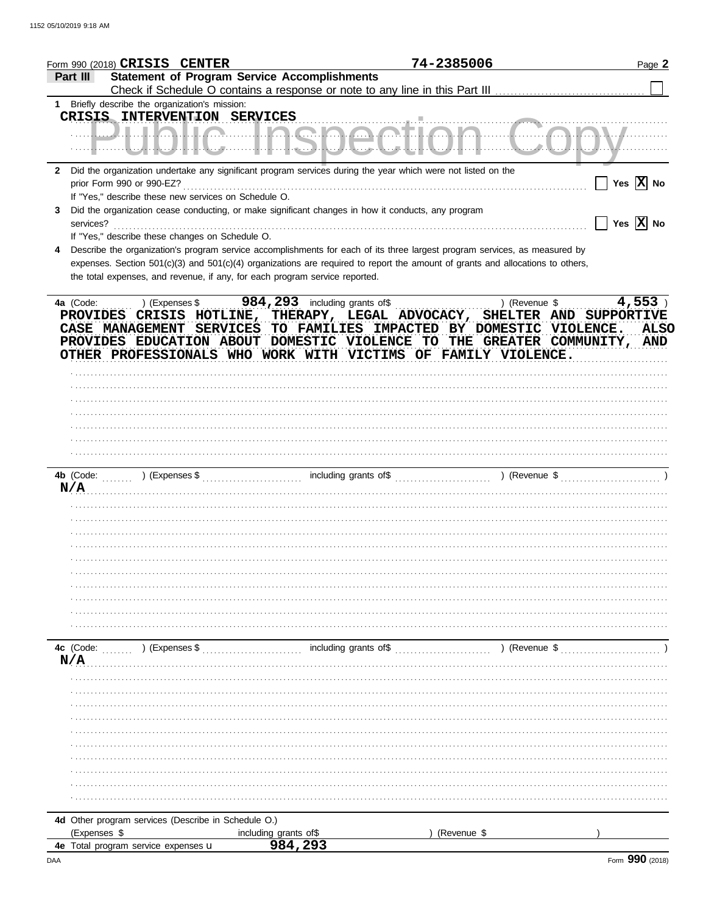|              | Form 990 (2018) CRISIS CENTER                  |                                                      |                                                                             | 74-2385006                                                                                                                     |               | Page 2                                                                   |
|--------------|------------------------------------------------|------------------------------------------------------|-----------------------------------------------------------------------------|--------------------------------------------------------------------------------------------------------------------------------|---------------|--------------------------------------------------------------------------|
| Part III     |                                                |                                                      | <b>Statement of Program Service Accomplishments</b>                         |                                                                                                                                |               |                                                                          |
|              | 1 Briefly describe the organization's mission: |                                                      |                                                                             |                                                                                                                                |               |                                                                          |
|              |                                                | CRISIS INTERVENTION SERVICES                         |                                                                             |                                                                                                                                |               |                                                                          |
|              |                                                |                                                      |                                                                             |                                                                                                                                |               | <u> WPINIAI IA WIKA AAAHA A</u>                                          |
|              |                                                |                                                      |                                                                             |                                                                                                                                |               | ┈┈╢┈┈┄┡ <u>╌┦┦</u> ╾┛┦┞┞┺╍┹┈┈┄╟┦╌┦╺═╝╊╍┛┺╍┛┺╍┛┺┦┺╍┛┦┈┦┈╌┈┺╌╌┛┺╌┛╊╌┛╌┺    |
|              |                                                |                                                      |                                                                             | 2 Did the organization undertake any significant program services during the year which were not listed on the                 |               |                                                                          |
|              |                                                |                                                      |                                                                             |                                                                                                                                |               | $\vert$ Yes $\vert$ X No                                                 |
|              |                                                | If "Yes," describe these new services on Schedule O. |                                                                             |                                                                                                                                |               |                                                                          |
| 3            |                                                |                                                      |                                                                             | Did the organization cease conducting, or make significant changes in how it conducts, any program                             |               |                                                                          |
|              |                                                |                                                      |                                                                             |                                                                                                                                |               | $\boxed{\phantom{1}}$ Yes $\boxed{\textbf{X}}$ No                        |
|              |                                                | If "Yes," describe these changes on Schedule O.      |                                                                             |                                                                                                                                |               |                                                                          |
|              |                                                |                                                      |                                                                             | Describe the organization's program service accomplishments for each of its three largest program services, as measured by     |               |                                                                          |
|              |                                                |                                                      |                                                                             | expenses. Section 501(c)(3) and 501(c)(4) organizations are required to report the amount of grants and allocations to others, |               |                                                                          |
|              |                                                |                                                      | the total expenses, and revenue, if any, for each program service reported. |                                                                                                                                |               |                                                                          |
|              |                                                |                                                      |                                                                             |                                                                                                                                | ) (Revenue \$ | $4,553$ )                                                                |
| 4a (Code:    |                                                |                                                      |                                                                             |                                                                                                                                |               | PROVIDES CRISIS HOTLINE, THERAPY, LEGAL ADVOCACY, SHELTER AND SUPPORTIVE |
|              |                                                |                                                      |                                                                             |                                                                                                                                |               | CASE MANAGEMENT SERVICES TO FAMILIES IMPACTED BY DOMESTIC VIOLENCE. ALSO |
|              |                                                |                                                      |                                                                             |                                                                                                                                |               | PROVIDES EDUCATION ABOUT DOMESTIC VIOLENCE TO THE GREATER COMMUNITY, AND |
|              |                                                |                                                      |                                                                             | OTHER PROFESSIONALS WHO WORK WITH VICTIMS OF FAMILY VIOLENCE.                                                                  |               |                                                                          |
|              |                                                |                                                      |                                                                             |                                                                                                                                |               |                                                                          |
|              |                                                |                                                      |                                                                             |                                                                                                                                |               |                                                                          |
|              |                                                |                                                      |                                                                             |                                                                                                                                |               |                                                                          |
|              |                                                |                                                      |                                                                             |                                                                                                                                |               |                                                                          |
|              |                                                |                                                      |                                                                             |                                                                                                                                |               |                                                                          |
|              |                                                |                                                      |                                                                             |                                                                                                                                |               |                                                                          |
|              |                                                |                                                      |                                                                             |                                                                                                                                |               |                                                                          |
|              |                                                |                                                      |                                                                             |                                                                                                                                |               |                                                                          |
|              |                                                |                                                      |                                                                             |                                                                                                                                |               |                                                                          |
|              |                                                |                                                      | N/A                                                                         |                                                                                                                                |               |                                                                          |
|              |                                                |                                                      |                                                                             |                                                                                                                                |               |                                                                          |
|              |                                                |                                                      |                                                                             |                                                                                                                                |               |                                                                          |
|              |                                                |                                                      |                                                                             |                                                                                                                                |               |                                                                          |
|              |                                                |                                                      |                                                                             |                                                                                                                                |               |                                                                          |
|              |                                                |                                                      |                                                                             |                                                                                                                                |               |                                                                          |
|              |                                                |                                                      |                                                                             |                                                                                                                                |               |                                                                          |
|              |                                                |                                                      |                                                                             |                                                                                                                                |               |                                                                          |
|              |                                                |                                                      |                                                                             |                                                                                                                                |               |                                                                          |
|              |                                                |                                                      |                                                                             |                                                                                                                                |               |                                                                          |
|              |                                                |                                                      |                                                                             |                                                                                                                                |               |                                                                          |
|              |                                                |                                                      |                                                                             |                                                                                                                                |               |                                                                          |
| N/A          |                                                |                                                      |                                                                             |                                                                                                                                |               |                                                                          |
|              |                                                |                                                      |                                                                             |                                                                                                                                |               |                                                                          |
|              |                                                |                                                      |                                                                             |                                                                                                                                |               |                                                                          |
|              |                                                |                                                      |                                                                             |                                                                                                                                |               |                                                                          |
|              |                                                |                                                      |                                                                             |                                                                                                                                |               |                                                                          |
|              |                                                |                                                      |                                                                             |                                                                                                                                |               |                                                                          |
|              |                                                |                                                      |                                                                             |                                                                                                                                |               |                                                                          |
|              |                                                |                                                      |                                                                             |                                                                                                                                |               |                                                                          |
|              |                                                |                                                      |                                                                             |                                                                                                                                |               |                                                                          |
|              |                                                |                                                      |                                                                             |                                                                                                                                |               |                                                                          |
|              |                                                |                                                      |                                                                             |                                                                                                                                |               |                                                                          |
|              |                                                | 4d Other program services (Describe in Schedule O.)  |                                                                             |                                                                                                                                |               |                                                                          |
| (Expenses \$ |                                                |                                                      | including grants of\$                                                       |                                                                                                                                | (Revenue \$   |                                                                          |
|              | 4e Total program service expenses u            |                                                      | 984,293                                                                     |                                                                                                                                |               |                                                                          |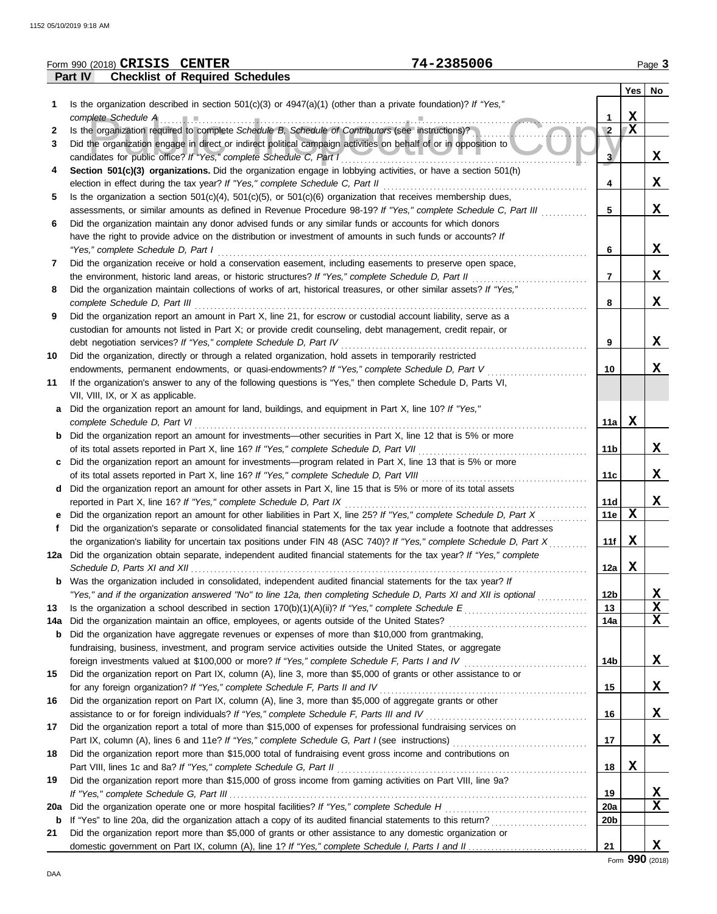|     | 74-2385006<br>Form 990 (2018) CRISIS CENTER                                                                             |                 |              | Page 3 |
|-----|-------------------------------------------------------------------------------------------------------------------------|-----------------|--------------|--------|
|     | Part IV<br><b>Checklist of Required Schedules</b>                                                                       |                 |              |        |
|     |                                                                                                                         |                 | Yes          | No     |
| 1   | Is the organization described in section $501(c)(3)$ or $4947(a)(1)$ (other than a private foundation)? If "Yes,"       |                 |              |        |
|     | complete Schedule A                                                                                                     | 1               | $\mathbf X$  |        |
| 2   | Is the organization required to complete Schedule B, Schedule of Contributors (see instructions)?                       | $\sqrt{2}$      | $\mathbf{X}$ |        |
| 3   | Did the organization engage in direct or indirect political campaign activities on behalf of or in opposition to        |                 |              |        |
|     | candidates for public office? If "Yes," complete Schedule C, Part I                                                     | 3 <sup>1</sup>  |              | X      |
| 4   | Section 501(c)(3) organizations. Did the organization engage in lobbying activities, or have a section 501(h)           |                 |              |        |
|     | election in effect during the tax year? If "Yes," complete Schedule C, Part II                                          | 4               |              | x      |
| 5   | Is the organization a section $501(c)(4)$ , $501(c)(5)$ , or $501(c)(6)$ organization that receives membership dues,    |                 |              |        |
|     | assessments, or similar amounts as defined in Revenue Procedure 98-19? If "Yes," complete Schedule C, Part III          | 5               |              | X      |
| 6   | Did the organization maintain any donor advised funds or any similar funds or accounts for which donors                 |                 |              |        |
|     | have the right to provide advice on the distribution or investment of amounts in such funds or accounts? If             |                 |              |        |
|     | "Yes," complete Schedule D, Part I                                                                                      | 6               |              | X      |
| 7   | Did the organization receive or hold a conservation easement, including easements to preserve open space,               |                 |              |        |
|     | the environment, historic land areas, or historic structures? If "Yes," complete Schedule D, Part II                    | 7               |              | X      |
| 8   | Did the organization maintain collections of works of art, historical treasures, or other similar assets? If "Yes,"     |                 |              |        |
|     | complete Schedule D, Part III                                                                                           | 8               |              | X      |
| 9   | Did the organization report an amount in Part X, line 21, for escrow or custodial account liability, serve as a         |                 |              |        |
|     | custodian for amounts not listed in Part X; or provide credit counseling, debt management, credit repair, or            |                 |              |        |
|     | debt negotiation services? If "Yes," complete Schedule D, Part IV                                                       | 9               |              | X      |
| 10  | Did the organization, directly or through a related organization, hold assets in temporarily restricted                 |                 |              |        |
|     | endowments, permanent endowments, or quasi-endowments? If "Yes," complete Schedule D, Part V                            | 10              |              | X      |
| 11  | If the organization's answer to any of the following questions is "Yes," then complete Schedule D, Parts VI,            |                 |              |        |
|     | VII, VIII, IX, or X as applicable.                                                                                      |                 |              |        |
| а   | Did the organization report an amount for land, buildings, and equipment in Part X, line 10? If "Yes,"                  |                 |              |        |
|     | complete Schedule D, Part VI                                                                                            | 11a             | X            |        |
|     | Did the organization report an amount for investments—other securities in Part X, line 12 that is 5% or more            |                 |              |        |
|     | of its total assets reported in Part X, line 16? If "Yes," complete Schedule D, Part VII                                | 11 <sub>b</sub> |              | X      |
| c   | Did the organization report an amount for investments—program related in Part X, line 13 that is 5% or more             |                 |              |        |
|     | of its total assets reported in Part X, line 16? If "Yes," complete Schedule D, Part VIII                               | 11c             |              | X      |
| d   | Did the organization report an amount for other assets in Part X, line 15 that is 5% or more of its total assets        |                 |              |        |
|     | reported in Part X, line 16? If "Yes," complete Schedule D, Part IX                                                     | 11d             |              | X      |
|     | Did the organization report an amount for other liabilities in Part X, line 25? If "Yes," complete Schedule D, Part X   | 11e             | $\mathbf x$  |        |
| f   | Did the organization's separate or consolidated financial statements for the tax year include a footnote that addresses |                 |              |        |
|     | the organization's liability for uncertain tax positions under FIN 48 (ASC 740)? If "Yes," complete Schedule D, Part X  | 11f             | X            |        |
|     | 12a Did the organization obtain separate, independent audited financial statements for the tax year? If "Yes," complete |                 |              |        |
|     | Schedule D, Parts XI and XII                                                                                            | 12a             | X            |        |
| b   | Was the organization included in consolidated, independent audited financial statements for the tax year? If            |                 |              |        |
|     | "Yes," and if the organization answered "No" to line 12a, then completing Schedule D, Parts XI and XII is optional      | 12 <sub>b</sub> |              | X      |
| 13  |                                                                                                                         | 13              |              | X      |
| 14a | Did the organization maintain an office, employees, or agents outside of the United States?                             | 14a             |              | X      |
| b   | Did the organization have aggregate revenues or expenses of more than \$10,000 from grantmaking,                        |                 |              |        |
|     | fundraising, business, investment, and program service activities outside the United States, or aggregate               |                 |              |        |
|     |                                                                                                                         | 14 <sub>b</sub> |              | X      |
| 15  | Did the organization report on Part IX, column (A), line 3, more than \$5,000 of grants or other assistance to or       |                 |              |        |
|     | for any foreign organization? If "Yes," complete Schedule F, Parts II and IV                                            | 15              |              | X      |
| 16  | Did the organization report on Part IX, column (A), line 3, more than \$5,000 of aggregate grants or other              |                 |              |        |
|     | assistance to or for foreign individuals? If "Yes," complete Schedule F, Parts III and IV                               | 16              |              | X      |
| 17  | Did the organization report a total of more than \$15,000 of expenses for professional fundraising services on          |                 |              |        |
|     |                                                                                                                         | 17              |              | X      |
| 18  | Did the organization report more than \$15,000 total of fundraising event gross income and contributions on             |                 |              |        |
|     |                                                                                                                         | 18              | X            |        |
| 19  | Did the organization report more than \$15,000 of gross income from gaming activities on Part VIII, line 9a?            |                 |              |        |
|     |                                                                                                                         | 19              |              | X      |
| 20a | Did the organization operate one or more hospital facilities? If "Yes," complete Schedule H                             | 20a             |              | X      |
| b   |                                                                                                                         | 20 <sub>b</sub> |              |        |
| 21  | Did the organization report more than \$5,000 of grants or other assistance to any domestic organization or             |                 |              |        |
|     |                                                                                                                         | 21              |              | X      |

Form **990** (2018)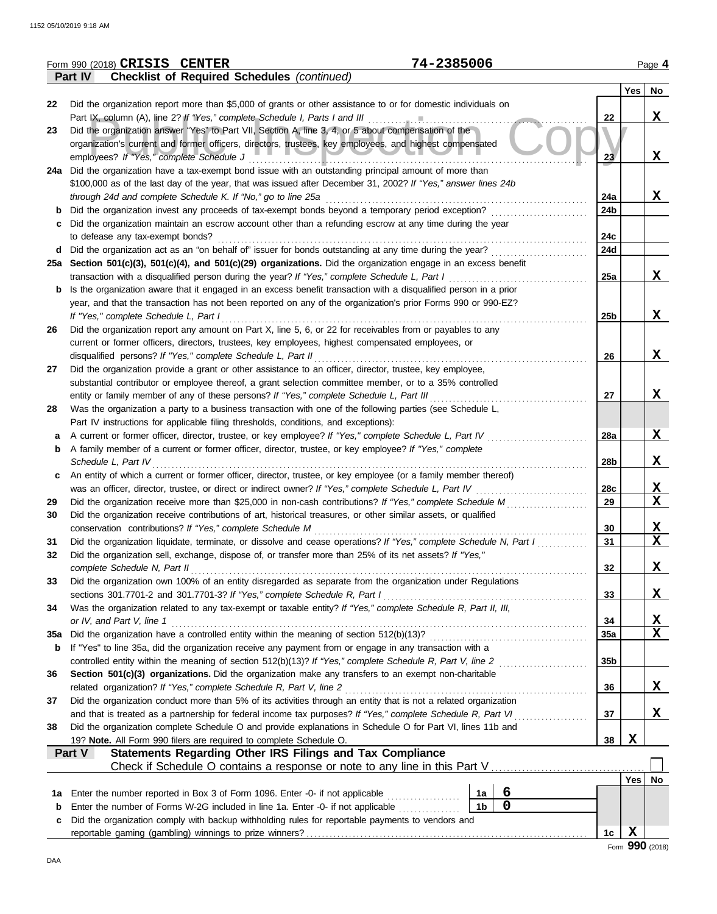|     | 74-2385006<br>Form 990 (2018) CRISIS CENTER                                                                                                                                                                          |                 |     | Page 4                  |
|-----|----------------------------------------------------------------------------------------------------------------------------------------------------------------------------------------------------------------------|-----------------|-----|-------------------------|
|     | <b>Checklist of Required Schedules (continued)</b><br>Part IV                                                                                                                                                        |                 |     |                         |
|     |                                                                                                                                                                                                                      |                 | Yes | No                      |
| 22  | Did the organization report more than \$5,000 of grants or other assistance to or for domestic individuals on                                                                                                        |                 |     | X                       |
| 23  | Part IX, column (A), line 2? If "Yes," complete Schedule I, Parts I and III<br>Did the organization answer "Yes" to Part VII, Section A, line 3, 4, or 5 about compensation of the                                   | 22              |     |                         |
|     | organization's current and former officers, directors, trustees, key employees, and highest compensated                                                                                                              |                 |     |                         |
|     | employees? If "Yes," complete Schedule J                                                                                                                                                                             | 23              |     | X                       |
|     | 24a Did the organization have a tax-exempt bond issue with an outstanding principal amount of more than                                                                                                              |                 |     |                         |
|     | \$100,000 as of the last day of the year, that was issued after December 31, 2002? If "Yes," answer lines 24b                                                                                                        |                 |     |                         |
|     | through 24d and complete Schedule K. If "No," go to line 25a                                                                                                                                                         | 24a             |     | X                       |
| b   | Did the organization invest any proceeds of tax-exempt bonds beyond a temporary period exception?                                                                                                                    | 24 <sub>b</sub> |     |                         |
| C   | Did the organization maintain an escrow account other than a refunding escrow at any time during the year                                                                                                            |                 |     |                         |
|     | to defease any tax-exempt bonds?                                                                                                                                                                                     | 24c             |     |                         |
|     | d Did the organization act as an "on behalf of" issuer for bonds outstanding at any time during the year?                                                                                                            | 24d             |     |                         |
|     | 25a Section 501(c)(3), 501(c)(4), and 501(c)(29) organizations. Did the organization engage in an excess benefit                                                                                                     |                 |     |                         |
|     | transaction with a disqualified person during the year? If "Yes," complete Schedule L, Part I                                                                                                                        | 25a             |     | X                       |
| b   | Is the organization aware that it engaged in an excess benefit transaction with a disqualified person in a prior                                                                                                     |                 |     |                         |
|     | year, and that the transaction has not been reported on any of the organization's prior Forms 990 or 990-EZ?                                                                                                         |                 |     |                         |
|     | If "Yes," complete Schedule L, Part I                                                                                                                                                                                | 25 <sub>b</sub> |     | X                       |
| 26  | Did the organization report any amount on Part X, line 5, 6, or 22 for receivables from or payables to any                                                                                                           |                 |     |                         |
|     | current or former officers, directors, trustees, key employees, highest compensated employees, or                                                                                                                    |                 |     |                         |
|     | disqualified persons? If "Yes," complete Schedule L, Part II                                                                                                                                                         | 26              |     | X                       |
| 27  | Did the organization provide a grant or other assistance to an officer, director, trustee, key employee,                                                                                                             |                 |     |                         |
|     | substantial contributor or employee thereof, a grant selection committee member, or to a 35% controlled<br>entity or family member of any of these persons? If "Yes," complete Schedule L, Part III                  | 27              |     | X                       |
| 28  | Was the organization a party to a business transaction with one of the following parties (see Schedule L,                                                                                                            |                 |     |                         |
|     | Part IV instructions for applicable filing thresholds, conditions, and exceptions):                                                                                                                                  |                 |     |                         |
| а   | A current or former officer, director, trustee, or key employee? If "Yes," complete Schedule L, Part IV                                                                                                              | 28a             |     | X                       |
| b   | A family member of a current or former officer, director, trustee, or key employee? If "Yes," complete                                                                                                               |                 |     |                         |
|     | Schedule L, Part IV                                                                                                                                                                                                  | 28b             |     | X                       |
| c   | An entity of which a current or former officer, director, trustee, or key employee (or a family member thereof)                                                                                                      |                 |     |                         |
|     | was an officer, director, trustee, or direct or indirect owner? If "Yes," complete Schedule L, Part IV                                                                                                               | 28c             |     | $\mathbf x$             |
| 29  | Did the organization receive more than \$25,000 in non-cash contributions? If "Yes," complete Schedule M                                                                                                             | 29              |     | $\mathbf{x}$            |
| 30  | Did the organization receive contributions of art, historical treasures, or other similar assets, or qualified                                                                                                       |                 |     |                         |
|     | conservation contributions? If "Yes," complete Schedule M                                                                                                                                                            | 30              |     | X                       |
| 31  | Did the organization liquidate, terminate, or dissolve and cease operations? If "Yes," complete Schedule N, Part I                                                                                                   | 31              |     | $\overline{\mathbf{x}}$ |
| 32  | Did the organization sell, exchange, dispose of, or transfer more than 25% of its net assets? If "Yes,"                                                                                                              |                 |     |                         |
|     | complete Schedule N, Part II                                                                                                                                                                                         | 32              |     | X                       |
| 33  | Did the organization own 100% of an entity disregarded as separate from the organization under Regulations                                                                                                           |                 |     |                         |
|     | sections 301.7701-2 and 301.7701-3? If "Yes," complete Schedule R, Part I                                                                                                                                            | 33              |     | X                       |
| 34  | Was the organization related to any tax-exempt or taxable entity? If "Yes," complete Schedule R, Part II, III,                                                                                                       |                 |     |                         |
|     | or IV, and Part V, line 1                                                                                                                                                                                            | 34              |     | <u>x</u><br>$\mathbf x$ |
| 35а | Did the organization have a controlled entity within the meaning of section 512(b)(13)?                                                                                                                              | <b>35a</b>      |     |                         |
| b   | If "Yes" to line 35a, did the organization receive any payment from or engage in any transaction with a<br>controlled entity within the meaning of section 512(b)(13)? If "Yes," complete Schedule R, Part V, line 2 | 35 <sub>b</sub> |     |                         |
| 36  | Section 501(c)(3) organizations. Did the organization make any transfers to an exempt non-charitable                                                                                                                 |                 |     |                         |
|     | related organization? If "Yes," complete Schedule R, Part V, line 2                                                                                                                                                  | 36              |     | X                       |
| 37  | Did the organization conduct more than 5% of its activities through an entity that is not a related organization                                                                                                     |                 |     |                         |
|     | and that is treated as a partnership for federal income tax purposes? If "Yes," complete Schedule R, Part VI                                                                                                         | 37              |     | X                       |
| 38  | Did the organization complete Schedule O and provide explanations in Schedule O for Part VI, lines 11b and                                                                                                           |                 |     |                         |
|     | 19? Note. All Form 990 filers are required to complete Schedule O.                                                                                                                                                   | 38              | X   |                         |
|     | Statements Regarding Other IRS Filings and Tax Compliance<br>Part V                                                                                                                                                  |                 |     |                         |
|     |                                                                                                                                                                                                                      |                 |     |                         |
|     |                                                                                                                                                                                                                      |                 |     | Yes   No                |
| 1a  | 6<br>Enter the number reported in Box 3 of Form 1096. Enter -0- if not applicable<br>1a                                                                                                                              |                 |     |                         |
| b   | $\mathbf 0$<br>1 <sub>b</sub><br>Enter the number of Forms W-2G included in line 1a. Enter -0- if not applicable                                                                                                     |                 |     |                         |
| c   | Did the organization comply with backup withholding rules for reportable payments to vendors and                                                                                                                     |                 |     |                         |
|     |                                                                                                                                                                                                                      | 1c              | X   |                         |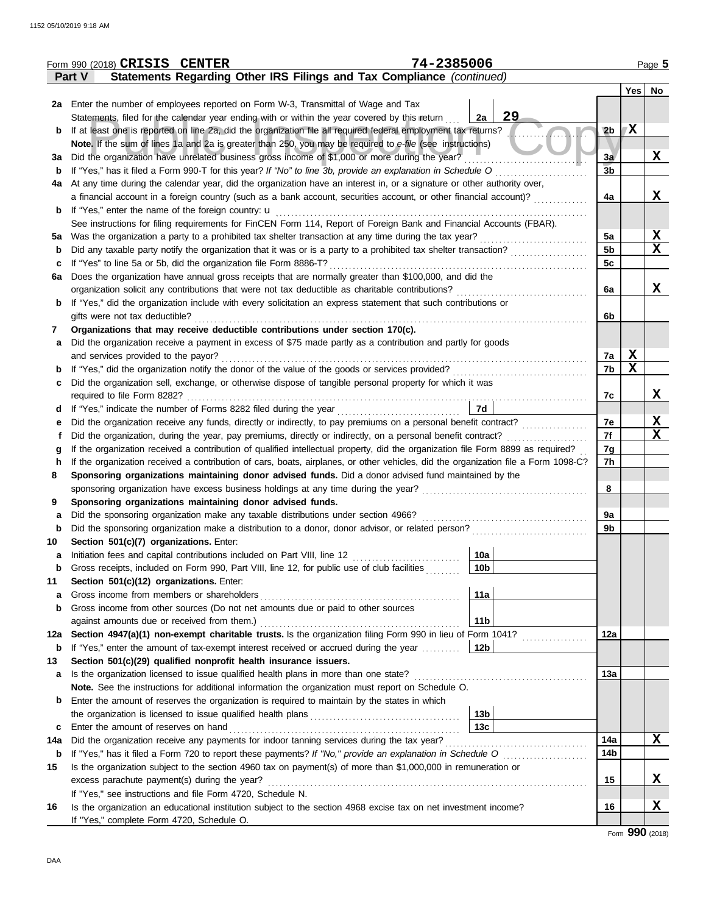|             | Form 990 (2018) CRISIS CENTER                                                                                                                             |  |  |  |  |  |  |  | 74-2385006 |                 |    |  |                 |             | Page 5      |
|-------------|-----------------------------------------------------------------------------------------------------------------------------------------------------------|--|--|--|--|--|--|--|------------|-----------------|----|--|-----------------|-------------|-------------|
|             | Statements Regarding Other IRS Filings and Tax Compliance (continued)<br><b>Part V</b>                                                                    |  |  |  |  |  |  |  |            |                 |    |  |                 |             |             |
|             |                                                                                                                                                           |  |  |  |  |  |  |  |            |                 |    |  |                 |             | Yes   No    |
|             | 2a Enter the number of employees reported on Form W-3, Transmittal of Wage and Tax                                                                        |  |  |  |  |  |  |  |            |                 |    |  |                 |             |             |
|             | Statements, filed for the calendar year ending with or within the year covered by this return                                                             |  |  |  |  |  |  |  |            | 2a              | 29 |  |                 |             |             |
| b           | If at least one is reported on line 2a, did the organization file all required federal employment tax returns?                                            |  |  |  |  |  |  |  |            |                 |    |  | 2 <sub>b</sub>  | X           |             |
|             | Note. If the sum of lines 1a and 2a is greater than 250, you may be required to e-file (see instructions)                                                 |  |  |  |  |  |  |  |            |                 |    |  |                 |             |             |
| За          | Did the organization have unrelated business gross income of \$1,000 or more during the year?                                                             |  |  |  |  |  |  |  |            |                 |    |  | 3a              |             | X           |
| b           | If "Yes," has it filed a Form 990-T for this year? If "No" to line 3b, provide an explanation in Schedule O                                               |  |  |  |  |  |  |  |            |                 |    |  | 3 <sub>b</sub>  |             |             |
| 4a          | At any time during the calendar year, did the organization have an interest in, or a signature or other authority over,                                   |  |  |  |  |  |  |  |            |                 |    |  |                 |             |             |
|             | a financial account in a foreign country (such as a bank account, securities account, or other financial account)?                                        |  |  |  |  |  |  |  |            |                 |    |  | 4a              |             | X           |
| b           |                                                                                                                                                           |  |  |  |  |  |  |  |            |                 |    |  |                 |             |             |
|             | See instructions for filing requirements for FinCEN Form 114, Report of Foreign Bank and Financial Accounts (FBAR).                                       |  |  |  |  |  |  |  |            |                 |    |  |                 |             |             |
| 5a          |                                                                                                                                                           |  |  |  |  |  |  |  |            |                 |    |  | 5a              |             | <u>x</u>    |
| b           | Did any taxable party notify the organization that it was or is a party to a prohibited tax shelter transaction?                                          |  |  |  |  |  |  |  |            |                 |    |  | 5 <sub>b</sub>  |             | $\mathbf x$ |
| c           | If "Yes" to line 5a or 5b, did the organization file Form 8886-T?                                                                                         |  |  |  |  |  |  |  |            |                 |    |  | 5c              |             |             |
| 6a          | Does the organization have annual gross receipts that are normally greater than \$100,000, and did the                                                    |  |  |  |  |  |  |  |            |                 |    |  |                 |             |             |
|             | organization solicit any contributions that were not tax deductible as charitable contributions?                                                          |  |  |  |  |  |  |  |            |                 |    |  | 6a              |             | X           |
| b           | If "Yes," did the organization include with every solicitation an express statement that such contributions or                                            |  |  |  |  |  |  |  |            |                 |    |  |                 |             |             |
|             | gifts were not tax deductible?                                                                                                                            |  |  |  |  |  |  |  |            |                 |    |  | 6b              |             |             |
| 7           | Organizations that may receive deductible contributions under section 170(c).                                                                             |  |  |  |  |  |  |  |            |                 |    |  |                 |             |             |
| a           | Did the organization receive a payment in excess of \$75 made partly as a contribution and partly for goods                                               |  |  |  |  |  |  |  |            |                 |    |  |                 |             |             |
|             | and services provided to the payor?                                                                                                                       |  |  |  |  |  |  |  |            |                 |    |  | 7a              | X           |             |
| b           |                                                                                                                                                           |  |  |  |  |  |  |  |            |                 |    |  | 7b              | $\mathbf x$ |             |
| c           | Did the organization sell, exchange, or otherwise dispose of tangible personal property for which it was                                                  |  |  |  |  |  |  |  |            |                 |    |  |                 |             |             |
|             |                                                                                                                                                           |  |  |  |  |  |  |  |            |                 |    |  | 7c              |             | X           |
| d           | If "Yes," indicate the number of Forms 8282 filed during the year<br>[[[[[[[[[[[[[]]]]]                                                                   |  |  |  |  |  |  |  |            | 7d              |    |  |                 |             |             |
| е           | Did the organization receive any funds, directly or indirectly, to pay premiums on a personal benefit contract?                                           |  |  |  |  |  |  |  |            |                 |    |  | 7e              |             | <u>х</u>    |
|             | Did the organization, during the year, pay premiums, directly or indirectly, on a personal benefit contract?                                              |  |  |  |  |  |  |  |            |                 |    |  | 7f              |             | $\mathbf X$ |
| g           | If the organization received a contribution of qualified intellectual property, did the organization file Form 8899 as required?                          |  |  |  |  |  |  |  |            |                 |    |  | 7g              |             |             |
| h           | If the organization received a contribution of cars, boats, airplanes, or other vehicles, did the organization file a Form 1098-C?                        |  |  |  |  |  |  |  |            |                 |    |  | 7h              |             |             |
| 8           | Sponsoring organizations maintaining donor advised funds. Did a donor advised fund maintained by the                                                      |  |  |  |  |  |  |  |            |                 |    |  |                 |             |             |
|             |                                                                                                                                                           |  |  |  |  |  |  |  |            |                 |    |  | 8               |             |             |
| 9           | Sponsoring organizations maintaining donor advised funds.                                                                                                 |  |  |  |  |  |  |  |            |                 |    |  |                 |             |             |
| а           | Did the sponsoring organization make any taxable distributions under section 4966?                                                                        |  |  |  |  |  |  |  |            |                 |    |  | 9a              |             |             |
| $\mathbf b$ | Did the sponsoring organization make a distribution to a donor, donor advisor, or related person?                                                         |  |  |  |  |  |  |  |            |                 |    |  | 9b              |             |             |
| 10          | Section 501(c)(7) organizations. Enter:                                                                                                                   |  |  |  |  |  |  |  |            | 10a             |    |  |                 |             |             |
| а           | Initiation fees and capital contributions included on Part VIII, line 12                                                                                  |  |  |  |  |  |  |  |            |                 |    |  |                 |             |             |
| $\mathbf b$ | Gross receipts, included on Form 990, Part VIII, line 12, for public use of club facilities                                                               |  |  |  |  |  |  |  |            | 10 <sub>b</sub> |    |  |                 |             |             |
| 11          | Section 501(c)(12) organizations. Enter:                                                                                                                  |  |  |  |  |  |  |  |            | 11a             |    |  |                 |             |             |
| а           | Gross income from members or shareholders<br>Gross income from other sources (Do not net amounts due or paid to other sources                             |  |  |  |  |  |  |  |            |                 |    |  |                 |             |             |
| $\mathbf b$ |                                                                                                                                                           |  |  |  |  |  |  |  |            | 11 <sub>b</sub> |    |  |                 |             |             |
| 12a         | against amounts due or received from them.)<br>Section 4947(a)(1) non-exempt charitable trusts. Is the organization filing Form 990 in lieu of Form 1041? |  |  |  |  |  |  |  |            |                 |    |  | 12a             |             |             |
| b           | If "Yes," enter the amount of tax-exempt interest received or accrued during the year                                                                     |  |  |  |  |  |  |  |            | 12b             |    |  |                 |             |             |
| 13          | Section 501(c)(29) qualified nonprofit health insurance issuers.                                                                                          |  |  |  |  |  |  |  |            |                 |    |  |                 |             |             |
| а           | Is the organization licensed to issue qualified health plans in more than one state?                                                                      |  |  |  |  |  |  |  |            |                 |    |  | 13a             |             |             |
|             | Note. See the instructions for additional information the organization must report on Schedule O.                                                         |  |  |  |  |  |  |  |            |                 |    |  |                 |             |             |
| b           | Enter the amount of reserves the organization is required to maintain by the states in which                                                              |  |  |  |  |  |  |  |            |                 |    |  |                 |             |             |
|             |                                                                                                                                                           |  |  |  |  |  |  |  |            | 13 <sub>b</sub> |    |  |                 |             |             |
| c           | Enter the amount of reserves on hand                                                                                                                      |  |  |  |  |  |  |  |            | 13 <sub>c</sub> |    |  |                 |             |             |
| 14a         | Did the organization receive any payments for indoor tanning services during the tax year?                                                                |  |  |  |  |  |  |  |            |                 |    |  | 14a             |             | X           |
| b           |                                                                                                                                                           |  |  |  |  |  |  |  |            |                 |    |  | 14 <sub>b</sub> |             |             |
| 15          | Is the organization subject to the section 4960 tax on payment(s) of more than \$1,000,000 in remuneration or                                             |  |  |  |  |  |  |  |            |                 |    |  |                 |             |             |
|             | excess parachute payment(s) during the year?                                                                                                              |  |  |  |  |  |  |  |            |                 |    |  | 15              |             | x           |
|             | If "Yes," see instructions and file Form 4720, Schedule N.                                                                                                |  |  |  |  |  |  |  |            |                 |    |  |                 |             |             |
| 16          | Is the organization an educational institution subject to the section 4968 excise tax on net investment income?                                           |  |  |  |  |  |  |  |            |                 |    |  | 16              |             | X           |
|             | If "Yes," complete Form 4720, Schedule O.                                                                                                                 |  |  |  |  |  |  |  |            |                 |    |  |                 |             |             |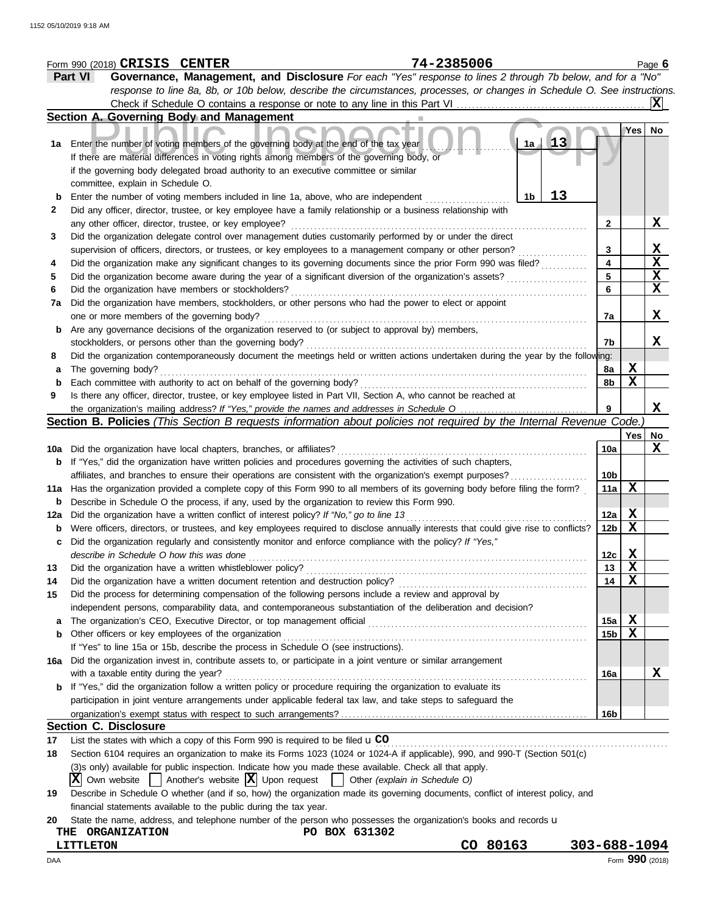|        | Form 990 (2018) CRISIS CENTER                                          |                                                                                                                                                                                                                         | 74-2385006                    |                      |                 |                   | Page 6          |
|--------|------------------------------------------------------------------------|-------------------------------------------------------------------------------------------------------------------------------------------------------------------------------------------------------------------------|-------------------------------|----------------------|-----------------|-------------------|-----------------|
|        | Part VI                                                                | Governance, Management, and Disclosure For each "Yes" response to lines 2 through 7b below, and for a "No"                                                                                                              |                               |                      |                 |                   |                 |
|        |                                                                        | response to line 8a, 8b, or 10b below, describe the circumstances, processes, or changes in Schedule O. See instructions.                                                                                               |                               |                      |                 |                   |                 |
|        |                                                                        |                                                                                                                                                                                                                         |                               |                      |                 |                   | X               |
|        | Section A. Governing Body and Management                               |                                                                                                                                                                                                                         |                               |                      |                 |                   |                 |
|        |                                                                        |                                                                                                                                                                                                                         |                               |                      |                 | Yes               | No              |
|        |                                                                        | 1a Enter the number of voting members of the governing body at the end of the tax year                                                                                                                                  |                               | $\mathbf{1}3$<br>1a  |                 |                   |                 |
|        |                                                                        | If there are material differences in voting rights among members of the governing body, or                                                                                                                              |                               |                      |                 |                   |                 |
|        |                                                                        | if the governing body delegated broad authority to an executive committee or similar                                                                                                                                    |                               |                      |                 |                   |                 |
|        | committee, explain in Schedule O.                                      |                                                                                                                                                                                                                         |                               |                      |                 |                   |                 |
| b      |                                                                        | Enter the number of voting members included in line 1a, above, who are independent                                                                                                                                      |                               | 13<br>1 <sub>b</sub> |                 |                   |                 |
| 2      |                                                                        | Did any officer, director, trustee, or key employee have a family relationship or a business relationship with                                                                                                          |                               |                      |                 |                   |                 |
|        | any other officer, director, trustee, or key employee?                 |                                                                                                                                                                                                                         |                               |                      | $\mathbf{2}$    |                   | X               |
| 3      |                                                                        | Did the organization delegate control over management duties customarily performed by or under the direct                                                                                                               |                               |                      |                 |                   |                 |
|        |                                                                        | supervision of officers, directors, or trustees, or key employees to a management company or other person?                                                                                                              |                               |                      | 3               |                   | X               |
| 4      |                                                                        | Did the organization make any significant changes to its governing documents since the prior Form 990 was filed?                                                                                                        |                               |                      | 4               |                   | X               |
| 5      |                                                                        | Did the organization become aware during the year of a significant diversion of the organization's assets?                                                                                                              |                               |                      | 5               |                   | $\mathbf{x}$    |
| 6      | Did the organization have members or stockholders?                     |                                                                                                                                                                                                                         |                               |                      | 6               |                   | X               |
| 7a     |                                                                        | Did the organization have members, stockholders, or other persons who had the power to elect or appoint                                                                                                                 |                               |                      |                 |                   |                 |
|        | one or more members of the governing body?                             |                                                                                                                                                                                                                         |                               |                      | 7a              |                   | X               |
| b      |                                                                        | Are any governance decisions of the organization reserved to (or subject to approval by) members,                                                                                                                       |                               |                      |                 |                   |                 |
|        | stockholders, or persons other than the governing body?                |                                                                                                                                                                                                                         |                               |                      | 7b              |                   | X               |
| 8      |                                                                        | Did the organization contemporaneously document the meetings held or written actions undertaken during the year by the following:                                                                                       |                               |                      |                 |                   |                 |
| a      | The governing body?                                                    |                                                                                                                                                                                                                         |                               |                      | 8a              | Х                 |                 |
| b      | Each committee with authority to act on behalf of the governing body?  |                                                                                                                                                                                                                         |                               |                      | 8b              | X                 |                 |
| 9      |                                                                        | Is there any officer, director, trustee, or key employee listed in Part VII, Section A, who cannot be reached at                                                                                                        |                               |                      |                 |                   |                 |
|        |                                                                        |                                                                                                                                                                                                                         |                               |                      |                 |                   | X               |
|        |                                                                        | Section B. Policies (This Section B requests information about policies not required by the Internal Revenue Code.)                                                                                                     |                               |                      |                 |                   |                 |
|        |                                                                        |                                                                                                                                                                                                                         |                               |                      |                 | Yes               | No              |
|        | 10a Did the organization have local chapters, branches, or affiliates? |                                                                                                                                                                                                                         |                               |                      | 10a             |                   | X               |
|        |                                                                        | <b>b</b> If "Yes," did the organization have written policies and procedures governing the activities of such chapters,                                                                                                 |                               |                      |                 |                   |                 |
|        |                                                                        | affiliates, and branches to ensure their operations are consistent with the organization's exempt purposes?                                                                                                             |                               |                      | 10b             |                   |                 |
|        |                                                                        | 11a Has the organization provided a complete copy of this Form 990 to all members of its governing body before filing the form?                                                                                         |                               |                      | 11a             | X                 |                 |
| b      |                                                                        | Describe in Schedule O the process, if any, used by the organization to review this Form 990.                                                                                                                           |                               |                      |                 |                   |                 |
| 12a    |                                                                        | Did the organization have a written conflict of interest policy? If "No," go to line 13                                                                                                                                 |                               |                      | 12a             | $\mathbf{x}$      |                 |
| b      |                                                                        | Were officers, directors, or trustees, and key employees required to disclose annually interests that could give rise to conflicts?                                                                                     |                               |                      | 12 <sub>b</sub> | $\mathbf x$       |                 |
| c      |                                                                        | Did the organization regularly and consistently monitor and enforce compliance with the policy? If "Yes,"                                                                                                               |                               |                      |                 |                   |                 |
|        | describe in Schedule O how this was done                               |                                                                                                                                                                                                                         |                               |                      | 12c             | X.<br>$\mathbf x$ |                 |
| 13     | Did the organization have a written whistleblower policy?              |                                                                                                                                                                                                                         |                               |                      | 13              | $\mathbf x$       |                 |
| 14     |                                                                        | Did the organization have a written document retention and destruction policy?                                                                                                                                          |                               |                      | 14              |                   |                 |
| 15     |                                                                        | Did the process for determining compensation of the following persons include a review and approval by<br>independent persons, comparability data, and contemporaneous substantiation of the deliberation and decision? |                               |                      |                 |                   |                 |
|        |                                                                        | The organization's CEO, Executive Director, or top management official                                                                                                                                                  |                               |                      | 15a             | X                 |                 |
| а<br>b | Other officers or key employees of the organization                    |                                                                                                                                                                                                                         |                               |                      | 15 <sub>b</sub> | $\mathbf x$       |                 |
|        |                                                                        | If "Yes" to line 15a or 15b, describe the process in Schedule O (see instructions).                                                                                                                                     |                               |                      |                 |                   |                 |
| 16a    |                                                                        | Did the organization invest in, contribute assets to, or participate in a joint venture or similar arrangement                                                                                                          |                               |                      |                 |                   |                 |
|        | with a taxable entity during the year?                                 |                                                                                                                                                                                                                         |                               |                      | 16a             |                   | X               |
|        |                                                                        | <b>b</b> If "Yes," did the organization follow a written policy or procedure requiring the organization to evaluate its                                                                                                 |                               |                      |                 |                   |                 |
|        |                                                                        | participation in joint venture arrangements under applicable federal tax law, and take steps to safeguard the                                                                                                           |                               |                      |                 |                   |                 |
|        |                                                                        |                                                                                                                                                                                                                         |                               |                      | 16b             |                   |                 |
|        | <b>Section C. Disclosure</b>                                           |                                                                                                                                                                                                                         |                               |                      |                 |                   |                 |
| 17     |                                                                        | List the states with which a copy of this Form 990 is required to be filed $\mathbf{u}$ CO                                                                                                                              |                               |                      |                 |                   |                 |
| 18     |                                                                        | Section 6104 requires an organization to make its Forms 1023 (1024 or 1024-A if applicable), 990, and 990-T (Section 501(c)                                                                                             |                               |                      |                 |                   |                 |
|        |                                                                        | (3)s only) available for public inspection. Indicate how you made these available. Check all that apply.                                                                                                                |                               |                      |                 |                   |                 |
|        | ΙXΙ<br>Own website                                                     | Another's website $ \mathbf{X} $ Upon request                                                                                                                                                                           | Other (explain in Schedule O) |                      |                 |                   |                 |
| 19     |                                                                        | Describe in Schedule O whether (and if so, how) the organization made its governing documents, conflict of interest policy, and                                                                                         |                               |                      |                 |                   |                 |
|        | financial statements available to the public during the tax year.      |                                                                                                                                                                                                                         |                               |                      |                 |                   |                 |
| 20     |                                                                        | State the name, address, and telephone number of the person who possesses the organization's books and records u                                                                                                        |                               |                      |                 |                   |                 |
|        | THE ORGANIZATION                                                       | PO BOX 631302                                                                                                                                                                                                           |                               |                      |                 |                   |                 |
|        | <b>LITTLETON</b>                                                       |                                                                                                                                                                                                                         | CO 80163                      | 303-688-1094         |                 |                   |                 |
| DAA    |                                                                        |                                                                                                                                                                                                                         |                               |                      |                 |                   | Form 990 (2018) |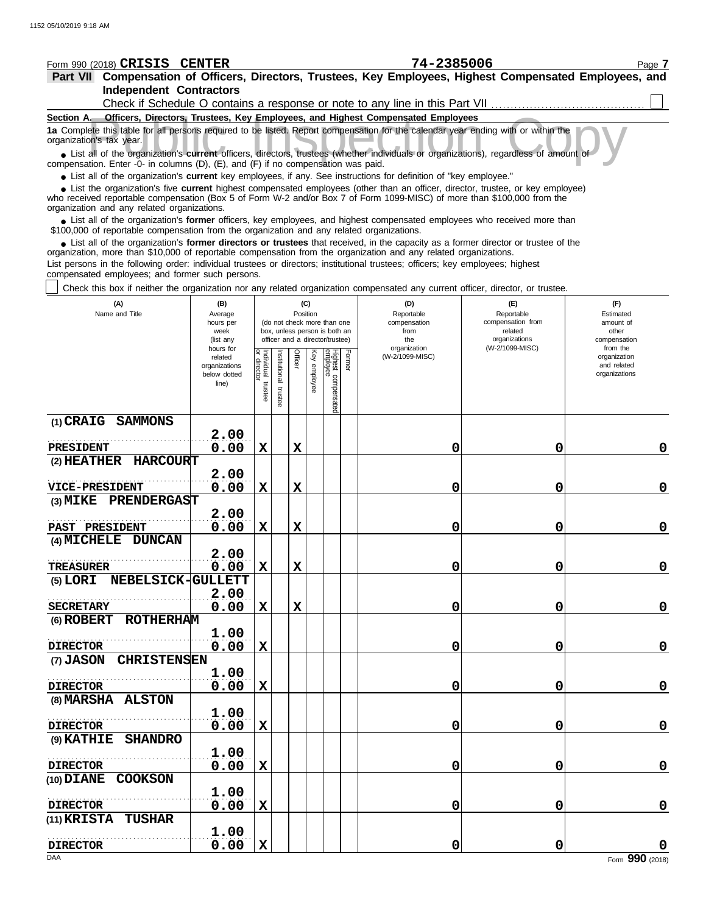| Form 990 (2018) CRISIS CENTER                                                                                                                                                                                                                                                                              |                          |                                   |               |             |              |                                                                  |        | 74-2385006                                                                      |                                 | Page 7                      |
|------------------------------------------------------------------------------------------------------------------------------------------------------------------------------------------------------------------------------------------------------------------------------------------------------------|--------------------------|-----------------------------------|---------------|-------------|--------------|------------------------------------------------------------------|--------|---------------------------------------------------------------------------------|---------------------------------|-----------------------------|
| Part VII Compensation of Officers, Directors, Trustees, Key Employees, Highest Compensated Employees, and                                                                                                                                                                                                  |                          |                                   |               |             |              |                                                                  |        |                                                                                 |                                 |                             |
| <b>Independent Contractors</b>                                                                                                                                                                                                                                                                             |                          |                                   |               |             |              |                                                                  |        |                                                                                 |                                 |                             |
|                                                                                                                                                                                                                                                                                                            |                          |                                   |               |             |              |                                                                  |        | Check if Schedule O contains a response or note to any line in this Part VII    |                                 |                             |
| Section A.                                                                                                                                                                                                                                                                                                 |                          |                                   |               |             |              |                                                                  |        | Officers, Directors, Trustees, Key Employees, and Highest Compensated Employees |                                 |                             |
| 1a Complete this table for all persons required to be listed. Report compensation for the calendar year ending with or within the<br>organization's tax year.<br>• List all of the organization's current officers, directors, trustees (whether individuals or organizations), regardless of amount of    |                          |                                   |               |             |              |                                                                  |        |                                                                                 |                                 |                             |
| compensation. Enter -0- in columns (D), (E), and (F) if no compensation was paid.                                                                                                                                                                                                                          |                          |                                   |               |             |              |                                                                  |        |                                                                                 |                                 |                             |
| • List all of the organization's current key employees, if any. See instructions for definition of "key employee."                                                                                                                                                                                         |                          |                                   |               |             |              |                                                                  |        |                                                                                 |                                 |                             |
| • List the organization's five current highest compensated employees (other than an officer, director, trustee, or key employee)<br>who received reportable compensation (Box 5 of Form W-2 and/or Box 7 of Form 1099-MISC) of more than \$100,000 from the<br>organization and any related organizations. |                          |                                   |               |             |              |                                                                  |        |                                                                                 |                                 |                             |
| • List all of the organization's former officers, key employees, and highest compensated employees who received more than<br>\$100,000 of reportable compensation from the organization and any related organizations.                                                                                     |                          |                                   |               |             |              |                                                                  |        |                                                                                 |                                 |                             |
| • List all of the organization's former directors or trustees that received, in the capacity as a former director or trustee of the<br>organization, more than \$10,000 of reportable compensation from the organization and any related organizations.                                                    |                          |                                   |               |             |              |                                                                  |        |                                                                                 |                                 |                             |
| List persons in the following order: individual trustees or directors; institutional trustees; officers; key employees; highest                                                                                                                                                                            |                          |                                   |               |             |              |                                                                  |        |                                                                                 |                                 |                             |
| compensated employees; and former such persons.                                                                                                                                                                                                                                                            |                          |                                   |               |             |              |                                                                  |        |                                                                                 |                                 |                             |
| Check this box if neither the organization nor any related organization compensated any current officer, director, or trustee.                                                                                                                                                                             |                          |                                   |               |             |              |                                                                  |        |                                                                                 |                                 |                             |
| (A)                                                                                                                                                                                                                                                                                                        | (B)                      |                                   |               |             | (C)          |                                                                  |        | (D)                                                                             | (F)                             | (F)                         |
| Name and Title                                                                                                                                                                                                                                                                                             | Average<br>hours per     |                                   |               | Position    |              | (do not check more than one                                      |        | Reportable<br>compensation                                                      | Reportable<br>compensation from | Estimated<br>amount of      |
|                                                                                                                                                                                                                                                                                                            | week<br>(list any        |                                   |               |             |              | box, unless person is both an<br>officer and a director/trustee) |        | from<br>the                                                                     | related<br>organizations        | other<br>compensation       |
|                                                                                                                                                                                                                                                                                                            | hours for                |                                   |               |             |              |                                                                  |        | organization                                                                    | (W-2/1099-MISC)                 | from the                    |
|                                                                                                                                                                                                                                                                                                            | related<br>organizations |                                   | Institutional | Officer     | Key employee |                                                                  | Former | (W-2/1099-MISC)                                                                 |                                 | organization<br>and related |
|                                                                                                                                                                                                                                                                                                            | below dotted             |                                   |               |             |              |                                                                  |        |                                                                                 |                                 | organizations               |
|                                                                                                                                                                                                                                                                                                            | line)                    | Individual trustee<br>or director | trustee       |             |              |                                                                  |        |                                                                                 |                                 |                             |
|                                                                                                                                                                                                                                                                                                            |                          |                                   |               |             |              | Highest compensated<br>employee                                  |        |                                                                                 |                                 |                             |
| (1) CRAIG SAMMONS                                                                                                                                                                                                                                                                                          |                          |                                   |               |             |              |                                                                  |        |                                                                                 |                                 |                             |
|                                                                                                                                                                                                                                                                                                            | 2.00                     |                                   |               |             |              |                                                                  |        |                                                                                 |                                 |                             |
| <b>PRESIDENT</b>                                                                                                                                                                                                                                                                                           | 0.00                     | X                                 |               | X           |              |                                                                  |        | 0                                                                               | 0                               | 0                           |
| (2) HEATHER HARCOURT                                                                                                                                                                                                                                                                                       |                          |                                   |               |             |              |                                                                  |        |                                                                                 |                                 |                             |
|                                                                                                                                                                                                                                                                                                            | 2.00                     |                                   |               |             |              |                                                                  |        |                                                                                 |                                 |                             |
| <b>VICE-PRESIDENT</b>                                                                                                                                                                                                                                                                                      | 0.00                     | $\mathbf x$                       |               | X           |              |                                                                  |        | 0                                                                               | 0                               | $\mathbf 0$                 |
| (3) MIKE PRENDERGAST                                                                                                                                                                                                                                                                                       | 2.00                     |                                   |               |             |              |                                                                  |        |                                                                                 |                                 |                             |
| PAST PRESIDENT                                                                                                                                                                                                                                                                                             | 0.00                     | X                                 |               | $\mathbf x$ |              |                                                                  |        | 0                                                                               | 0                               | $\mathbf 0$                 |
| (4) MICHELE DUNCAN                                                                                                                                                                                                                                                                                         |                          |                                   |               |             |              |                                                                  |        |                                                                                 |                                 |                             |
|                                                                                                                                                                                                                                                                                                            | 2.00                     |                                   |               |             |              |                                                                  |        |                                                                                 |                                 |                             |
| <b>TREASURER</b>                                                                                                                                                                                                                                                                                           | 0.00                     | $\mathbf X$                       |               | X           |              |                                                                  |        | 0                                                                               | 0                               | $\mathbf 0$                 |
| (5) LORI NEBELSICK-GULLETT                                                                                                                                                                                                                                                                                 |                          |                                   |               |             |              |                                                                  |        |                                                                                 |                                 |                             |
| <b>SECRETARY</b>                                                                                                                                                                                                                                                                                           | 2.00                     |                                   |               | $\mathbf x$ |              |                                                                  |        | 0                                                                               | 0                               | $\mathbf 0$                 |
| (6) ROBERT ROTHERHAM                                                                                                                                                                                                                                                                                       | 0.00                     | $\mathbf X$                       |               |             |              |                                                                  |        |                                                                                 |                                 |                             |
|                                                                                                                                                                                                                                                                                                            | 1.00                     |                                   |               |             |              |                                                                  |        |                                                                                 |                                 |                             |
| <b>DIRECTOR</b>                                                                                                                                                                                                                                                                                            | 0.00                     | $\mathbf X$                       |               |             |              |                                                                  |        | 0                                                                               | 0                               | $\mathbf 0$                 |
| (7) JASON CHRISTENSEN                                                                                                                                                                                                                                                                                      |                          |                                   |               |             |              |                                                                  |        |                                                                                 |                                 |                             |
|                                                                                                                                                                                                                                                                                                            | 1.00                     |                                   |               |             |              |                                                                  |        |                                                                                 |                                 |                             |
| <b>DIRECTOR</b>                                                                                                                                                                                                                                                                                            | 0.00                     | $\mathbf X$                       |               |             |              |                                                                  |        | 0                                                                               | 0                               | $\mathbf 0$                 |
| (8) MARSHA ALSTON                                                                                                                                                                                                                                                                                          |                          |                                   |               |             |              |                                                                  |        |                                                                                 |                                 |                             |
| <b>DIRECTOR</b>                                                                                                                                                                                                                                                                                            | 1.00<br>0.00             | $\mathbf X$                       |               |             |              |                                                                  |        | 0                                                                               | 0                               | $\pmb{0}$                   |
| (9) KATHIE SHANDRO                                                                                                                                                                                                                                                                                         |                          |                                   |               |             |              |                                                                  |        |                                                                                 |                                 |                             |
|                                                                                                                                                                                                                                                                                                            | 1.00                     |                                   |               |             |              |                                                                  |        |                                                                                 |                                 |                             |
| <b>DIRECTOR</b>                                                                                                                                                                                                                                                                                            | 0.00                     | $\mathbf X$                       |               |             |              |                                                                  |        | 0                                                                               | 0                               | $\mathbf 0$                 |
| (10) DIANE COOKSON                                                                                                                                                                                                                                                                                         |                          |                                   |               |             |              |                                                                  |        |                                                                                 |                                 |                             |
|                                                                                                                                                                                                                                                                                                            | 1.00                     |                                   |               |             |              |                                                                  |        |                                                                                 |                                 |                             |
| <b>DIRECTOR</b>                                                                                                                                                                                                                                                                                            | 0.00                     | $\mathbf X$                       |               |             |              |                                                                  |        | 0                                                                               | 0                               | $\pmb{0}$                   |
| (11) KRISTA TUSHAR                                                                                                                                                                                                                                                                                         | 1.00                     |                                   |               |             |              |                                                                  |        |                                                                                 |                                 |                             |
| <b>DIRECTOR</b>                                                                                                                                                                                                                                                                                            | 0.00                     | $\mathbf X$                       |               |             |              |                                                                  |        | 0                                                                               | 0                               | $\mathbf 0$                 |
|                                                                                                                                                                                                                                                                                                            |                          |                                   |               |             |              |                                                                  |        |                                                                                 |                                 |                             |

**0.00 X 0 0 0**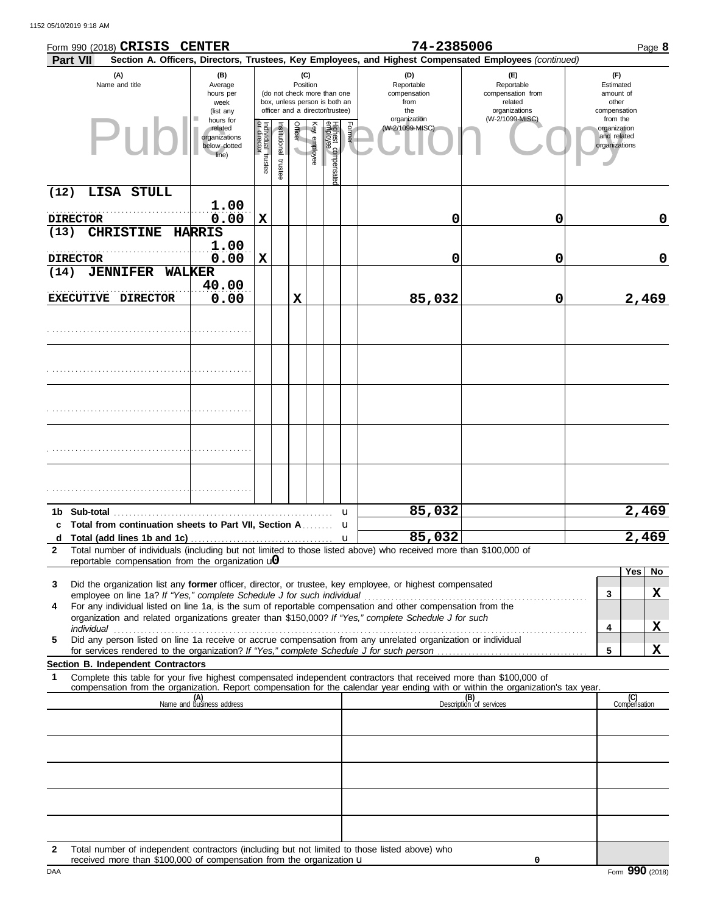|                   | Form 990 (2018) CRISIS CENTER                                                                                                                                                                                                                          |                                                                |                                   |                       |                                     |                 |                                                                                                 |              | 74-2385006                                       |                                                                                                        |                                                          | Page 8              |
|-------------------|--------------------------------------------------------------------------------------------------------------------------------------------------------------------------------------------------------------------------------------------------------|----------------------------------------------------------------|-----------------------------------|-----------------------|-------------------------------------|-----------------|-------------------------------------------------------------------------------------------------|--------------|--------------------------------------------------|--------------------------------------------------------------------------------------------------------|----------------------------------------------------------|---------------------|
|                   | Part VII                                                                                                                                                                                                                                               |                                                                |                                   |                       |                                     |                 |                                                                                                 |              |                                                  | Section A. Officers, Directors, Trustees, Key Employees, and Highest Compensated Employees (continued) |                                                          |                     |
|                   | (A)<br>Name and title                                                                                                                                                                                                                                  | (B)<br>Average<br>hours per<br>week<br>(list any               |                                   |                       |                                     | (C)<br>Position | (do not check more than one<br>box, unless person is both an<br>officer and a director/trustee) |              | (D)<br>Reportable<br>compensation<br>from<br>the | (F)<br>Reportable<br>compensation from<br>related<br>organizations                                     | (F)<br>Estimated<br>amount of<br>other<br>compensation   |                     |
|                   | PII                                                                                                                                                                                                                                                    | hours for<br>related<br>organizations<br>below dotted<br>line) | Individual trustee<br>or director | Institutional trustee | Officer<br>$\overline{\phantom{0}}$ | Key employee    | Highest compensate<br>employee                                                                  | Former       | organization<br>(W-2/1099-MISC)                  | (W-2/1099-MISC)                                                                                        | from the<br>organization<br>and related<br>organizations |                     |
| (12)              | LISA STULL                                                                                                                                                                                                                                             |                                                                |                                   |                       |                                     |                 |                                                                                                 |              |                                                  |                                                                                                        |                                                          |                     |
|                   | <b>DIRECTOR</b>                                                                                                                                                                                                                                        | 1.00<br>0.00                                                   | $\mathbf x$                       |                       |                                     |                 |                                                                                                 |              | 0                                                | 0                                                                                                      |                                                          | 0                   |
| (13)              | <b>CHRISTINE</b>                                                                                                                                                                                                                                       | <b>HARRIS</b>                                                  |                                   |                       |                                     |                 |                                                                                                 |              |                                                  |                                                                                                        |                                                          |                     |
|                   | <b>DIRECTOR</b>                                                                                                                                                                                                                                        | 1.00<br>0.00                                                   | X                                 |                       |                                     |                 |                                                                                                 |              | 0                                                | 0                                                                                                      |                                                          | 0                   |
| (14)              | <b>JENNIFER</b>                                                                                                                                                                                                                                        | <b>WALKER</b><br>40.00                                         |                                   |                       |                                     |                 |                                                                                                 |              |                                                  |                                                                                                        |                                                          |                     |
|                   | EXECUTIVE DIRECTOR                                                                                                                                                                                                                                     | 0.00                                                           |                                   |                       | X                                   |                 |                                                                                                 |              | 85,032                                           | 0                                                                                                      |                                                          | 2,469               |
|                   |                                                                                                                                                                                                                                                        |                                                                |                                   |                       |                                     |                 |                                                                                                 |              |                                                  |                                                                                                        |                                                          |                     |
|                   |                                                                                                                                                                                                                                                        |                                                                |                                   |                       |                                     |                 |                                                                                                 |              |                                                  |                                                                                                        |                                                          |                     |
|                   |                                                                                                                                                                                                                                                        |                                                                |                                   |                       |                                     |                 |                                                                                                 |              |                                                  |                                                                                                        |                                                          |                     |
|                   |                                                                                                                                                                                                                                                        |                                                                |                                   |                       |                                     |                 |                                                                                                 |              |                                                  |                                                                                                        |                                                          |                     |
|                   |                                                                                                                                                                                                                                                        |                                                                |                                   |                       |                                     |                 |                                                                                                 |              |                                                  |                                                                                                        |                                                          |                     |
|                   | 1b Sub-total                                                                                                                                                                                                                                           |                                                                |                                   |                       |                                     |                 |                                                                                                 | u            | 85,032                                           |                                                                                                        |                                                          | 2,469               |
|                   | Total from continuation sheets to Part VII, Section A                                                                                                                                                                                                  |                                                                |                                   |                       |                                     |                 |                                                                                                 | u            | 85,032                                           |                                                                                                        |                                                          |                     |
| d<br>$\mathbf{2}$ | Total number of individuals (including but not limited to those listed above) who received more than \$100,000 of                                                                                                                                      |                                                                |                                   |                       |                                     |                 |                                                                                                 | $\mathbf{u}$ |                                                  |                                                                                                        |                                                          | 2,469               |
|                   | reportable compensation from the organization $\mathbf{u}$                                                                                                                                                                                             |                                                                |                                   |                       |                                     |                 |                                                                                                 |              |                                                  |                                                                                                        |                                                          | Yes  <br><b>No</b>  |
| 3                 | Did the organization list any former officer, director, or trustee, key employee, or highest compensated                                                                                                                                               |                                                                |                                   |                       |                                     |                 |                                                                                                 |              |                                                  |                                                                                                        |                                                          |                     |
| 4                 | employee on line 1a? If "Yes," complete Schedule J for such individual<br>For any individual listed on line 1a, is the sum of reportable compensation and other compensation from the                                                                  |                                                                |                                   |                       |                                     |                 |                                                                                                 |              |                                                  |                                                                                                        | 3                                                        | X                   |
|                   | organization and related organizations greater than \$150,000? If "Yes," complete Schedule J for such                                                                                                                                                  |                                                                |                                   |                       |                                     |                 |                                                                                                 |              |                                                  |                                                                                                        |                                                          |                     |
| 5                 | individual<br>Did any person listed on line 1a receive or accrue compensation from any unrelated organization or individual                                                                                                                            |                                                                |                                   |                       |                                     |                 |                                                                                                 |              |                                                  |                                                                                                        | 4                                                        | X                   |
|                   |                                                                                                                                                                                                                                                        |                                                                |                                   |                       |                                     |                 |                                                                                                 |              |                                                  |                                                                                                        | 5                                                        | X                   |
|                   | Section B. Independent Contractors                                                                                                                                                                                                                     |                                                                |                                   |                       |                                     |                 |                                                                                                 |              |                                                  |                                                                                                        |                                                          |                     |
| 1                 | Complete this table for your five highest compensated independent contractors that received more than \$100,000 of<br>compensation from the organization. Report compensation for the calendar year ending with or within the organization's tax year. |                                                                |                                   |                       |                                     |                 |                                                                                                 |              |                                                  |                                                                                                        |                                                          |                     |
|                   |                                                                                                                                                                                                                                                        | (A)<br>Name and business address                               |                                   |                       |                                     |                 |                                                                                                 |              |                                                  | (B)<br>Description of services                                                                         |                                                          | (C)<br>Compensation |
|                   |                                                                                                                                                                                                                                                        |                                                                |                                   |                       |                                     |                 |                                                                                                 |              |                                                  |                                                                                                        |                                                          |                     |
|                   |                                                                                                                                                                                                                                                        |                                                                |                                   |                       |                                     |                 |                                                                                                 |              |                                                  |                                                                                                        |                                                          |                     |
|                   |                                                                                                                                                                                                                                                        |                                                                |                                   |                       |                                     |                 |                                                                                                 |              |                                                  |                                                                                                        |                                                          |                     |
|                   |                                                                                                                                                                                                                                                        |                                                                |                                   |                       |                                     |                 |                                                                                                 |              |                                                  |                                                                                                        |                                                          |                     |
|                   |                                                                                                                                                                                                                                                        |                                                                |                                   |                       |                                     |                 |                                                                                                 |              |                                                  |                                                                                                        |                                                          |                     |
|                   | Total number of independent contractors (including but not limited to those listed above) who                                                                                                                                                          |                                                                |                                   |                       |                                     |                 |                                                                                                 |              |                                                  |                                                                                                        |                                                          |                     |

**2** Total number of independent contractors (including but not limited to those listed above) who received more than \$100,000 of compensation from the organization u

**0**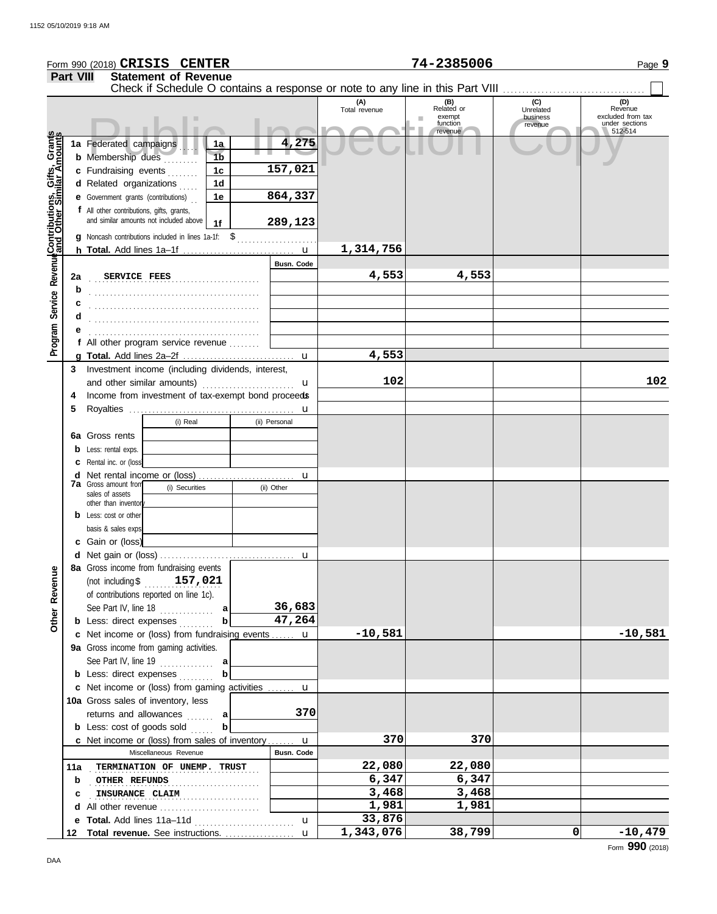|                                                      |                  |                                                                             | Form 990 (2018) CRISIS CENTER                         |                                        |                   |                      | 74-2385006                                                                    |                                         | Page 9                                                           |
|------------------------------------------------------|------------------|-----------------------------------------------------------------------------|-------------------------------------------------------|----------------------------------------|-------------------|----------------------|-------------------------------------------------------------------------------|-----------------------------------------|------------------------------------------------------------------|
|                                                      | <b>Part VIII</b> |                                                                             | <b>Statement of Revenue</b>                           |                                        |                   |                      |                                                                               |                                         |                                                                  |
|                                                      |                  |                                                                             |                                                       |                                        |                   |                      | Check if Schedule O contains a response or note to any line in this Part VIII |                                         |                                                                  |
|                                                      |                  | 1a Federated campaigns                                                      |                                                       | 1a                                     | 4,275             | (A)<br>Total revenue | (B)<br>Related or<br>exempt<br>function<br>revenue                            | (C)<br>Unrelated<br>business<br>revenue | (D)<br>Revenue<br>excluded from tax<br>under sections<br>512-514 |
| Program Service Revenue Contributions, Gifts, Grants |                  | <b>b</b> Membership dues<br>c Fundraising events<br>d Related organizations |                                                       | 1 <sub>b</sub><br>1c<br>1 <sub>d</sub> | 157,021           |                      |                                                                               |                                         |                                                                  |
|                                                      |                  | <b>e</b> Government grants (contributions)                                  |                                                       | 1е                                     | 864,337           |                      |                                                                               |                                         |                                                                  |
|                                                      |                  | f All other contributions, gifts, grants,                                   | and similar amounts not included above                | 1f                                     | 289,123           |                      |                                                                               |                                         |                                                                  |
|                                                      |                  |                                                                             | g Noncash contributions included in lines 1a-1f: \$   |                                        |                   | 1,314,756            |                                                                               |                                         |                                                                  |
|                                                      |                  |                                                                             |                                                       |                                        | Busn. Code        |                      |                                                                               |                                         |                                                                  |
|                                                      | 2a<br>b          | SERVICE FEES                                                                |                                                       |                                        |                   | 4,553                | 4,553                                                                         |                                         |                                                                  |
|                                                      |                  |                                                                             |                                                       |                                        |                   |                      |                                                                               |                                         |                                                                  |
|                                                      |                  |                                                                             |                                                       |                                        |                   |                      |                                                                               |                                         |                                                                  |
|                                                      | d                |                                                                             |                                                       |                                        |                   |                      |                                                                               |                                         |                                                                  |
|                                                      |                  |                                                                             |                                                       |                                        |                   |                      |                                                                               |                                         |                                                                  |
|                                                      |                  |                                                                             | f All other program service revenue                   |                                        |                   |                      |                                                                               |                                         |                                                                  |
|                                                      |                  |                                                                             |                                                       |                                        | u                 | 4,553                |                                                                               |                                         |                                                                  |
|                                                      | 3                |                                                                             | Investment income (including dividends, interest,     |                                        |                   | 102                  |                                                                               |                                         |                                                                  |
|                                                      |                  | and other similar amounts)                                                  |                                                       |                                        | u                 |                      |                                                                               |                                         | 102                                                              |
|                                                      | 4                |                                                                             | Income from investment of tax-exempt bond proceeds    |                                        |                   |                      |                                                                               |                                         |                                                                  |
|                                                      | 5                |                                                                             |                                                       |                                        | u                 |                      |                                                                               |                                         |                                                                  |
|                                                      |                  |                                                                             | (i) Real                                              |                                        | (ii) Personal     |                      |                                                                               |                                         |                                                                  |
|                                                      |                  | 6a Gross rents                                                              |                                                       |                                        |                   |                      |                                                                               |                                         |                                                                  |
|                                                      | b                | Less: rental exps.                                                          |                                                       |                                        |                   |                      |                                                                               |                                         |                                                                  |
|                                                      | с                | Rental inc. or (loss)                                                       |                                                       |                                        |                   |                      |                                                                               |                                         |                                                                  |
|                                                      | d                | <b>7a</b> Gross amount from                                                 | Net rental income or (loss)                           |                                        | u                 |                      |                                                                               |                                         |                                                                  |
|                                                      |                  | sales of assets                                                             | (i) Securities                                        |                                        | (ii) Other        |                      |                                                                               |                                         |                                                                  |
|                                                      |                  | other than inventor                                                         |                                                       |                                        |                   |                      |                                                                               |                                         |                                                                  |
|                                                      |                  | <b>b</b> Less: cost or other                                                |                                                       |                                        |                   |                      |                                                                               |                                         |                                                                  |
|                                                      |                  | basis & sales exps                                                          |                                                       |                                        |                   |                      |                                                                               |                                         |                                                                  |
|                                                      |                  | c Gain or (loss)                                                            |                                                       |                                        |                   |                      |                                                                               |                                         |                                                                  |
|                                                      |                  |                                                                             |                                                       |                                        |                   |                      |                                                                               |                                         |                                                                  |
|                                                      |                  |                                                                             | 8a Gross income from fundraising events               |                                        |                   |                      |                                                                               |                                         |                                                                  |
|                                                      |                  |                                                                             | (not including $$157,021$                             |                                        |                   |                      |                                                                               |                                         |                                                                  |
|                                                      |                  |                                                                             | of contributions reported on line 1c).                |                                        |                   |                      |                                                                               |                                         |                                                                  |
|                                                      |                  |                                                                             | See Part IV, line 18                                  | a                                      | 36,683            |                      |                                                                               |                                         |                                                                  |
| Other Revenue                                        |                  |                                                                             | <b>b</b> Less: direct expenses                        | $\mathbf b$                            | 47,264            |                      |                                                                               |                                         |                                                                  |
|                                                      |                  |                                                                             | c Net income or (loss) from fundraising events  u     |                                        |                   | $-10,581$            |                                                                               |                                         | $-10,581$                                                        |
|                                                      |                  |                                                                             | 9a Gross income from gaming activities.               |                                        |                   |                      |                                                                               |                                         |                                                                  |
|                                                      |                  |                                                                             | See Part IV, line $19$                                | a                                      |                   |                      |                                                                               |                                         |                                                                  |
|                                                      |                  |                                                                             | <b>b</b> Less: direct expenses                        | b                                      |                   |                      |                                                                               |                                         |                                                                  |
|                                                      |                  |                                                                             | c Net income or (loss) from gaming activities         |                                        | u                 |                      |                                                                               |                                         |                                                                  |
|                                                      |                  |                                                                             | 10a Gross sales of inventory, less                    |                                        |                   |                      |                                                                               |                                         |                                                                  |
|                                                      |                  |                                                                             | returns and allowances                                | a                                      | 370               |                      |                                                                               |                                         |                                                                  |
|                                                      |                  |                                                                             | <b>b</b> Less: $cost$ of goods sold $\ldots$          | b                                      |                   |                      |                                                                               |                                         |                                                                  |
|                                                      |                  |                                                                             | <b>c</b> Net income or (loss) from sales of inventory |                                        | u                 | 370                  | 370                                                                           |                                         |                                                                  |
|                                                      |                  |                                                                             | Miscellaneous Revenue                                 |                                        | <b>Busn. Code</b> |                      |                                                                               |                                         |                                                                  |
|                                                      | 11a              |                                                                             | TERMINATION OF UNEMP. TRUST                           |                                        |                   | 22,080               | 22,080                                                                        |                                         |                                                                  |
|                                                      | b                | OTHER REFUNDS                                                               |                                                       | .                                      |                   | 6,347                | 6,347                                                                         |                                         |                                                                  |
|                                                      | с                |                                                                             | INSURANCE CLAIM                                       |                                        |                   | 3,468                | 3,468                                                                         |                                         |                                                                  |
|                                                      |                  |                                                                             | d All other revenue                                   |                                        |                   | 1,981                | 1,981                                                                         |                                         |                                                                  |
|                                                      | е                |                                                                             |                                                       |                                        | $\mathbf u$       | 33,876               |                                                                               |                                         |                                                                  |
|                                                      |                  |                                                                             | 12 Total revenue. See instructions.                   |                                        | u                 | 1,343,076            | 38,799                                                                        | 0                                       | $-10,479$                                                        |

Form **990** (2018)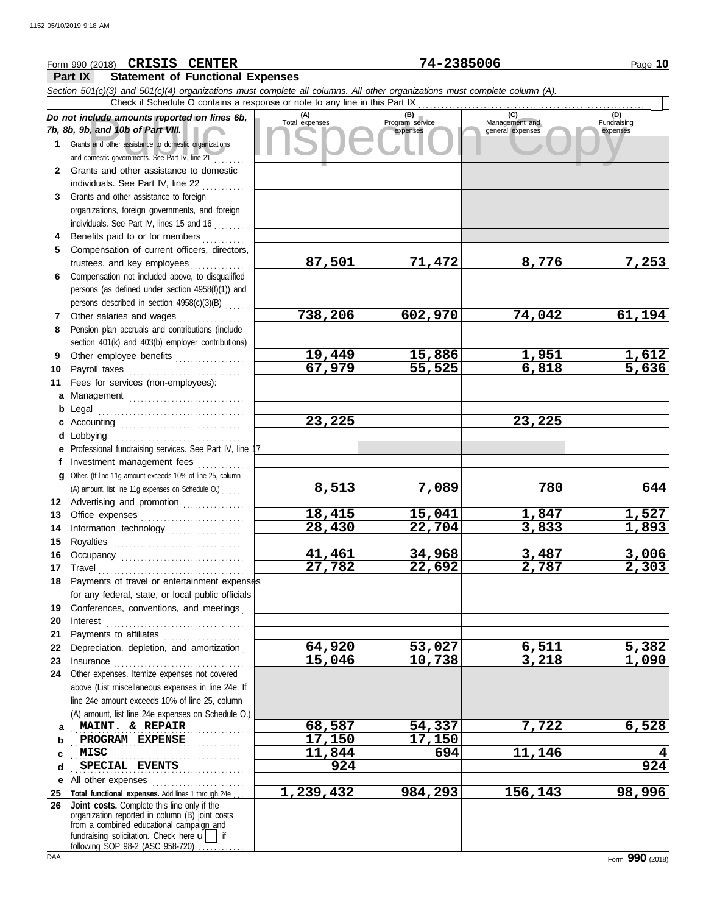## Course amounts reported on lines 6b, Total expenses<br>
Program service Management and Copyright Service Expenses<br>
and other assistance to domestic organizations<br>
Sand other assistance to domestic organizations<br>
Sand other as **Part IX Statement of Functional Expenses** Form 990 (2018) Page **10 CRISIS CENTER 74-2385006** *Section 501(c)(3) and 501(c)(4) organizations must complete all columns. All other organizations must complete column (A). Do not include amounts reported on lines 6b, 7b, 8b, 9b, and 10b of Part VIII.* **1 2 3 4** Benefits paid to or for members **........**.. **5 6** Compensation not included above, to disqualified **7** Other salaries and wages **. . . . . . . . . . . .** . . **8 9 10** Payroll taxes ............................... **11 a** Management .............................. **b** Legal **c** Accounting . . . . . . . . . . . . . . . . . . . . . . . . . . . . . . . . **d** Lobbying . . . . . . . . . . . . . . . . . . . . . . . . . . . . . . . . . . . **e** Professional fundraising services. See Part IV, line 17 **f g 12** Advertising and promotion ............... **13** Office expenses **.......................**... **14 15 16 17** Travel . . . . . . . . . . . . . . . . . . . . . . . . . . . . . . . . . . . . . . **18** Payments of travel or entertainment expenses **19 20** Interest . . . . . . . . . . . . . . . . . . . . . . . . . . . . . . . . . . . . **21 22** Depreciation, depletion, and amortization . **23** Insurance . . . . . . . . . . . . . . . . . . . . . . . . . . . . . . . . . . **24** Other expenses. Itemize expenses not covered **a** . . . . . . . . . . . . . . . . . . . . . . . . . . . . . . . . . . . . . . . . . . . . . **MAINT. & REPAIR 68,587 54,337 7,722 6,528 b** PROGRAM EXPENSE  $\begin{array}{|c|c|c|c|c|c|c|} \hline & 17,150 & 17,150 \hline \end{array}$ **c d e** All other expenses . . . . . . . . . . . . . . . . . . . . . . . . **25 Total functional expenses.** Add lines 1 through 24e . . . **26** Grants and other assistance to domestic organizations and domestic governments. See Part IV, line 21 . . . . . . . . Grants and other assistance to domestic individuals. See Part IV, line 22 Grants and other assistance to foreign organizations, foreign governments, and foreign individuals. See Part IV, lines 15 and 16 Compensation of current officers, directors, trustees, and key employees ............... persons (as defined under section 4958(f)(1)) and persons described in section 4958(c)(3)(B) . . . . . Pension plan accruals and contributions (include section 401(k) and 403(b) employer contributions) Other employee benefits .................. Fees for services (non-employees): . . . . . . . . . . . . . . . . . . . . . . . . . . . . . . . . . . . . . . Investment management fees Other. (If line 11g amount exceeds 10% of line 25, column Information technology . . . . . . . . . . . . . . . . . . . . Royalties . . . . . . . . . . . . . . . . . . . . . . . . . . . . . . . . . . Occupancy . . . . . . . . . . . . . . . . . . . . . . . . . . . . . . . . for any federal, state, or local public officials Conferences, conventions, and meetings . Payments to affiliates . . . . . . . . . . . . . . . . . . . . . above (List miscellaneous expenses in line 24e. If line 24e amount exceeds 10% of line 25, column (A) amount, list line 24e expenses on Schedule O.) organization reported in column (B) joint costs from a combined educational campaign and **(A) (B) (C) (D)** Total expenses Program service Management and expenses (B)<br>
Program service Management and<br>
expenses general expenses Fundraising expenses . . . . . . . . . . . . . . . . . . . . . . . . . . . . . . . . . . . . . . . . . . . . . . . . . . . . . . . . . . . . . . . . . . . . . . . . . . . . . . . . . . . . . . . . . . **SPECIAL EVENTS 924 924** Check if Schedule O contains a response or note to any line in this Part IX . . . . . . . . . . . . . . . . . . . . . . . . . . . . . . . . . . . . . . . . . . . . . . . . . . . . . . . . . . . **Joint costs.** Complete this line only if the (A) amount, list line 11g expenses on Schedule O.) . . . . . . **87,501 71,472 8,776 7,253 738,206 602,970 74,042 61,194 19,449 15,886 1,951 1,612 67,979 55,525 6,818 5,636 23,225 23,225 8,513 7,089 780 644 18,415 15,041 1,847 1,527 28,430 22,704 3,833 1,893 41,461 34,968 3,487 3,006 27,782 22,692 2,787 2,303 64,920 53,027 6,511 5,382 15,046 10,738 3,218 1,090 MISC 11,844 694 11,146 4 1,239,432 984,293 156,143 98,996**

fundraising solicitation. Check here  $\mathbf{u}$  | if

following SOP 98-2 (ASC 958-720)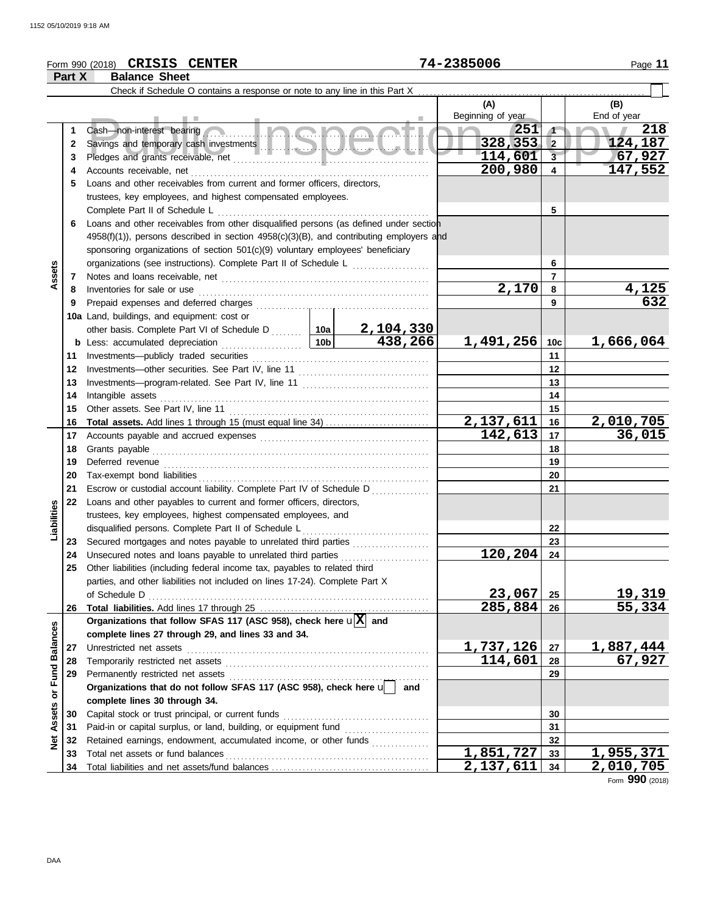## Form 990 (2018) Page **11 CRISIS CENTER 74-2385006**

|                   | Part X   | <b>Balance Sheet</b>                                                                                                           |     |                             |                 |                         |
|-------------------|----------|--------------------------------------------------------------------------------------------------------------------------------|-----|-----------------------------|-----------------|-------------------------|
|                   |          | Check if Schedule O contains a response or note to any line in this Part X                                                     |     |                             |                 |                         |
|                   |          |                                                                                                                                |     | (A)                         |                 | (B)                     |
|                   |          |                                                                                                                                |     | Beginning of year           |                 | End of year             |
|                   | 1        | 5 Inche<br>Cash-non-interest bearing                                                                                           |     | 251                         | $\sqrt{ }$      | 218                     |
|                   | 2        |                                                                                                                                |     | 328, 353                    | $\vert$ 2       | 124,187                 |
|                   | 3        |                                                                                                                                |     | 114,601                     | 3               | 67,927                  |
|                   | 4        |                                                                                                                                |     | 200,980                     | $\overline{4}$  | 147,552                 |
|                   | 5        | Loans and other receivables from current and former officers, directors,                                                       |     |                             |                 |                         |
|                   |          | trustees, key employees, and highest compensated employees.                                                                    |     |                             |                 |                         |
|                   |          | Complete Part II of Schedule L                                                                                                 |     |                             | 5               |                         |
|                   | 6        | Loans and other receivables from other disqualified persons (as defined under section                                          |     |                             |                 |                         |
|                   |          | 4958(f)(1)), persons described in section 4958(c)(3)(B), and contributing employers and                                        |     |                             |                 |                         |
|                   |          | sponsoring organizations of section 501(c)(9) voluntary employees' beneficiary                                                 |     |                             |                 |                         |
|                   |          | organizations (see instructions). Complete Part II of Schedule L                                                               |     |                             | 6               |                         |
| Assets            | 7        |                                                                                                                                |     |                             | $\overline{7}$  |                         |
|                   | 8        | Inventories for sale or use                                                                                                    |     | 2,170                       | 8               | $\frac{4,125}{632}$     |
|                   | 9        | Prepaid expenses and deferred charges                                                                                          |     |                             | 9               |                         |
|                   |          | 10a Land, buildings, and equipment: cost or                                                                                    |     |                             |                 |                         |
|                   |          | other basis. Complete Part VI of Schedule D  10a 2, 104, 330<br>Less: accumulated depreciation 10b 438, 266                    |     |                             |                 |                         |
|                   | b        | Less: accumulated depreciation                                                                                                 |     | 1,491,256                   | 10 <sub>c</sub> | 1,666,064               |
|                   | 11       | Investments--publicly traded securities                                                                                        |     |                             | 11              |                         |
|                   | 12       |                                                                                                                                |     |                             | 12              |                         |
|                   | 13       |                                                                                                                                |     |                             | 13              |                         |
|                   | 14       | Intangible assets                                                                                                              |     |                             | 14              |                         |
|                   | 15       | Other assets. See Part IV, line 11                                                                                             |     |                             | 15              |                         |
|                   | 16       |                                                                                                                                |     | $\frac{2,137,611}{142,613}$ | 16              | <u>2,010,705</u>        |
|                   | 17       |                                                                                                                                |     |                             | 17              | 36,015                  |
|                   | 18       |                                                                                                                                |     |                             | 18              |                         |
|                   | 19       |                                                                                                                                |     |                             | 19              |                         |
|                   | 20       |                                                                                                                                |     |                             | 20              |                         |
|                   | 21       | Escrow or custodial account liability. Complete Part IV of Schedule D                                                          |     |                             | 21              |                         |
|                   | 22       | Loans and other payables to current and former officers, directors,                                                            |     |                             |                 |                         |
|                   |          | trustees, key employees, highest compensated employees, and                                                                    |     |                             |                 |                         |
| Liabilities       |          | disqualified persons. Complete Part II of Schedule L                                                                           |     |                             | 22<br>23        |                         |
|                   | 23<br>24 | Secured mortgages and notes payable to unrelated third parties<br>Unsecured notes and loans payable to unrelated third parties |     | 120,204                     | 24              |                         |
|                   | 25       | Other liabilities (including federal income tax, payables to related third                                                     |     |                             |                 |                         |
|                   |          | parties, and other liabilities not included on lines 17-24). Complete Part X                                                   |     |                             |                 |                         |
|                   |          | of Schedule D                                                                                                                  |     | 23,067                      | 25              |                         |
|                   | 26       |                                                                                                                                |     | 285,884                     | 26              | <u>19,319</u><br>55,334 |
|                   |          | Organizations that follow SFAS 117 (ASC 958), check here $\mathbf{u}[\overline{X}]$ and                                        |     |                             |                 |                         |
|                   |          | complete lines 27 through 29, and lines 33 and 34.                                                                             |     |                             |                 |                         |
|                   | 27       | Unrestricted net assets                                                                                                        |     | 1,737,126                   | 27              | 1,887,444               |
| or Fund Balances  | 28       | Temporarily restricted net assets                                                                                              |     | 114,601                     | 28              | 67,927                  |
|                   | 29       | Permanently restricted net assets                                                                                              |     |                             | 29              |                         |
|                   |          | Organizations that do not follow SFAS 117 (ASC 958), check here u                                                              | and |                             |                 |                         |
|                   |          | complete lines 30 through 34.                                                                                                  |     |                             |                 |                         |
|                   | 30       | Capital stock or trust principal, or current funds                                                                             |     |                             | 30              |                         |
|                   | 31       | Paid-in or capital surplus, or land, building, or equipment fund [[[[[[[[[[[[[[[[[[[[[[[[[[[[[[[[[[[                           |     |                             | 31              |                         |
| <b>Net Assets</b> | 32       | Retained earnings, endowment, accumulated income, or other funds                                                               |     |                             | 32              |                         |
|                   | 33       | Total net assets or fund balances                                                                                              |     | 1,851,727                   | 33              | 1,955,371               |
|                   | 34       |                                                                                                                                |     | 2,137,611                   | 34              | <u>2,010,705</u>        |

Form **990** (2018)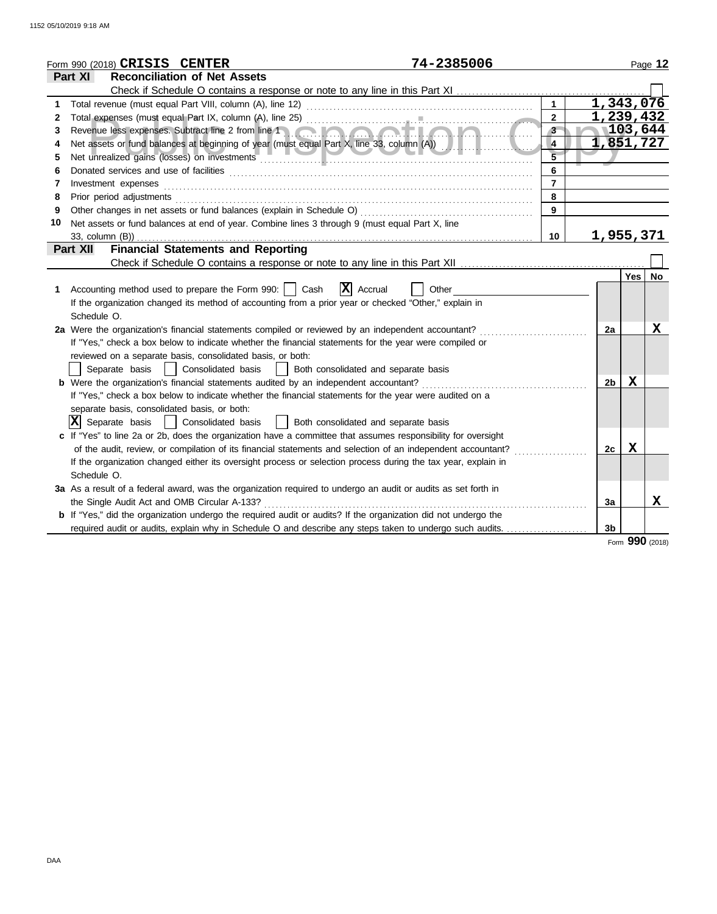|    | 74-2385006<br>Form 990 (2018) CRISIS CENTER                                                                                                                                                                                                |                |                |             | Page 12     |
|----|--------------------------------------------------------------------------------------------------------------------------------------------------------------------------------------------------------------------------------------------|----------------|----------------|-------------|-------------|
|    | <b>Reconciliation of Net Assets</b><br>Part XI                                                                                                                                                                                             |                |                |             |             |
|    | Check if Schedule O contains a response or note to any line in this Part XI                                                                                                                                                                |                |                |             |             |
| 1  |                                                                                                                                                                                                                                            | $\mathbf{1}$   | 1,343,076      |             |             |
| 2  |                                                                                                                                                                                                                                            | $\overline{2}$ | 1,239,432      |             |             |
| 3  | Revenue less expenses. Subtract line 2 from line 1 and 2 for the 2 for the 2 for the 2 months of the 2 for the 2 for the 2 for the 2 for the 2 for the 2 for the 2 for the 2 for the 2 for the 2 for the 2 for the 2 for the 2<br><b>.</b> | 3 <sup>1</sup> |                | 103,644     |             |
| 4  |                                                                                                                                                                                                                                            | $\overline{4}$ | 1,851,727      |             |             |
| 5  | Net unrealized gains (losses) on investments entertainment and all the mean and contained a mean and the mean of                                                                                                                           | $\overline{5}$ |                |             |             |
| 6  |                                                                                                                                                                                                                                            | 6              |                |             |             |
| 7  | Investment expenses <b>constant expenses</b>                                                                                                                                                                                               | $\overline{7}$ |                |             |             |
| 8  | Prior period adjustments [11, 12] and the contract of the contract of the contract of the contract of the contract of the contract of the contract of the contract of the contract of the contract of the contract of the cont             | 8              |                |             |             |
| 9  |                                                                                                                                                                                                                                            | $\overline{9}$ |                |             |             |
| 10 | Net assets or fund balances at end of year. Combine lines 3 through 9 (must equal Part X, line                                                                                                                                             |                |                |             |             |
|    | 33, column (B))                                                                                                                                                                                                                            | 10             | 1,955,371      |             |             |
|    | <b>Financial Statements and Reporting</b><br><b>Part XII</b>                                                                                                                                                                               |                |                |             |             |
|    |                                                                                                                                                                                                                                            |                |                |             |             |
|    |                                                                                                                                                                                                                                            |                |                | Yes         | <b>No</b>   |
| 1  | $ \mathbf{X} $ Accrual<br>Accounting method used to prepare the Form 990:     Cash<br>Other                                                                                                                                                |                |                |             |             |
|    | If the organization changed its method of accounting from a prior year or checked "Other," explain in                                                                                                                                      |                |                |             |             |
|    | Schedule O.                                                                                                                                                                                                                                |                |                |             |             |
|    | 2a Were the organization's financial statements compiled or reviewed by an independent accountant?                                                                                                                                         |                | 2a             |             | X           |
|    | If "Yes," check a box below to indicate whether the financial statements for the year were compiled or                                                                                                                                     |                |                |             |             |
|    | reviewed on a separate basis, consolidated basis, or both:                                                                                                                                                                                 |                |                |             |             |
|    | Separate basis   Consolidated basis   Both consolidated and separate basis                                                                                                                                                                 |                |                |             |             |
|    | b Were the organization's financial statements audited by an independent accountant?                                                                                                                                                       |                | 2 <sub>b</sub> | $\mathbf x$ |             |
|    | If "Yes," check a box below to indicate whether the financial statements for the year were audited on a                                                                                                                                    |                |                |             |             |
|    | separate basis, consolidated basis, or both:                                                                                                                                                                                               |                |                |             |             |
|    | $ X $ Separate basis   $ $ Consolidated basis<br>  Both consolidated and separate basis                                                                                                                                                    |                |                |             |             |
|    | c If "Yes" to line 2a or 2b, does the organization have a committee that assumes responsibility for oversight                                                                                                                              |                |                |             |             |
|    | of the audit, review, or compilation of its financial statements and selection of an independent accountant?                                                                                                                               |                | 2c             | X           |             |
|    | If the organization changed either its oversight process or selection process during the tax year, explain in                                                                                                                              |                |                |             |             |
|    | Schedule O.                                                                                                                                                                                                                                |                |                |             |             |
|    | 3a As a result of a federal award, was the organization required to undergo an audit or audits as set forth in                                                                                                                             |                |                |             |             |
|    | the Single Audit Act and OMB Circular A-133?                                                                                                                                                                                               |                | 3a             |             | $\mathbf x$ |
|    | <b>b</b> If "Yes," did the organization undergo the required audit or audits? If the organization did not undergo the                                                                                                                      |                |                |             |             |
|    | required audit or audits, explain why in Schedule O and describe any steps taken to undergo such audits.                                                                                                                                   |                | 3b             |             |             |
|    |                                                                                                                                                                                                                                            |                |                |             |             |

Form **990** (2018)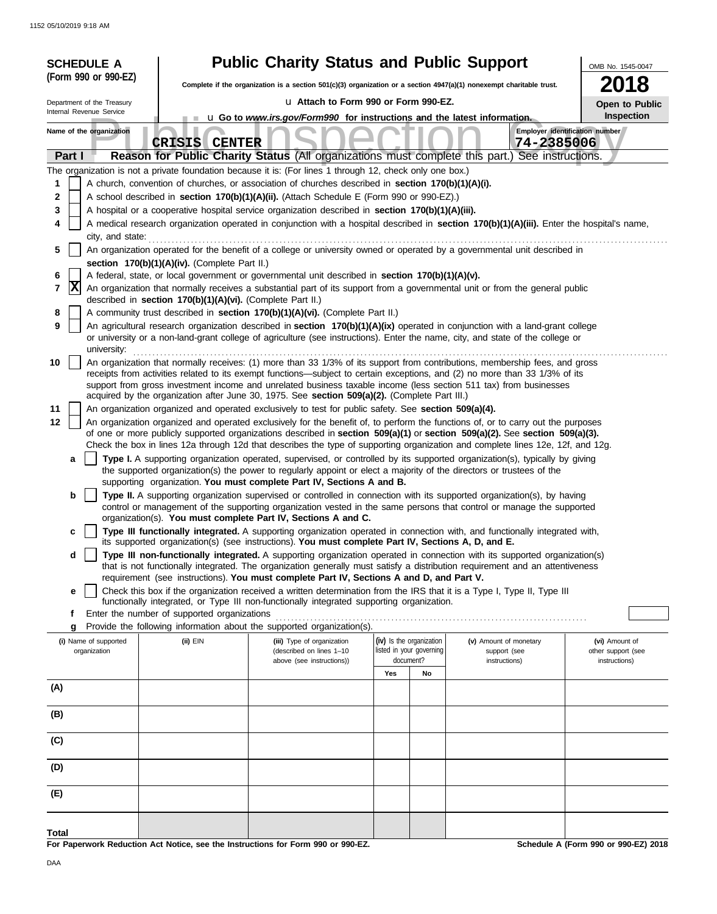| <b>Public Charity Status and Public Support</b><br>OMB No. 1545-0047<br>(Form 990 or 990-EZ)<br>2018<br>Complete if the organization is a section 501(c)(3) organization or a section 4947(a)(1) nonexempt charitable trust.<br>u Attach to Form 990 or Form 990-EZ.<br>Department of the Treasury<br><b>Open to Public</b><br>Internal Revenue Service<br>Inspection<br><b>u</b> Go to <i>www.irs.gov/Form990</i> for instructions and the latest information.<br>Employer identification number<br>Name of the organization<br><b>CRISIS CENTER</b><br>74-2385006<br>Reason for Public Charity Status (All organizations must complete this part.) See instructions.<br>Part I<br>The organization is not a private foundation because it is: (For lines 1 through 12, check only one box.)<br>1<br>A church, convention of churches, or association of churches described in section 170(b)(1)(A)(i).<br>2<br>A school described in section 170(b)(1)(A)(ii). (Attach Schedule E (Form 990 or 990-EZ).)<br>3<br>A hospital or a cooperative hospital service organization described in section 170(b)(1)(A)(iii).<br>A medical research organization operated in conjunction with a hospital described in section 170(b)(1)(A)(iii). Enter the hospital's name,<br>4<br>city, and state:<br>An organization operated for the benefit of a college or university owned or operated by a governmental unit described in<br>5<br>section 170(b)(1)(A)(iv). (Complete Part II.)<br>A federal, state, or local government or governmental unit described in section 170(b)(1)(A)(v).<br>6<br> X<br>An organization that normally receives a substantial part of its support from a governmental unit or from the general public<br>7<br>described in section 170(b)(1)(A)(vi). (Complete Part II.)<br>A community trust described in section 170(b)(1)(A)(vi). (Complete Part II.)<br>8                                                                                                                                                                                                                                                                                                                                                                                                                                                                                                                                                                                                                                                                                                                                                                                                                                                                                                                                                                                                                                                        |  |
|----------------------------------------------------------------------------------------------------------------------------------------------------------------------------------------------------------------------------------------------------------------------------------------------------------------------------------------------------------------------------------------------------------------------------------------------------------------------------------------------------------------------------------------------------------------------------------------------------------------------------------------------------------------------------------------------------------------------------------------------------------------------------------------------------------------------------------------------------------------------------------------------------------------------------------------------------------------------------------------------------------------------------------------------------------------------------------------------------------------------------------------------------------------------------------------------------------------------------------------------------------------------------------------------------------------------------------------------------------------------------------------------------------------------------------------------------------------------------------------------------------------------------------------------------------------------------------------------------------------------------------------------------------------------------------------------------------------------------------------------------------------------------------------------------------------------------------------------------------------------------------------------------------------------------------------------------------------------------------------------------------------------------------------------------------------------------------------------------------------------------------------------------------------------------------------------------------------------------------------------------------------------------------------------------------------------------------------------------------------------------------------------------------------------------------------------------------------------------------------------------------------------------------------------------------------------------------------------------------------------------------------------------------------------------------------------------------------------------------------------------------------------------------------------------------------------------------------------------------------------------------------------------------------------------------------------|--|
|                                                                                                                                                                                                                                                                                                                                                                                                                                                                                                                                                                                                                                                                                                                                                                                                                                                                                                                                                                                                                                                                                                                                                                                                                                                                                                                                                                                                                                                                                                                                                                                                                                                                                                                                                                                                                                                                                                                                                                                                                                                                                                                                                                                                                                                                                                                                                                                                                                                                                                                                                                                                                                                                                                                                                                                                                                                                                                                                              |  |
|                                                                                                                                                                                                                                                                                                                                                                                                                                                                                                                                                                                                                                                                                                                                                                                                                                                                                                                                                                                                                                                                                                                                                                                                                                                                                                                                                                                                                                                                                                                                                                                                                                                                                                                                                                                                                                                                                                                                                                                                                                                                                                                                                                                                                                                                                                                                                                                                                                                                                                                                                                                                                                                                                                                                                                                                                                                                                                                                              |  |
|                                                                                                                                                                                                                                                                                                                                                                                                                                                                                                                                                                                                                                                                                                                                                                                                                                                                                                                                                                                                                                                                                                                                                                                                                                                                                                                                                                                                                                                                                                                                                                                                                                                                                                                                                                                                                                                                                                                                                                                                                                                                                                                                                                                                                                                                                                                                                                                                                                                                                                                                                                                                                                                                                                                                                                                                                                                                                                                                              |  |
|                                                                                                                                                                                                                                                                                                                                                                                                                                                                                                                                                                                                                                                                                                                                                                                                                                                                                                                                                                                                                                                                                                                                                                                                                                                                                                                                                                                                                                                                                                                                                                                                                                                                                                                                                                                                                                                                                                                                                                                                                                                                                                                                                                                                                                                                                                                                                                                                                                                                                                                                                                                                                                                                                                                                                                                                                                                                                                                                              |  |
|                                                                                                                                                                                                                                                                                                                                                                                                                                                                                                                                                                                                                                                                                                                                                                                                                                                                                                                                                                                                                                                                                                                                                                                                                                                                                                                                                                                                                                                                                                                                                                                                                                                                                                                                                                                                                                                                                                                                                                                                                                                                                                                                                                                                                                                                                                                                                                                                                                                                                                                                                                                                                                                                                                                                                                                                                                                                                                                                              |  |
| 9<br>An agricultural research organization described in section 170(b)(1)(A)(ix) operated in conjunction with a land-grant college<br>or university or a non-land-grant college of agriculture (see instructions). Enter the name, city, and state of the college or<br>university:<br>An organization that normally receives: (1) more than 33 1/3% of its support from contributions, membership fees, and gross<br>10<br>receipts from activities related to its exempt functions—subject to certain exceptions, and (2) no more than 33 1/3% of its<br>support from gross investment income and unrelated business taxable income (less section 511 tax) from businesses<br>acquired by the organization after June 30, 1975. See section 509(a)(2). (Complete Part III.)<br>11<br>An organization organized and operated exclusively to test for public safety. See section 509(a)(4).<br>An organization organized and operated exclusively for the benefit of, to perform the functions of, or to carry out the purposes<br>12<br>of one or more publicly supported organizations described in section 509(a)(1) or section 509(a)(2). See section 509(a)(3).<br>Check the box in lines 12a through 12d that describes the type of supporting organization and complete lines 12e, 12f, and 12g.<br>Type I. A supporting organization operated, supervised, or controlled by its supported organization(s), typically by giving<br>a<br>the supported organization(s) the power to regularly appoint or elect a majority of the directors or trustees of the<br>supporting organization. You must complete Part IV, Sections A and B.<br>b<br>Type II. A supporting organization supervised or controlled in connection with its supported organization(s), by having<br>control or management of the supporting organization vested in the same persons that control or manage the supported<br>organization(s). You must complete Part IV, Sections A and C.<br>Type III functionally integrated. A supporting organization operated in connection with, and functionally integrated with,<br>с<br>its supported organization(s) (see instructions). You must complete Part IV, Sections A, D, and E.<br>Type III non-functionally integrated. A supporting organization operated in connection with its supported organization(s)<br>d<br>that is not functionally integrated. The organization generally must satisfy a distribution requirement and an attentiveness<br>requirement (see instructions). You must complete Part IV, Sections A and D, and Part V.<br>Check this box if the organization received a written determination from the IRS that it is a Type I, Type II, Type III<br>е<br>functionally integrated, or Type III non-functionally integrated supporting organization.<br>Enter the number of supported organizations<br>f<br>Provide the following information about the supported organization(s).<br>g |  |
| (iv) Is the organization<br>(i) Name of supported<br>(ii) EIN<br>(iii) Type of organization<br>(v) Amount of monetary<br>(vi) Amount of                                                                                                                                                                                                                                                                                                                                                                                                                                                                                                                                                                                                                                                                                                                                                                                                                                                                                                                                                                                                                                                                                                                                                                                                                                                                                                                                                                                                                                                                                                                                                                                                                                                                                                                                                                                                                                                                                                                                                                                                                                                                                                                                                                                                                                                                                                                                                                                                                                                                                                                                                                                                                                                                                                                                                                                                      |  |
| listed in your governing<br>organization<br>(described on lines 1-10<br>other support (see<br>support (see<br>document?<br>above (see instructions))<br>instructions)<br>instructions)                                                                                                                                                                                                                                                                                                                                                                                                                                                                                                                                                                                                                                                                                                                                                                                                                                                                                                                                                                                                                                                                                                                                                                                                                                                                                                                                                                                                                                                                                                                                                                                                                                                                                                                                                                                                                                                                                                                                                                                                                                                                                                                                                                                                                                                                                                                                                                                                                                                                                                                                                                                                                                                                                                                                                       |  |
| Yes<br>No                                                                                                                                                                                                                                                                                                                                                                                                                                                                                                                                                                                                                                                                                                                                                                                                                                                                                                                                                                                                                                                                                                                                                                                                                                                                                                                                                                                                                                                                                                                                                                                                                                                                                                                                                                                                                                                                                                                                                                                                                                                                                                                                                                                                                                                                                                                                                                                                                                                                                                                                                                                                                                                                                                                                                                                                                                                                                                                                    |  |
| (A)                                                                                                                                                                                                                                                                                                                                                                                                                                                                                                                                                                                                                                                                                                                                                                                                                                                                                                                                                                                                                                                                                                                                                                                                                                                                                                                                                                                                                                                                                                                                                                                                                                                                                                                                                                                                                                                                                                                                                                                                                                                                                                                                                                                                                                                                                                                                                                                                                                                                                                                                                                                                                                                                                                                                                                                                                                                                                                                                          |  |
| (B)                                                                                                                                                                                                                                                                                                                                                                                                                                                                                                                                                                                                                                                                                                                                                                                                                                                                                                                                                                                                                                                                                                                                                                                                                                                                                                                                                                                                                                                                                                                                                                                                                                                                                                                                                                                                                                                                                                                                                                                                                                                                                                                                                                                                                                                                                                                                                                                                                                                                                                                                                                                                                                                                                                                                                                                                                                                                                                                                          |  |
| (C)                                                                                                                                                                                                                                                                                                                                                                                                                                                                                                                                                                                                                                                                                                                                                                                                                                                                                                                                                                                                                                                                                                                                                                                                                                                                                                                                                                                                                                                                                                                                                                                                                                                                                                                                                                                                                                                                                                                                                                                                                                                                                                                                                                                                                                                                                                                                                                                                                                                                                                                                                                                                                                                                                                                                                                                                                                                                                                                                          |  |
| (D)                                                                                                                                                                                                                                                                                                                                                                                                                                                                                                                                                                                                                                                                                                                                                                                                                                                                                                                                                                                                                                                                                                                                                                                                                                                                                                                                                                                                                                                                                                                                                                                                                                                                                                                                                                                                                                                                                                                                                                                                                                                                                                                                                                                                                                                                                                                                                                                                                                                                                                                                                                                                                                                                                                                                                                                                                                                                                                                                          |  |
| (E)                                                                                                                                                                                                                                                                                                                                                                                                                                                                                                                                                                                                                                                                                                                                                                                                                                                                                                                                                                                                                                                                                                                                                                                                                                                                                                                                                                                                                                                                                                                                                                                                                                                                                                                                                                                                                                                                                                                                                                                                                                                                                                                                                                                                                                                                                                                                                                                                                                                                                                                                                                                                                                                                                                                                                                                                                                                                                                                                          |  |
| Total<br>For Paperwork Reduction Act Notice, see the Instructions for Form 990 or 990-EZ.<br>Schedule A (Form 990 or 990-EZ) 2018                                                                                                                                                                                                                                                                                                                                                                                                                                                                                                                                                                                                                                                                                                                                                                                                                                                                                                                                                                                                                                                                                                                                                                                                                                                                                                                                                                                                                                                                                                                                                                                                                                                                                                                                                                                                                                                                                                                                                                                                                                                                                                                                                                                                                                                                                                                                                                                                                                                                                                                                                                                                                                                                                                                                                                                                            |  |

aperwork Reduction Act Notice, see the Instructions for Form 990 or 990-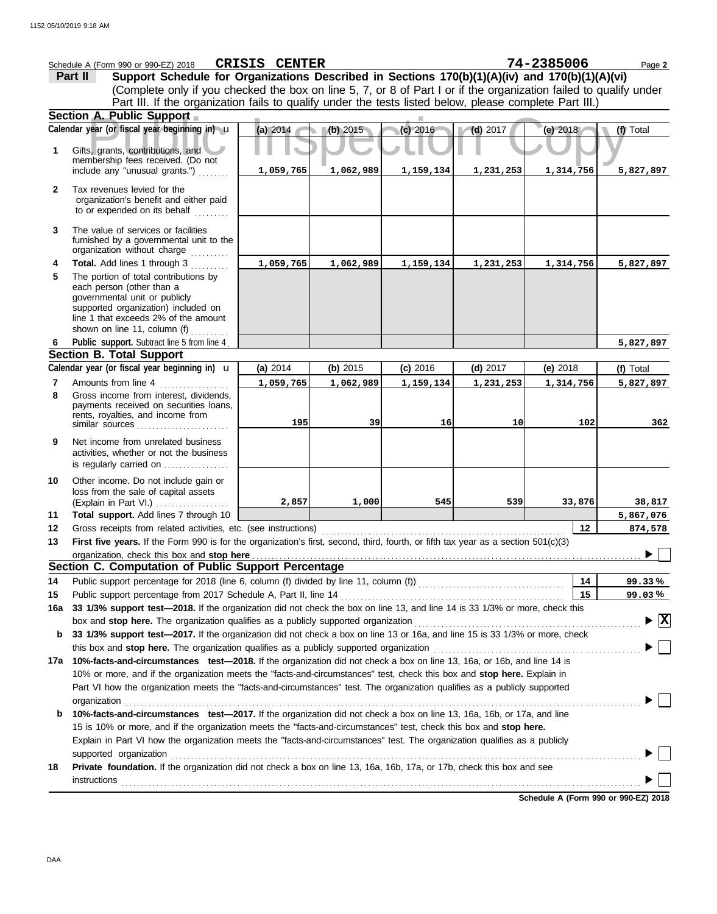|              | Schedule A (Form 990 or 990-EZ) 2018                                                                                                                                                                                                | <b>CRISIS CENTER</b> |           |            |            | 74-2385006 | Page 2                                 |  |
|--------------|-------------------------------------------------------------------------------------------------------------------------------------------------------------------------------------------------------------------------------------|----------------------|-----------|------------|------------|------------|----------------------------------------|--|
|              | Support Schedule for Organizations Described in Sections 170(b)(1)(A)(iv) and 170(b)(1)(A)(vi)<br>Part II                                                                                                                           |                      |           |            |            |            |                                        |  |
|              | (Complete only if you checked the box on line 5, 7, or 8 of Part I or if the organization failed to qualify under                                                                                                                   |                      |           |            |            |            |                                        |  |
|              | Part III. If the organization fails to qualify under the tests listed below, please complete Part III.)                                                                                                                             |                      |           |            |            |            |                                        |  |
|              | Section A. Public Support                                                                                                                                                                                                           |                      |           |            |            |            |                                        |  |
|              | Calendar year (or fiscal year beginning in) u                                                                                                                                                                                       | (a) 2014             | (b) 2015  | $(c)$ 2016 | $(d)$ 2017 | (e) $2018$ | (f) Total                              |  |
| 1            | Gifts, grants, contributions, and<br>membership fees received. (Do not                                                                                                                                                              |                      |           |            |            |            |                                        |  |
|              | include any "unusual grants.")                                                                                                                                                                                                      | 1,059,765            | 1,062,989 | 1,159,134  | 1,231,253  | 1,314,756  | 5,827,897                              |  |
| $\mathbf{2}$ | Tax revenues levied for the<br>organization's benefit and either paid<br>to or expended on its behalf                                                                                                                               |                      |           |            |            |            |                                        |  |
| 3            | The value of services or facilities<br>furnished by a governmental unit to the<br>organization without charge                                                                                                                       |                      |           |            |            |            |                                        |  |
| 4            | Total. Add lines 1 through 3                                                                                                                                                                                                        | 1,059,765            | 1,062,989 | 1,159,134  | 1,231,253  | 1,314,756  | 5,827,897                              |  |
| 5            | The portion of total contributions by<br>each person (other than a<br>governmental unit or publicly<br>supported organization) included on<br>line 1 that exceeds 2% of the amount                                                  |                      |           |            |            |            |                                        |  |
|              | shown on line 11, column (f)                                                                                                                                                                                                        |                      |           |            |            |            |                                        |  |
| 6            | Public support. Subtract line 5 from line 4                                                                                                                                                                                         |                      |           |            |            |            | 5,827,897                              |  |
|              | <b>Section B. Total Support</b>                                                                                                                                                                                                     |                      |           |            |            |            |                                        |  |
|              | Calendar year (or fiscal year beginning in) u                                                                                                                                                                                       | (a) 2014             | (b) 2015  | (c) 2016   | (d) $2017$ | (e) $2018$ | (f) Total                              |  |
| 7            | Amounts from line 4                                                                                                                                                                                                                 | 1,059,765            | 1,062,989 | 1,159,134  | 1,231,253  | 1,314,756  | 5,827,897                              |  |
| 8            | Gross income from interest, dividends,<br>payments received on securities loans,                                                                                                                                                    |                      |           |            |            |            |                                        |  |
|              | rents, royalties, and income from<br>similar sources                                                                                                                                                                                | 195                  | 39        | 16         | 10         | 102        | 362                                    |  |
| 9            | Net income from unrelated business<br>activities, whether or not the business<br>is regularly carried on                                                                                                                            |                      |           |            |            |            |                                        |  |
| 10           | Other income. Do not include gain or                                                                                                                                                                                                |                      |           |            |            |            |                                        |  |
|              | loss from the sale of capital assets                                                                                                                                                                                                |                      |           |            |            |            |                                        |  |
|              | (Explain in Part VI.)                                                                                                                                                                                                               | 2,857                | 1,000     | 545        | 539        | 33,876     | 38,817                                 |  |
| 11           | Total support. Add lines 7 through 10                                                                                                                                                                                               |                      |           |            |            |            | 5,867,076                              |  |
| 12<br>13     | Gross receipts from related activities, etc. (see instructions)<br>First five years. If the Form 990 is for the organization's first, second, third, fourth, or fifth tax year as a section 501(c)(3)                               |                      |           |            |            | 12         | 874,578                                |  |
|              | organization, check this box and stop here <b>construction and construction</b> construction of the box and stop here construction and a stop here construction and a stop here construction and a stop here is a state of the stat |                      |           |            |            |            |                                        |  |
|              | Section C. Computation of Public Support Percentage                                                                                                                                                                                 |                      |           |            |            |            |                                        |  |
| 14           |                                                                                                                                                                                                                                     |                      |           |            |            | 14         | 99.33%                                 |  |
| 15           |                                                                                                                                                                                                                                     |                      |           |            |            | 15         | 99.03%                                 |  |
| 16a          | 33 1/3% support test-2018. If the organization did not check the box on line 13, and line 14 is 33 1/3% or more, check this                                                                                                         |                      |           |            |            |            |                                        |  |
|              |                                                                                                                                                                                                                                     |                      |           |            |            |            | $\blacktriangleright \boxed{\text{X}}$ |  |
| b            | 33 1/3% support test-2017. If the organization did not check a box on line 13 or 16a, and line 15 is 33 1/3% or more, check                                                                                                         |                      |           |            |            |            |                                        |  |
|              | this box and stop here. The organization qualifies as a publicly supported organization [11] content that there is a set of the organization [11] content that the organization [11] content that the organization is a set of      |                      |           |            |            |            |                                        |  |
|              | 17a 10%-facts-and-circumstances test-2018. If the organization did not check a box on line 13, 16a, or 16b, and line 14 is                                                                                                          |                      |           |            |            |            |                                        |  |
|              | 10% or more, and if the organization meets the "facts-and-circumstances" test, check this box and stop here. Explain in                                                                                                             |                      |           |            |            |            |                                        |  |
|              | Part VI how the organization meets the "facts-and-circumstances" test. The organization qualifies as a publicly supported<br>organization                                                                                           |                      |           |            |            |            |                                        |  |
| b            | 10%-facts-and-circumstances test-2017. If the organization did not check a box on line 13, 16a, 16b, or 17a, and line                                                                                                               |                      |           |            |            |            |                                        |  |
|              | 15 is 10% or more, and if the organization meets the "facts-and-circumstances" test, check this box and stop here.                                                                                                                  |                      |           |            |            |            |                                        |  |
|              | Explain in Part VI how the organization meets the "facts-and-circumstances" test. The organization qualifies as a publicly                                                                                                          |                      |           |            |            |            |                                        |  |
|              | supported organization contains and contains a supported organization contains a supported organization                                                                                                                             |                      |           |            |            |            |                                        |  |
| 18           | Private foundation. If the organization did not check a box on line 13, 16a, 16b, 17a, or 17b, check this box and see                                                                                                               |                      |           |            |            |            |                                        |  |
|              | <b>instructions</b>                                                                                                                                                                                                                 |                      |           |            |            |            |                                        |  |
|              |                                                                                                                                                                                                                                     |                      |           |            |            |            |                                        |  |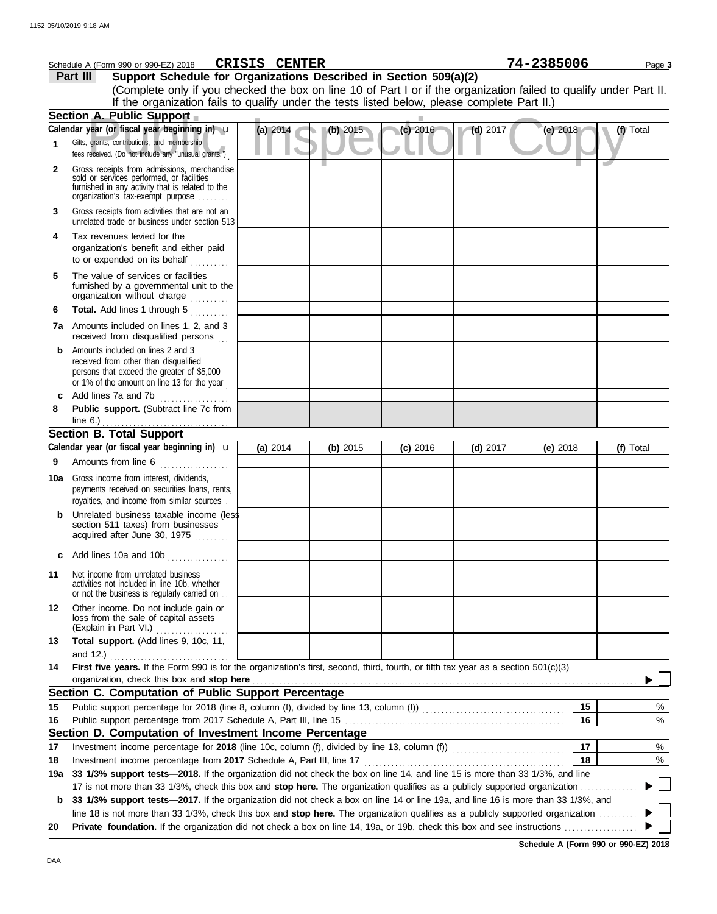|         | Schedule A (Form 990 or 990-EZ) 2018                                                                                                                                                           | <b>CRISIS CENTER</b> |          |            |            | 74-2385006 | Page 3    |
|---------|------------------------------------------------------------------------------------------------------------------------------------------------------------------------------------------------|----------------------|----------|------------|------------|------------|-----------|
|         | Support Schedule for Organizations Described in Section 509(a)(2)<br>Part III                                                                                                                  |                      |          |            |            |            |           |
|         | (Complete only if you checked the box on line 10 of Part I or if the organization failed to qualify under Part II.                                                                             |                      |          |            |            |            |           |
|         | If the organization fails to qualify under the tests listed below, please complete Part II.)                                                                                                   |                      |          |            |            |            |           |
|         | Section A. Public Support                                                                                                                                                                      |                      |          |            |            |            |           |
|         | Calendar year (or fiscal year beginning in) u                                                                                                                                                  | (a) 2014             | (b) 2015 | $(c)$ 2016 | $(d)$ 2017 | $(e)$ 2018 | (f) Total |
| 1       | Gifts, grants, contributions, and membership<br>fees received. (Do not include any "unusual grants.")                                                                                          |                      |          |            |            |            |           |
| 2       | Gross receipts from admissions, merchandise<br>sold or services performed, or facilities<br>furnished in any activity that is related to the<br>organization's tax-exempt purpose              |                      |          |            |            |            |           |
| 3       | Gross receipts from activities that are not an<br>unrelated trade or business under section 513                                                                                                |                      |          |            |            |            |           |
| 4       | Tax revenues levied for the<br>organization's benefit and either paid<br>to or expended on its behalf                                                                                          |                      |          |            |            |            |           |
| 5       | The value of services or facilities<br>furnished by a governmental unit to the<br>organization without charge                                                                                  |                      |          |            |            |            |           |
| 6       | Total. Add lines 1 through 5<br>in in de la p                                                                                                                                                  |                      |          |            |            |            |           |
|         | 7a Amounts included on lines 1, 2, and 3<br>received from disqualified persons                                                                                                                 |                      |          |            |            |            |           |
| b       | Amounts included on lines 2 and 3<br>received from other than disqualified<br>persons that exceed the greater of \$5,000<br>or 1% of the amount on line 13 for the year                        |                      |          |            |            |            |           |
| c       | Add lines 7a and 7b                                                                                                                                                                            |                      |          |            |            |            |           |
| 8       | Public support. (Subtract line 7c from                                                                                                                                                         |                      |          |            |            |            |           |
|         | line 6.) $\ldots$ $\ldots$ $\ldots$ $\ldots$ $\ldots$ $\ldots$<br><b>Section B. Total Support</b>                                                                                              |                      |          |            |            |            |           |
|         | Calendar year (or fiscal year beginning in) <b>u</b>                                                                                                                                           | (a) 2014             | (b) 2015 | (c) 2016   | $(d)$ 2017 | (e) $2018$ | (f) Total |
| 9       | Amounts from line 6                                                                                                                                                                            |                      |          |            |            |            |           |
| 10a     | <u>.</u><br>1980 - Paul Barbara, president al II-lea<br>Gross income from interest, dividends,<br>payments received on securities loans, rents,<br>royalties, and income from similar sources. |                      |          |            |            |            |           |
|         | Unrelated business taxable income (less<br>section 511 taxes) from businesses<br>acquired after June 30, 1975                                                                                  |                      |          |            |            |            |           |
|         | Add lines 10a and 10b                                                                                                                                                                          |                      |          |            |            |            |           |
| 11      | Net income from unrelated business<br>activities not included in line 10b, whether<br>or not the business is regularly carried on                                                              |                      |          |            |            |            |           |
| $12 \,$ | Other income. Do not include gain or<br>loss from the sale of capital assets<br>(Explain in Part VI.)                                                                                          |                      |          |            |            |            |           |
| 13      | Total support. (Add lines 9, 10c, 11,<br>and $12.$ )                                                                                                                                           |                      |          |            |            |            |           |
| 14      | First five years. If the Form 990 is for the organization's first, second, third, fourth, or fifth tax year as a section 501(c)(3)                                                             |                      |          |            |            |            |           |
|         | organization, check this box and stop here<br>Section C. Computation of Public Support Percentage                                                                                              |                      |          |            |            |            |           |
| 15      |                                                                                                                                                                                                |                      |          |            |            | 15         | %         |
| 16      |                                                                                                                                                                                                |                      |          |            |            | 16         | %         |
|         | Section D. Computation of Investment Income Percentage                                                                                                                                         |                      |          |            |            |            |           |
| 17      |                                                                                                                                                                                                |                      |          |            |            | 17         | $\%$      |
| 18      | Investment income percentage from 2017 Schedule A, Part III, line 17                                                                                                                           |                      |          |            |            | 18         | %         |
| 19a     | 33 1/3% support tests—2018. If the organization did not check the box on line 14, and line 15 is more than 33 1/3%, and line                                                                   |                      |          |            |            |            |           |
|         | 17 is not more than 33 1/3%, check this box and stop here. The organization qualifies as a publicly supported organization.                                                                    |                      |          |            |            |            |           |
| b       | 33 1/3% support tests-2017. If the organization did not check a box on line 14 or line 19a, and line 16 is more than 33 1/3%, and                                                              |                      |          |            |            |            |           |
|         | line 18 is not more than 33 1/3%, check this box and stop here. The organization qualifies as a publicly supported organization                                                                |                      |          |            |            |            |           |
| 20      | Private foundation. If the organization did not check a box on line 14, 19a, or 19b, check this box and see instructions                                                                       |                      |          |            |            |            |           |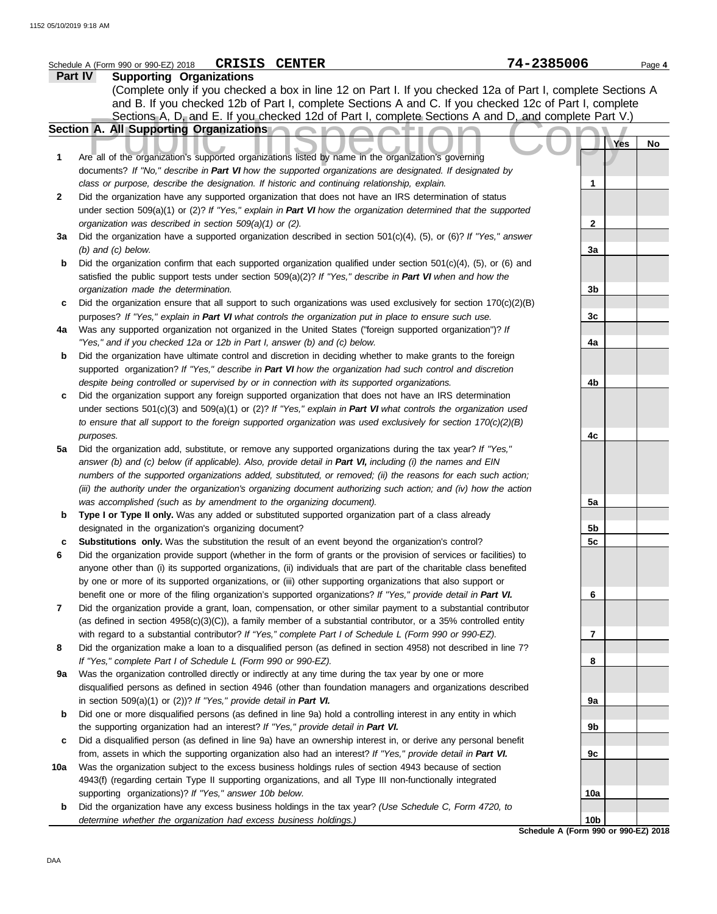|     | <b>CRISIS CENTER</b><br>Schedule A (Form 990 or 990-EZ) 2018                                                                                                                                                                      | 74-2385006                                              | Page 4 |
|-----|-----------------------------------------------------------------------------------------------------------------------------------------------------------------------------------------------------------------------------------|---------------------------------------------------------|--------|
|     | Part IV<br><b>Supporting Organizations</b>                                                                                                                                                                                        |                                                         |        |
|     | (Complete only if you checked a box in line 12 on Part I. If you checked 12a of Part I, complete Sections A                                                                                                                       |                                                         |        |
|     | and B. If you checked 12b of Part I, complete Sections A and C. If you checked 12c of Part I, complete                                                                                                                            |                                                         |        |
|     | Sections A, D, and E. If you checked 12d of Part I, complete Sections A and D, and complete Part V.)                                                                                                                              |                                                         |        |
|     | Section A. All Supporting Organizations                                                                                                                                                                                           |                                                         |        |
|     |                                                                                                                                                                                                                                   | Yes                                                     | No     |
| 1   | Are all of the organization's supported organizations listed by name in the organization's governing                                                                                                                              |                                                         |        |
|     | documents? If "No," describe in Part VI how the supported organizations are designated. If designated by                                                                                                                          |                                                         |        |
|     | class or purpose, describe the designation. If historic and continuing relationship, explain.                                                                                                                                     | 1                                                       |        |
| 2   | Did the organization have any supported organization that does not have an IRS determination of status                                                                                                                            |                                                         |        |
|     | under section 509(a)(1) or (2)? If "Yes," explain in Part VI how the organization determined that the supported                                                                                                                   |                                                         |        |
|     | organization was described in section 509(a)(1) or (2).                                                                                                                                                                           | 2                                                       |        |
| За  | Did the organization have a supported organization described in section 501(c)(4), (5), or (6)? If "Yes," answer                                                                                                                  |                                                         |        |
|     | $(b)$ and $(c)$ below.                                                                                                                                                                                                            | 3a                                                      |        |
| b   | Did the organization confirm that each supported organization qualified under section $501(c)(4)$ , (5), or (6) and                                                                                                               |                                                         |        |
|     | satisfied the public support tests under section 509(a)(2)? If "Yes," describe in Part VI when and how the                                                                                                                        |                                                         |        |
|     | organization made the determination.                                                                                                                                                                                              | 3b                                                      |        |
| c   | Did the organization ensure that all support to such organizations was used exclusively for section $170(c)(2)(B)$                                                                                                                | 3c                                                      |        |
| 4a  | purposes? If "Yes," explain in Part VI what controls the organization put in place to ensure such use.<br>Was any supported organization not organized in the United States ("foreign supported organization")? If                |                                                         |        |
|     | "Yes," and if you checked 12a or 12b in Part I, answer (b) and (c) below.                                                                                                                                                         | 4a                                                      |        |
| b   | Did the organization have ultimate control and discretion in deciding whether to make grants to the foreign                                                                                                                       |                                                         |        |
|     | supported organization? If "Yes," describe in Part VI how the organization had such control and discretion                                                                                                                        |                                                         |        |
|     | despite being controlled or supervised by or in connection with its supported organizations.                                                                                                                                      | 4b                                                      |        |
| c   | Did the organization support any foreign supported organization that does not have an IRS determination                                                                                                                           |                                                         |        |
|     | under sections $501(c)(3)$ and $509(a)(1)$ or (2)? If "Yes," explain in Part VI what controls the organization used                                                                                                               |                                                         |        |
|     | to ensure that all support to the foreign supported organization was used exclusively for section $170(c)(2)(B)$                                                                                                                  |                                                         |        |
|     | purposes.                                                                                                                                                                                                                         | 4c                                                      |        |
| 5a  | Did the organization add, substitute, or remove any supported organizations during the tax year? If "Yes,"                                                                                                                        |                                                         |        |
|     | answer (b) and (c) below (if applicable). Also, provide detail in Part VI, including (i) the names and EIN                                                                                                                        |                                                         |        |
|     | numbers of the supported organizations added, substituted, or removed; (ii) the reasons for each such action;                                                                                                                     |                                                         |        |
|     | (iii) the authority under the organization's organizing document authorizing such action; and (iv) how the action                                                                                                                 |                                                         |        |
|     | was accomplished (such as by amendment to the organizing document).                                                                                                                                                               | 5a                                                      |        |
| b   | Type I or Type II only. Was any added or substituted supported organization part of a class already                                                                                                                               |                                                         |        |
|     | designated in the organization's organizing document?                                                                                                                                                                             | 5b                                                      |        |
| c   | Substitutions only. Was the substitution the result of an event beyond the organization's control?                                                                                                                                | 5c                                                      |        |
|     | Did the organization provide support (whether in the form of grants or the provision of services or facilities) to                                                                                                                |                                                         |        |
|     | anyone other than (i) its supported organizations, (ii) individuals that are part of the charitable class benefited                                                                                                               |                                                         |        |
|     | by one or more of its supported organizations, or (iii) other supporting organizations that also support or                                                                                                                       |                                                         |        |
| 7   | benefit one or more of the filing organization's supported organizations? If "Yes," provide detail in Part VI.<br>Did the organization provide a grant, loan, compensation, or other similar payment to a substantial contributor | 6                                                       |        |
|     | (as defined in section $4958(c)(3)(C)$ ), a family member of a substantial contributor, or a 35% controlled entity                                                                                                                |                                                         |        |
|     | with regard to a substantial contributor? If "Yes," complete Part I of Schedule L (Form 990 or 990-EZ).                                                                                                                           | 7                                                       |        |
| 8   | Did the organization make a loan to a disqualified person (as defined in section 4958) not described in line 7?                                                                                                                   |                                                         |        |
|     | If "Yes," complete Part I of Schedule L (Form 990 or 990-EZ).                                                                                                                                                                     | 8                                                       |        |
| 9а  | Was the organization controlled directly or indirectly at any time during the tax year by one or more                                                                                                                             |                                                         |        |
|     | disqualified persons as defined in section 4946 (other than foundation managers and organizations described                                                                                                                       |                                                         |        |
|     | in section $509(a)(1)$ or $(2)$ ? If "Yes," provide detail in Part VI.                                                                                                                                                            | 9а                                                      |        |
| b   | Did one or more disqualified persons (as defined in line 9a) hold a controlling interest in any entity in which                                                                                                                   |                                                         |        |
|     | the supporting organization had an interest? If "Yes," provide detail in Part VI.                                                                                                                                                 | 9b                                                      |        |
| c   | Did a disqualified person (as defined in line 9a) have an ownership interest in, or derive any personal benefit                                                                                                                   |                                                         |        |
|     | from, assets in which the supporting organization also had an interest? If "Yes," provide detail in Part VI.                                                                                                                      | 9c                                                      |        |
| 10a | Was the organization subject to the excess business holdings rules of section 4943 because of section                                                                                                                             |                                                         |        |
|     | 4943(f) (regarding certain Type II supporting organizations, and all Type III non-functionally integrated                                                                                                                         |                                                         |        |
|     | supporting organizations)? If "Yes," answer 10b below.                                                                                                                                                                            | 10a                                                     |        |
| b   | Did the organization have any excess business holdings in the tax year? (Use Schedule C, Form 4720, to                                                                                                                            |                                                         |        |
|     | determine whether the organization had excess business holdings.)                                                                                                                                                                 | 10 <sub>b</sub><br>Schedule A (Form 990 or 990-EZ) 2018 |        |

DAA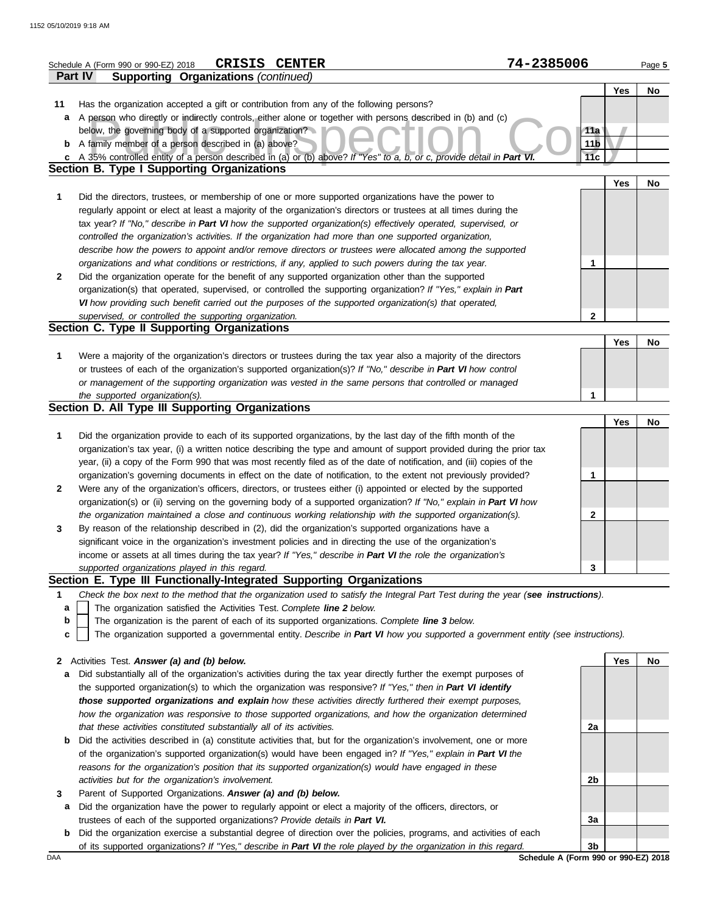|              | <b>CRISIS CENTER</b><br>Schedule A (Form 990 or 990-EZ) 2018                                                                                                                                                                      | 74-2385006      |     | Page 5 |
|--------------|-----------------------------------------------------------------------------------------------------------------------------------------------------------------------------------------------------------------------------------|-----------------|-----|--------|
|              | <b>Supporting Organizations (continued)</b><br><b>Part IV</b>                                                                                                                                                                     |                 |     |        |
|              |                                                                                                                                                                                                                                   |                 | Yes | No     |
| 11           | Has the organization accepted a gift or contribution from any of the following persons?                                                                                                                                           |                 |     |        |
| а            | A person who directly or indirectly controls, either alone or together with persons described in (b) and (c)                                                                                                                      |                 |     |        |
|              | below, the governing body of a supported organization?                                                                                                                                                                            | 11a             |     |        |
|              | <b>b</b> A family member of a person described in (a) above?                                                                                                                                                                      | 11 <sub>b</sub> |     |        |
| C            | A 35% controlled entity of a person described in (a) or (b) above? If "Yes" to a, b, or c, provide detail in Part VI.                                                                                                             | 11c             |     |        |
|              | <b>Section B. Type I Supporting Organizations</b>                                                                                                                                                                                 |                 | Yes |        |
| 1            | Did the directors, trustees, or membership of one or more supported organizations have the power to                                                                                                                               |                 |     | No     |
|              | regularly appoint or elect at least a majority of the organization's directors or trustees at all times during the                                                                                                                |                 |     |        |
|              | tax year? If "No," describe in Part VI how the supported organization(s) effectively operated, supervised, or                                                                                                                     |                 |     |        |
|              | controlled the organization's activities. If the organization had more than one supported organization,                                                                                                                           |                 |     |        |
|              | describe how the powers to appoint and/or remove directors or trustees were allocated among the supported                                                                                                                         |                 |     |        |
|              | organizations and what conditions or restrictions, if any, applied to such powers during the tax year.                                                                                                                            | 1               |     |        |
| $\mathbf{2}$ | Did the organization operate for the benefit of any supported organization other than the supported                                                                                                                               |                 |     |        |
|              | organization(s) that operated, supervised, or controlled the supporting organization? If "Yes," explain in Part                                                                                                                   |                 |     |        |
|              | VI how providing such benefit carried out the purposes of the supported organization(s) that operated,                                                                                                                            |                 |     |        |
|              | supervised, or controlled the supporting organization.                                                                                                                                                                            | $\mathbf{2}$    |     |        |
|              | Section C. Type II Supporting Organizations                                                                                                                                                                                       |                 |     |        |
|              |                                                                                                                                                                                                                                   |                 | Yes | No     |
| 1            | Were a majority of the organization's directors or trustees during the tax year also a majority of the directors<br>or trustees of each of the organization's supported organization(s)? If "No," describe in Part VI how control |                 |     |        |
|              | or management of the supporting organization was vested in the same persons that controlled or managed                                                                                                                            |                 |     |        |
|              | the supported organization(s).                                                                                                                                                                                                    | 1               |     |        |
|              | Section D. All Type III Supporting Organizations                                                                                                                                                                                  |                 |     |        |
|              |                                                                                                                                                                                                                                   |                 | Yes | No     |
| 1            | Did the organization provide to each of its supported organizations, by the last day of the fifth month of the                                                                                                                    |                 |     |        |
|              | organization's tax year, (i) a written notice describing the type and amount of support provided during the prior tax                                                                                                             |                 |     |        |
|              | year, (ii) a copy of the Form 990 that was most recently filed as of the date of notification, and (iii) copies of the                                                                                                            |                 |     |        |
|              | organization's governing documents in effect on the date of notification, to the extent not previously provided?                                                                                                                  | 1               |     |        |
| $\mathbf{2}$ | Were any of the organization's officers, directors, or trustees either (i) appointed or elected by the supported                                                                                                                  |                 |     |        |
|              | organization(s) or (ii) serving on the governing body of a supported organization? If "No," explain in Part VI how                                                                                                                |                 |     |        |
|              | the organization maintained a close and continuous working relationship with the supported organization(s).                                                                                                                       | $\mathbf{2}$    |     |        |
| 3            | By reason of the relationship described in (2), did the organization's supported organizations have a                                                                                                                             |                 |     |        |
|              | significant voice in the organization's investment policies and in directing the use of the organization's<br>income or assets at all times during the tax year? If "Yes," describe in Part VI the role the organization's        |                 |     |        |
|              | supported organizations played in this regard.                                                                                                                                                                                    | 3               |     |        |
|              | Section E. Type III Functionally-Integrated Supporting Organizations                                                                                                                                                              |                 |     |        |
| 1            | Check the box next to the method that the organization used to satisfy the Integral Part Test during the year (see instructions).                                                                                                 |                 |     |        |
| a            | The organization satisfied the Activities Test. Complete line 2 below.                                                                                                                                                            |                 |     |        |
| b            | The organization is the parent of each of its supported organizations. Complete line 3 below.                                                                                                                                     |                 |     |        |
| c            | The organization supported a governmental entity. Describe in Part VI how you supported a government entity (see instructions).                                                                                                   |                 |     |        |
|              |                                                                                                                                                                                                                                   |                 |     |        |
| $\mathbf{2}$ | Activities Test. Answer (a) and (b) below.                                                                                                                                                                                        |                 | Yes | No     |
| a            | Did substantially all of the organization's activities during the tax year directly further the exempt purposes of<br>the supported organization(s) to which the organization was responsive? If "Yes," then in Part VI identify  |                 |     |        |
|              | those supported organizations and explain how these activities directly furthered their exempt purposes,                                                                                                                          |                 |     |        |
|              | how the organization was responsive to those supported organizations, and how the organization determined                                                                                                                         |                 |     |        |
|              | that these activities constituted substantially all of its activities.                                                                                                                                                            | 2a              |     |        |
| b            | Did the activities described in (a) constitute activities that, but for the organization's involvement, one or more                                                                                                               |                 |     |        |
|              | of the organization's supported organization(s) would have been engaged in? If "Yes," explain in Part VI the                                                                                                                      |                 |     |        |
|              | reasons for the organization's position that its supported organization(s) would have engaged in these                                                                                                                            |                 |     |        |
|              | activities but for the organization's involvement.                                                                                                                                                                                | 2b              |     |        |
| 3            | Parent of Supported Organizations. Answer (a) and (b) below.                                                                                                                                                                      |                 |     |        |
| а            | Did the organization have the power to regularly appoint or elect a majority of the officers, directors, or                                                                                                                       |                 |     |        |
|              | trustees of each of the supported organizations? Provide details in Part VI.                                                                                                                                                      | 3a              |     |        |

**b** Did the organization exercise a substantial degree of direction over the policies, programs, and activities of each of its supported organizations? *If "Yes," describe in Part VI the role played by the organization in this regard.* **3b**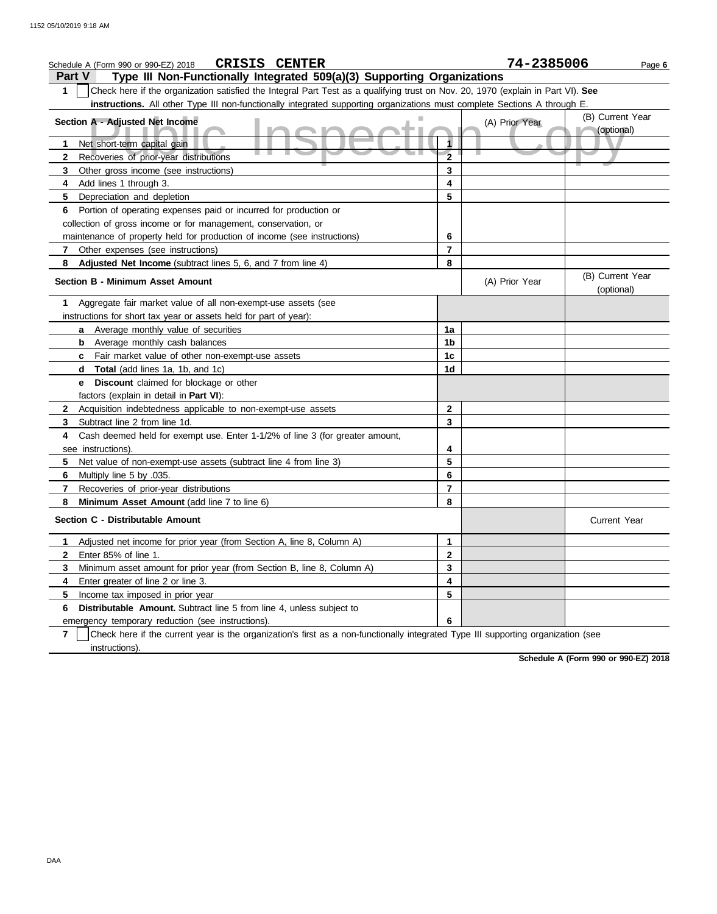| <b>CRISIS CENTER</b><br>Schedule A (Form 990 or 990-EZ) 2018                                                                           |                | 74-2385006     | Page 6                         |
|----------------------------------------------------------------------------------------------------------------------------------------|----------------|----------------|--------------------------------|
| Type III Non-Functionally Integrated 509(a)(3) Supporting Organizations<br><b>Part V</b>                                               |                |                |                                |
| Check here if the organization satisfied the Integral Part Test as a qualifying trust on Nov. 20, 1970 (explain in Part VI). See<br>1  |                |                |                                |
| instructions. All other Type III non-functionally integrated supporting organizations must complete Sections A through E.              |                |                |                                |
| Section A - Adjusted Net Income                                                                                                        |                | (A) Prior Year | (B) Current Year<br>(optional) |
| Net short-term capital gain<br>1                                                                                                       |                |                |                                |
| Recoveries of prior-year distributions<br>$\mathbf{2}$                                                                                 | $\overline{2}$ |                |                                |
| 3<br>Other gross income (see instructions)                                                                                             | 3              |                |                                |
| Add lines 1 through 3.<br>4                                                                                                            | 4              |                |                                |
| 5<br>Depreciation and depletion                                                                                                        | 5              |                |                                |
| Portion of operating expenses paid or incurred for production or<br>6                                                                  |                |                |                                |
| collection of gross income or for management, conservation, or                                                                         |                |                |                                |
| maintenance of property held for production of income (see instructions)                                                               | 6              |                |                                |
| Other expenses (see instructions)<br>7                                                                                                 | 7              |                |                                |
| 8<br>Adjusted Net Income (subtract lines 5, 6, and 7 from line 4)                                                                      | 8              |                |                                |
| <b>Section B - Minimum Asset Amount</b>                                                                                                |                | (A) Prior Year | (B) Current Year<br>(optional) |
| Aggregate fair market value of all non-exempt-use assets (see<br>1                                                                     |                |                |                                |
| instructions for short tax year or assets held for part of year):                                                                      |                |                |                                |
| a Average monthly value of securities                                                                                                  | 1a             |                |                                |
| <b>b</b> Average monthly cash balances                                                                                                 | 1b             |                |                                |
| c Fair market value of other non-exempt-use assets                                                                                     | 1c             |                |                                |
| Total (add lines 1a, 1b, and 1c)<br>d                                                                                                  | 1d             |                |                                |
| <b>Discount</b> claimed for blockage or other<br>е                                                                                     |                |                |                                |
| factors (explain in detail in Part VI):                                                                                                |                |                |                                |
| Acquisition indebtedness applicable to non-exempt-use assets<br>2                                                                      | 2              |                |                                |
| 3<br>Subtract line 2 from line 1d.                                                                                                     | 3              |                |                                |
| Cash deemed held for exempt use. Enter 1-1/2% of line 3 (for greater amount,<br>4                                                      |                |                |                                |
| see instructions).                                                                                                                     | 4              |                |                                |
| 5<br>Net value of non-exempt-use assets (subtract line 4 from line 3)                                                                  | 5              |                |                                |
| 6<br>Multiply line 5 by .035.                                                                                                          | 6              |                |                                |
| 7<br>Recoveries of prior-year distributions                                                                                            | 7              |                |                                |
| 8<br>Minimum Asset Amount (add line 7 to line 6)                                                                                       | 8              |                |                                |
| Section C - Distributable Amount                                                                                                       |                |                | <b>Current Year</b>            |
| Adjusted net income for prior year (from Section A, line 8, Column A)<br>1                                                             | 1              |                |                                |
| 2<br>Enter 85% of line 1.                                                                                                              | 2              |                |                                |
| Minimum asset amount for prior year (from Section B, line 8, Column A)<br>3                                                            | 3              |                |                                |
| Enter greater of line 2 or line 3.<br>4                                                                                                | 4              |                |                                |
| Income tax imposed in prior year<br>5                                                                                                  | 5              |                |                                |
| Distributable Amount. Subtract line 5 from line 4, unless subject to<br>6                                                              |                |                |                                |
| emergency temporary reduction (see instructions).                                                                                      | 6              |                |                                |
| 7<br>Check here if the current year is the organization's first as a non-functionally integrated Type III supporting organization (see |                |                |                                |
| instructions).                                                                                                                         |                |                |                                |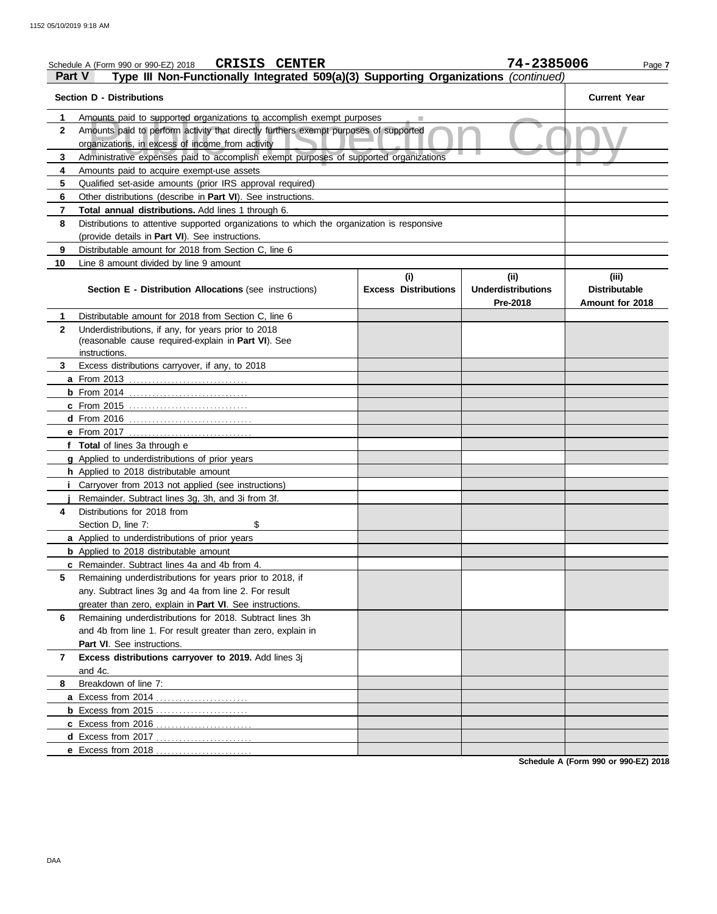|              | <b>CRISIS CENTER</b><br>Schedule A (Form 990 or 990-EZ) 2018                                                                             |                             | 74-2385006                            | Page 7                                  |
|--------------|------------------------------------------------------------------------------------------------------------------------------------------|-----------------------------|---------------------------------------|-----------------------------------------|
|              | Type III Non-Functionally Integrated 509(a)(3) Supporting Organizations (continued)<br>Part V                                            |                             |                                       |                                         |
|              | <b>Section D - Distributions</b>                                                                                                         |                             |                                       | <b>Current Year</b>                     |
| 1            | Amounts paid to supported organizations to accomplish exempt purposes                                                                    |                             |                                       |                                         |
| 2            | Amounts paid to perform activity that directly furthers exempt purposes of supported<br>organizations, in excess of income from activity |                             |                                       |                                         |
| 3            | Administrative expenses paid to accomplish exempt purposes of supported organizations                                                    |                             |                                       |                                         |
| 4            | Amounts paid to acquire exempt-use assets                                                                                                |                             |                                       |                                         |
| 5            | Qualified set-aside amounts (prior IRS approval required)                                                                                |                             |                                       |                                         |
| 6            | Other distributions (describe in Part VI). See instructions.                                                                             |                             |                                       |                                         |
| 7            | Total annual distributions. Add lines 1 through 6.                                                                                       |                             |                                       |                                         |
| 8            | Distributions to attentive supported organizations to which the organization is responsive                                               |                             |                                       |                                         |
|              | (provide details in Part VI). See instructions.                                                                                          |                             |                                       |                                         |
| 9            | Distributable amount for 2018 from Section C, line 6                                                                                     |                             |                                       |                                         |
| 10           | Line 8 amount divided by line 9 amount                                                                                                   |                             |                                       |                                         |
|              |                                                                                                                                          | (i)                         | (ii)                                  | (iii)                                   |
|              | Section E - Distribution Allocations (see instructions)                                                                                  | <b>Excess Distributions</b> | <b>Underdistributions</b><br>Pre-2018 | <b>Distributable</b><br>Amount for 2018 |
| 1            | Distributable amount for 2018 from Section C, line 6                                                                                     |                             |                                       |                                         |
| $\mathbf{2}$ | Underdistributions, if any, for years prior to 2018<br>(reasonable cause required-explain in Part VI). See                               |                             |                                       |                                         |
|              | instructions.                                                                                                                            |                             |                                       |                                         |
| 3            | Excess distributions carryover, if any, to 2018                                                                                          |                             |                                       |                                         |
|              |                                                                                                                                          |                             |                                       |                                         |
|              |                                                                                                                                          |                             |                                       |                                         |
|              | <b>c</b> From 2015                                                                                                                       |                             |                                       |                                         |
|              |                                                                                                                                          |                             |                                       |                                         |
|              |                                                                                                                                          |                             |                                       |                                         |
|              | f Total of lines 3a through e                                                                                                            |                             |                                       |                                         |
|              | <b>g</b> Applied to underdistributions of prior years                                                                                    |                             |                                       |                                         |
|              | h Applied to 2018 distributable amount                                                                                                   |                             |                                       |                                         |
|              | Carryover from 2013 not applied (see instructions)                                                                                       |                             |                                       |                                         |
|              | Remainder. Subtract lines 3g, 3h, and 3i from 3f.                                                                                        |                             |                                       |                                         |
| 4            | Distributions for 2018 from                                                                                                              |                             |                                       |                                         |
|              | \$<br>Section D, line 7:                                                                                                                 |                             |                                       |                                         |
|              | a Applied to underdistributions of prior years                                                                                           |                             |                                       |                                         |
|              | <b>b</b> Applied to 2018 distributable amount                                                                                            |                             |                                       |                                         |
|              | c Remainder. Subtract lines 4a and 4b from 4.                                                                                            |                             |                                       |                                         |
| 5            | Remaining underdistributions for years prior to 2018, if                                                                                 |                             |                                       |                                         |
|              | any. Subtract lines 3g and 4a from line 2. For result                                                                                    |                             |                                       |                                         |
|              | greater than zero, explain in <b>Part VI</b> . See instructions.                                                                         |                             |                                       |                                         |
| 6            | Remaining underdistributions for 2018. Subtract lines 3h                                                                                 |                             |                                       |                                         |
|              | and 4b from line 1. For result greater than zero, explain in                                                                             |                             |                                       |                                         |
|              | Part VI. See instructions.                                                                                                               |                             |                                       |                                         |
| 7            | Excess distributions carryover to 2019. Add lines 3j                                                                                     |                             |                                       |                                         |
| 8            | and 4c.                                                                                                                                  |                             |                                       |                                         |
|              | Breakdown of line 7:                                                                                                                     |                             |                                       |                                         |
|              | <b>a</b> Excess from 2014                                                                                                                |                             |                                       |                                         |
|              |                                                                                                                                          |                             |                                       |                                         |
|              |                                                                                                                                          |                             |                                       |                                         |
|              |                                                                                                                                          |                             |                                       |                                         |
|              |                                                                                                                                          |                             |                                       |                                         |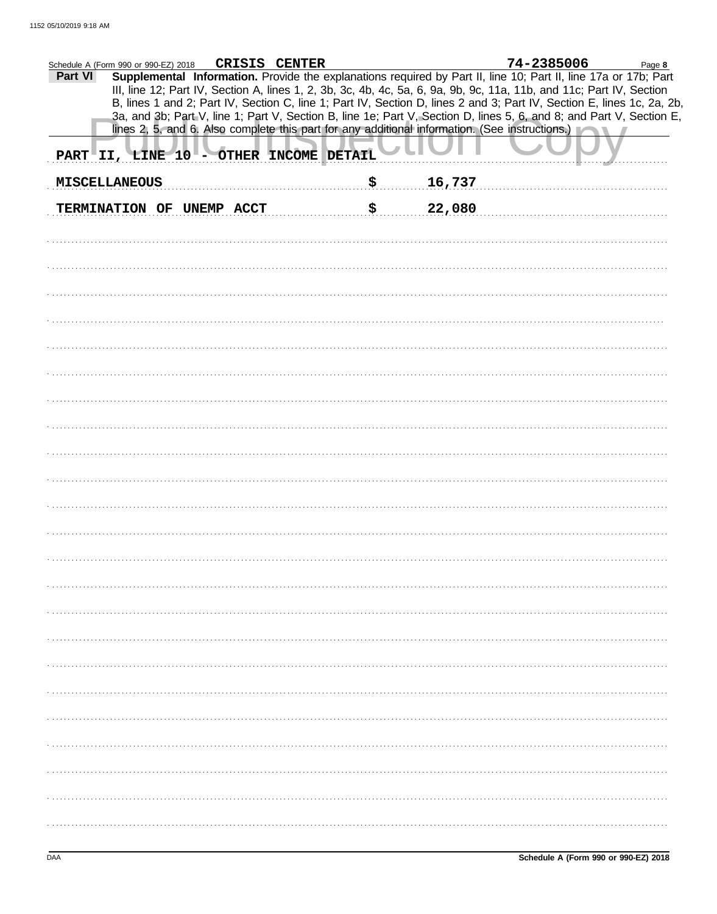| CRISIS CENTER<br>Schedule A (Form 990 or 990-EZ) 2018<br>Supplemental Information. Provide the explanations required by Part II, line 10; Part II, line 17a or 17b; Part<br>Part VI                                                                                                                                                                                    | 74-2385006<br>Page 8 |
|------------------------------------------------------------------------------------------------------------------------------------------------------------------------------------------------------------------------------------------------------------------------------------------------------------------------------------------------------------------------|----------------------|
| III, line 12; Part IV, Section A, lines 1, 2, 3b, 3c, 4b, 4c, 5a, 6, 9a, 9b, 9c, 11a, 11b, and 11c; Part IV, Section<br>B, lines 1 and 2; Part IV, Section C, line 1; Part IV, Section D, lines 2 and 3; Part IV, Section E, lines 1c, 2a, 2b,<br>3a, and 3b; Part V, line 1; Part V, Section B, line 1e; Part V, Section D, lines 5, 6, and 8; and Part V, Section E, |                      |
| lines 2, 5, and 6. Also complete this part for any additional information. (See instructions.)<br>PART II, LINE 10 - OTHER INCOME DETAIL                                                                                                                                                                                                                               |                      |
| \$<br>16,737<br><b>MISCELLANEOUS</b>                                                                                                                                                                                                                                                                                                                                   |                      |
| \$<br>22,080<br>TERMINATION OF UNEMP ACCT                                                                                                                                                                                                                                                                                                                              |                      |
|                                                                                                                                                                                                                                                                                                                                                                        |                      |
|                                                                                                                                                                                                                                                                                                                                                                        |                      |
|                                                                                                                                                                                                                                                                                                                                                                        |                      |
|                                                                                                                                                                                                                                                                                                                                                                        |                      |
|                                                                                                                                                                                                                                                                                                                                                                        |                      |
|                                                                                                                                                                                                                                                                                                                                                                        |                      |
|                                                                                                                                                                                                                                                                                                                                                                        |                      |
|                                                                                                                                                                                                                                                                                                                                                                        |                      |
|                                                                                                                                                                                                                                                                                                                                                                        |                      |
|                                                                                                                                                                                                                                                                                                                                                                        |                      |
|                                                                                                                                                                                                                                                                                                                                                                        |                      |
|                                                                                                                                                                                                                                                                                                                                                                        |                      |
|                                                                                                                                                                                                                                                                                                                                                                        |                      |
|                                                                                                                                                                                                                                                                                                                                                                        |                      |
|                                                                                                                                                                                                                                                                                                                                                                        |                      |
|                                                                                                                                                                                                                                                                                                                                                                        |                      |
|                                                                                                                                                                                                                                                                                                                                                                        |                      |
|                                                                                                                                                                                                                                                                                                                                                                        |                      |
|                                                                                                                                                                                                                                                                                                                                                                        |                      |
|                                                                                                                                                                                                                                                                                                                                                                        |                      |
|                                                                                                                                                                                                                                                                                                                                                                        |                      |
|                                                                                                                                                                                                                                                                                                                                                                        |                      |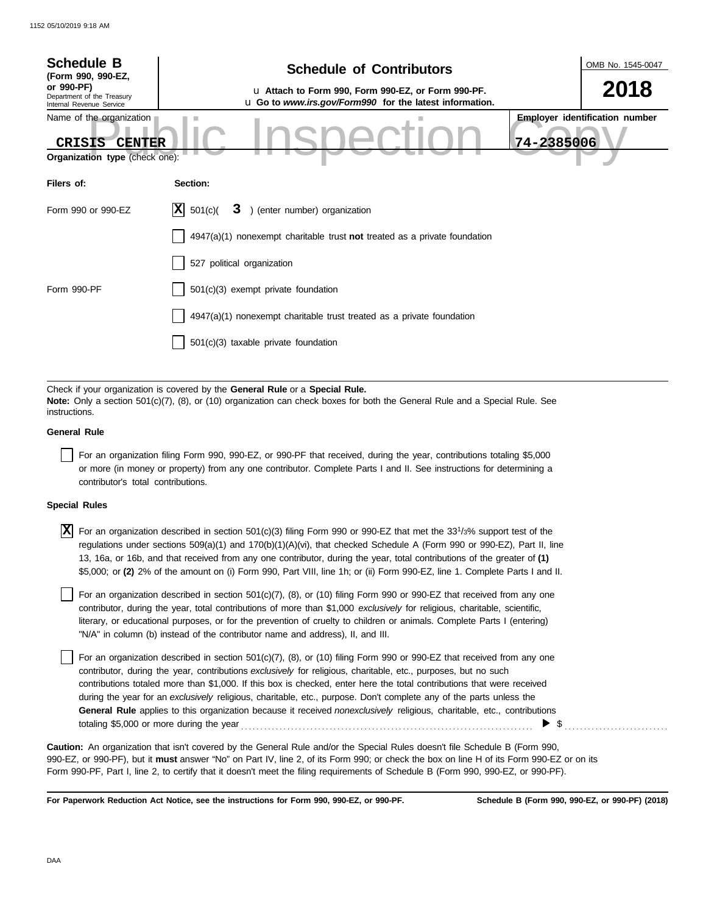| <b>Schedule B</b><br>(Form 990, 990-EZ,                                                      | <b>Schedule of Contributors</b>                                                                                                                                                                             | OMB No. 1545-0047                                   |
|----------------------------------------------------------------------------------------------|-------------------------------------------------------------------------------------------------------------------------------------------------------------------------------------------------------------|-----------------------------------------------------|
| or 990-PF)<br>Department of the Treasury<br>Internal Revenue Service                         | La Attach to Form 990, Form 990-EZ, or Form 990-PF.<br>u Go to www.irs.gov/Form990 for the latest information.                                                                                              | 2018                                                |
| Name of the organization<br><b>CRISIS</b><br><b>CENTER</b><br>Organization type (check one): |                                                                                                                                                                                                             | <b>Employer identification number</b><br>74-2385006 |
| Filers of:                                                                                   | Section:                                                                                                                                                                                                    |                                                     |
| Form 990 or 990-EZ                                                                           | X <br>501(c)<br>3 ) (enter number) organization                                                                                                                                                             |                                                     |
|                                                                                              | $4947(a)(1)$ nonexempt charitable trust not treated as a private foundation                                                                                                                                 |                                                     |
|                                                                                              | 527 political organization                                                                                                                                                                                  |                                                     |
| Form 990-PF                                                                                  | 501(c)(3) exempt private foundation                                                                                                                                                                         |                                                     |
|                                                                                              | 4947(a)(1) nonexempt charitable trust treated as a private foundation                                                                                                                                       |                                                     |
|                                                                                              | $501(c)(3)$ taxable private foundation                                                                                                                                                                      |                                                     |
|                                                                                              |                                                                                                                                                                                                             |                                                     |
| instructions.                                                                                | Check if your organization is covered by the General Rule or a Special Rule.<br>Note: Only a section 501(c)(7), (8), or (10) organization can check boxes for both the General Rule and a Special Rule. See |                                                     |
| <b>General Rule</b>                                                                          |                                                                                                                                                                                                             |                                                     |

For an organization filing Form 990, 990-EZ, or 990-PF that received, during the year, contributions totaling \$5,000 or more (in money or property) from any one contributor. Complete Parts I and II. See instructions for determining a contributor's total contributions.

## **Special Rules**

 $\overline{X}$  For an organization described in section 501(c)(3) filing Form 990 or 990-EZ that met the 33<sup>1</sup>/3% support test of the regulations under sections 509(a)(1) and 170(b)(1)(A)(vi), that checked Schedule A (Form 990 or 990-EZ), Part II, line 13, 16a, or 16b, and that received from any one contributor, during the year, total contributions of the greater of **(1)** \$5,000; or **(2)** 2% of the amount on (i) Form 990, Part VIII, line 1h; or (ii) Form 990-EZ, line 1. Complete Parts I and II.

literary, or educational purposes, or for the prevention of cruelty to children or animals. Complete Parts I (entering) For an organization described in section  $501(c)(7)$ ,  $(8)$ , or  $(10)$  filing Form 990 or 990-EZ that received from any one contributor, during the year, total contributions of more than \$1,000 *exclusively* for religious, charitable, scientific, "N/A" in column (b) instead of the contributor name and address), II, and III.

For an organization described in section 501(c)(7), (8), or (10) filing Form 990 or 990-EZ that received from any one contributor, during the year, contributions *exclusively* for religious, charitable, etc., purposes, but no such contributions totaled more than \$1,000. If this box is checked, enter here the total contributions that were received during the year for an *exclusively* religious, charitable, etc., purpose. Don't complete any of the parts unless the **General Rule** applies to this organization because it received *nonexclusively* religious, charitable, etc., contributions totaling \$5,000 or more during the year . . . . . . . . . . . . . . . . . . . . . . . . . . . . . . . . . . . . . . . . . . . . . . . . . . . . . . . . . . . . . . . . . . . . . . . . . . . .  $\triangleright$  \$

990-EZ, or 990-PF), but it **must** answer "No" on Part IV, line 2, of its Form 990; or check the box on line H of its Form 990-EZ or on its Form 990-PF, Part I, line 2, to certify that it doesn't meet the filing requirements of Schedule B (Form 990, 990-EZ, or 990-PF). **Caution:** An organization that isn't covered by the General Rule and/or the Special Rules doesn't file Schedule B (Form 990,

**For Paperwork Reduction Act Notice, see the instructions for Form 990, 990-EZ, or 990-PF.**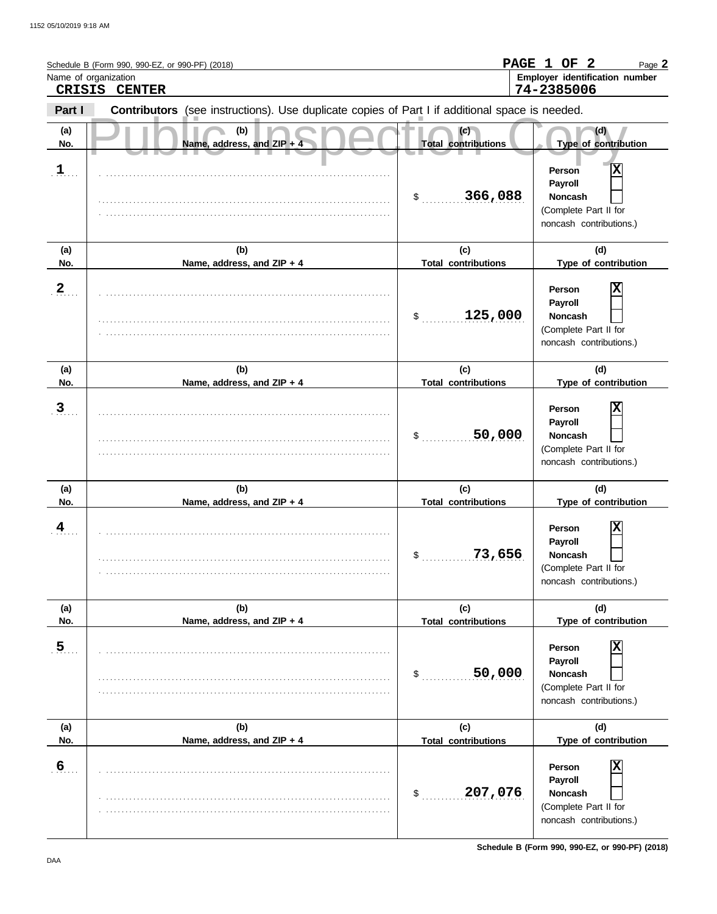|                       | Schedule B (Form 990, 990-EZ, or 990-PF) (2018)<br>Name of organization<br>CRISIS CENTER       |                                            | PAGE 1 OF 2<br>Page 2<br>Employer identification number<br>74-2385006                                                |
|-----------------------|------------------------------------------------------------------------------------------------|--------------------------------------------|----------------------------------------------------------------------------------------------------------------------|
| Part I                | Contributors (see instructions). Use duplicate copies of Part I if additional space is needed. |                                            |                                                                                                                      |
| (a)<br>No.            | (b)<br>Name, address, and ZIP + 4                                                              | (c)<br><b>Total contributions</b>          | (d)<br>Type of contribution                                                                                          |
| $\mathbf{1}$          |                                                                                                | 366,088<br>$\frac{1}{2}$                   | Χ<br>Person<br>Payroll<br><b>Noncash</b><br>(Complete Part II for<br>noncash contributions.)                         |
| (a)<br>No.            | (b)<br>Name, address, and ZIP + 4                                                              | (c)<br><b>Total contributions</b>          | (d)<br>Type of contribution                                                                                          |
| $\frac{2}{\cdot}$     |                                                                                                | 125,000<br>\$                              | X<br>Person<br>Payroll<br><b>Noncash</b><br>(Complete Part II for<br>noncash contributions.)                         |
| (a)                   | (b)                                                                                            | (c)                                        | (d)                                                                                                                  |
| No.<br>$\overline{3}$ | Name, address, and ZIP + 4                                                                     | <b>Total contributions</b><br>50,000<br>\$ | Type of contribution<br>Χ<br>Person<br>Payroll<br><b>Noncash</b><br>(Complete Part II for<br>noncash contributions.) |
| (a)<br>No.            | (b)<br>Name, address, and ZIP + 4                                                              | (c)<br><b>Total contributions</b>          | (d)<br>Type of contribution                                                                                          |
| 4                     |                                                                                                | 73,656<br>\$                               | Χ<br>Person<br>Payroll<br>Noncash<br>(Complete Part II for<br>noncash contributions.)                                |
| (a)<br>No.            | (b)<br>Name, address, and ZIP + 4                                                              | (c)<br><b>Total contributions</b>          | (d)<br>Type of contribution                                                                                          |
| 5 <sub>1</sub>        |                                                                                                | 50,000<br>\$                               | Person<br>Payroll<br>Noncash<br>(Complete Part II for<br>noncash contributions.)                                     |
| (a)<br>No.            | (b)<br>Name, address, and ZIP + 4                                                              | (c)<br><b>Total contributions</b>          | (d)<br>Type of contribution                                                                                          |
| 6 <sub>11</sub>       |                                                                                                | 207,076<br>\$                              | X<br>Person<br>Payroll<br>Noncash<br>(Complete Part II for<br>noncash contributions.)                                |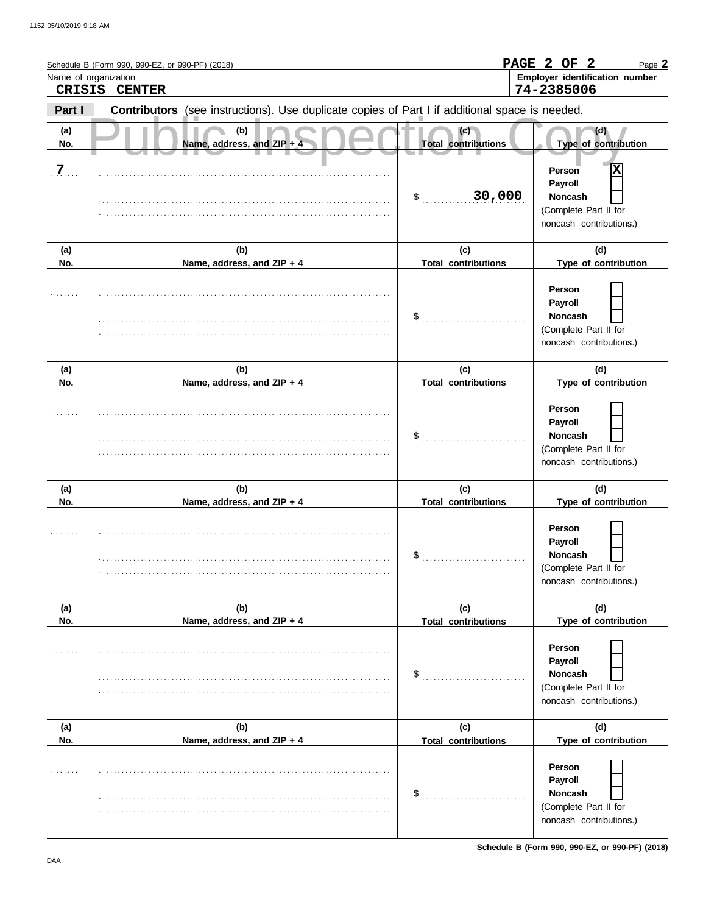| Name of organization | Schedule B (Form 990, 990-EZ, or 990-PF) (2018)<br>CRISIS CENTER                               |                                   | PAGE 2 OF 2<br>Page 2<br>Employer identification number<br>74-2385006                        |
|----------------------|------------------------------------------------------------------------------------------------|-----------------------------------|----------------------------------------------------------------------------------------------|
| Part I               | Contributors (see instructions). Use duplicate copies of Part I if additional space is needed. |                                   |                                                                                              |
| (a)<br>No.           | (b)<br>Name, address, and ZIP + 4                                                              | (c)<br><b>Total contributions</b> | (d)<br>Type of contribution                                                                  |
| $\overline{Z}$       |                                                                                                | 30,000<br>\$                      | Χ<br>Person<br>Payroll<br><b>Noncash</b><br>(Complete Part II for<br>noncash contributions.) |
| (a)<br>No.           | (b)<br>Name, address, and ZIP + 4                                                              | (c)<br><b>Total contributions</b> | (d)<br>Type of contribution                                                                  |
|                      |                                                                                                | \$                                | Person<br>Payroll<br><b>Noncash</b><br>(Complete Part II for<br>noncash contributions.)      |
| (a)<br>No.           | (b)<br>Name, address, and ZIP + 4                                                              | (c)<br><b>Total contributions</b> | (d)<br>Type of contribution                                                                  |
|                      |                                                                                                | \$                                | Person<br>Payroll<br><b>Noncash</b><br>(Complete Part II for<br>noncash contributions.)      |
| (a)<br>No.           | (b)<br>Name, address, and ZIP + 4                                                              | (c)<br><b>Total contributions</b> | (d)<br>Type of contribution                                                                  |
|                      |                                                                                                | \$                                | Person<br>Payroll<br>Noncash<br>(Complete Part II for<br>noncash contributions.)             |
| (a)<br>No.           | (b)<br>Name, address, and ZIP + 4                                                              | (c)<br><b>Total contributions</b> | (d)<br>Type of contribution                                                                  |
|                      |                                                                                                | \$                                | Person<br>Payroll<br>Noncash<br>(Complete Part II for<br>noncash contributions.)             |
| (a)<br>No.           | (b)<br>Name, address, and ZIP + 4                                                              | (c)<br><b>Total contributions</b> | (d)<br>Type of contribution                                                                  |
|                      |                                                                                                | \$                                | Person<br>Payroll<br>Noncash<br>(Complete Part II for<br>noncash contributions.)             |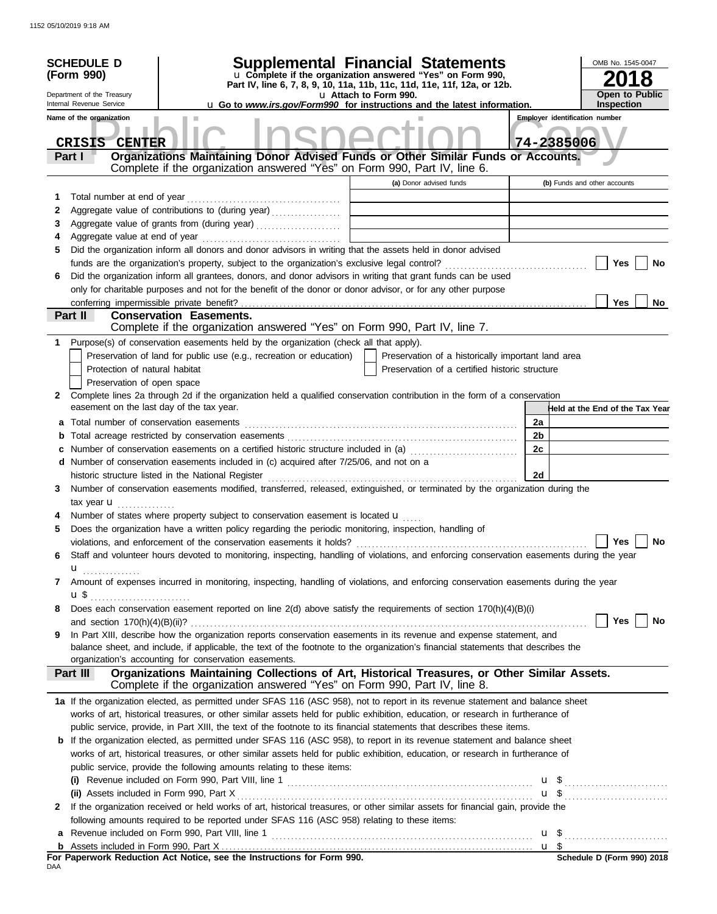|              | <b>SCHEDULE D</b><br>(Form 990)<br>Department of the Treasury<br>Internal Revenue Service<br>Name of the organization | <b>Supplemental Financial Statements</b><br>u Complete if the organization answered "Yes" on Form 990,<br>Part IV, line 6, 7, 8, 9, 10, 11a, 11b, 11c, 11d, 11e, 11f, 12a, or 12b.<br>u Go to www.irs.gov/Form990 for instructions and the latest information. | u Attach to Form 990. |                                                    |            | OMB No. 1545-0047<br>8<br><b>Open to Public</b><br><b>Inspection</b><br><b>Employer identification number</b> |
|--------------|-----------------------------------------------------------------------------------------------------------------------|----------------------------------------------------------------------------------------------------------------------------------------------------------------------------------------------------------------------------------------------------------------|-----------------------|----------------------------------------------------|------------|---------------------------------------------------------------------------------------------------------------|
|              | <b>CRISIS</b><br><b>CENTER</b><br>Part I                                                                              | Organizations Maintaining Donor Advised Funds or Other Similar Funds or Accounts.                                                                                                                                                                              |                       |                                                    | 74-2385006 |                                                                                                               |
|              |                                                                                                                       | Complete if the organization answered "Yes" on Form 990, Part IV, line 6.                                                                                                                                                                                      |                       | (a) Donor advised funds                            |            | (b) Funds and other accounts                                                                                  |
| 1            | Total number at end of year                                                                                           |                                                                                                                                                                                                                                                                |                       |                                                    |            |                                                                                                               |
| 2            |                                                                                                                       | Aggregate value of contributions to (during year)                                                                                                                                                                                                              |                       |                                                    |            |                                                                                                               |
| 3            |                                                                                                                       |                                                                                                                                                                                                                                                                |                       |                                                    |            |                                                                                                               |
| 4            |                                                                                                                       |                                                                                                                                                                                                                                                                |                       |                                                    |            |                                                                                                               |
| 5            |                                                                                                                       | Did the organization inform all donors and donor advisors in writing that the assets held in donor advised                                                                                                                                                     |                       |                                                    |            |                                                                                                               |
|              |                                                                                                                       |                                                                                                                                                                                                                                                                |                       |                                                    |            | Yes<br>No                                                                                                     |
| 6            |                                                                                                                       | Did the organization inform all grantees, donors, and donor advisors in writing that grant funds can be used                                                                                                                                                   |                       |                                                    |            |                                                                                                               |
|              |                                                                                                                       | only for charitable purposes and not for the benefit of the donor or donor advisor, or for any other purpose                                                                                                                                                   |                       |                                                    |            |                                                                                                               |
|              |                                                                                                                       |                                                                                                                                                                                                                                                                |                       |                                                    |            | Yes<br>No                                                                                                     |
|              | Part II                                                                                                               | <b>Conservation Easements.</b><br>Complete if the organization answered "Yes" on Form 990, Part IV, line 7.                                                                                                                                                    |                       |                                                    |            |                                                                                                               |
| 1            |                                                                                                                       | Purpose(s) of conservation easements held by the organization (check all that apply).                                                                                                                                                                          |                       |                                                    |            |                                                                                                               |
|              |                                                                                                                       | Preservation of land for public use (e.g., recreation or education)                                                                                                                                                                                            |                       | Preservation of a historically important land area |            |                                                                                                               |
|              | Protection of natural habitat                                                                                         |                                                                                                                                                                                                                                                                |                       | Preservation of a certified historic structure     |            |                                                                                                               |
|              | Preservation of open space                                                                                            |                                                                                                                                                                                                                                                                |                       |                                                    |            |                                                                                                               |
| $\mathbf{2}$ |                                                                                                                       | Complete lines 2a through 2d if the organization held a qualified conservation contribution in the form of a conservation<br>easement on the last day of the tax year.                                                                                         |                       |                                                    |            | Held at the End of the Tax Year                                                                               |
| а            |                                                                                                                       |                                                                                                                                                                                                                                                                |                       |                                                    | 2a         |                                                                                                               |
|              |                                                                                                                       |                                                                                                                                                                                                                                                                |                       |                                                    | 2b         |                                                                                                               |
|              |                                                                                                                       | Number of conservation easements on a certified historic structure included in (a)                                                                                                                                                                             |                       |                                                    | 2c         |                                                                                                               |
|              |                                                                                                                       | d Number of conservation easements included in (c) acquired after 7/25/06, and not on a                                                                                                                                                                        |                       |                                                    |            |                                                                                                               |
|              |                                                                                                                       | historic structure listed in the National Register                                                                                                                                                                                                             |                       |                                                    | 2d         |                                                                                                               |
| 3            |                                                                                                                       | Number of conservation easements modified, transferred, released, extinguished, or terminated by the organization during the                                                                                                                                   |                       |                                                    |            |                                                                                                               |
|              | tax year $\mathbf{u}$ ,                                                                                               |                                                                                                                                                                                                                                                                |                       |                                                    |            |                                                                                                               |
|              |                                                                                                                       | Number of states where property subject to conservation easement is located u                                                                                                                                                                                  |                       |                                                    |            |                                                                                                               |
| 5            |                                                                                                                       | Does the organization have a written policy regarding the periodic monitoring, inspection, handling of                                                                                                                                                         |                       |                                                    |            | Yes<br>No                                                                                                     |
|              |                                                                                                                       | violations, and enforcement of the conservation easements it holds?<br>Staff and volunteer hours devoted to monitoring, inspecting, handling of violations, and enforcing conservation easements during the year                                               |                       |                                                    |            |                                                                                                               |
| 6            | u<br>.                                                                                                                |                                                                                                                                                                                                                                                                |                       |                                                    |            |                                                                                                               |
| 7            | u \$                                                                                                                  | Amount of expenses incurred in monitoring, inspecting, handling of violations, and enforcing conservation easements during the year                                                                                                                            |                       |                                                    |            |                                                                                                               |
| 8            |                                                                                                                       | Does each conservation easement reported on line 2(d) above satisfy the requirements of section 170(h)(4)(B)(i)                                                                                                                                                |                       |                                                    |            |                                                                                                               |
|              |                                                                                                                       |                                                                                                                                                                                                                                                                |                       |                                                    |            | Yes<br>No                                                                                                     |
| 9            |                                                                                                                       | In Part XIII, describe how the organization reports conservation easements in its revenue and expense statement, and                                                                                                                                           |                       |                                                    |            |                                                                                                               |
|              |                                                                                                                       | balance sheet, and include, if applicable, the text of the footnote to the organization's financial statements that describes the                                                                                                                              |                       |                                                    |            |                                                                                                               |
|              |                                                                                                                       | organization's accounting for conservation easements.                                                                                                                                                                                                          |                       |                                                    |            |                                                                                                               |
|              | Part III                                                                                                              | Organizations Maintaining Collections of Art, Historical Treasures, or Other Similar Assets.<br>Complete if the organization answered "Yes" on Form 990, Part IV, line 8.                                                                                      |                       |                                                    |            |                                                                                                               |
|              |                                                                                                                       | 1a If the organization elected, as permitted under SFAS 116 (ASC 958), not to report in its revenue statement and balance sheet                                                                                                                                |                       |                                                    |            |                                                                                                               |
|              |                                                                                                                       | works of art, historical treasures, or other similar assets held for public exhibition, education, or research in furtherance of                                                                                                                               |                       |                                                    |            |                                                                                                               |
|              |                                                                                                                       | public service, provide, in Part XIII, the text of the footnote to its financial statements that describes these items.                                                                                                                                        |                       |                                                    |            |                                                                                                               |
| b            |                                                                                                                       | If the organization elected, as permitted under SFAS 116 (ASC 958), to report in its revenue statement and balance sheet                                                                                                                                       |                       |                                                    |            |                                                                                                               |
|              |                                                                                                                       | works of art, historical treasures, or other similar assets held for public exhibition, education, or research in furtherance of                                                                                                                               |                       |                                                    |            |                                                                                                               |
|              |                                                                                                                       | public service, provide the following amounts relating to these items:                                                                                                                                                                                         |                       |                                                    |            |                                                                                                               |
|              |                                                                                                                       |                                                                                                                                                                                                                                                                |                       |                                                    |            |                                                                                                               |
| 2            |                                                                                                                       | If the organization received or held works of art, historical treasures, or other similar assets for financial gain, provide the                                                                                                                               |                       |                                                    |            |                                                                                                               |
|              |                                                                                                                       | following amounts required to be reported under SFAS 116 (ASC 958) relating to these items:                                                                                                                                                                    |                       |                                                    |            |                                                                                                               |
| a            |                                                                                                                       |                                                                                                                                                                                                                                                                |                       |                                                    |            |                                                                                                               |
| b            |                                                                                                                       |                                                                                                                                                                                                                                                                |                       |                                                    |            |                                                                                                               |
| nΔΔ          |                                                                                                                       | For Paperwork Reduction Act Notice, see the Instructions for Form 990.                                                                                                                                                                                         |                       |                                                    |            | Schedule D (Form 990) 2018                                                                                    |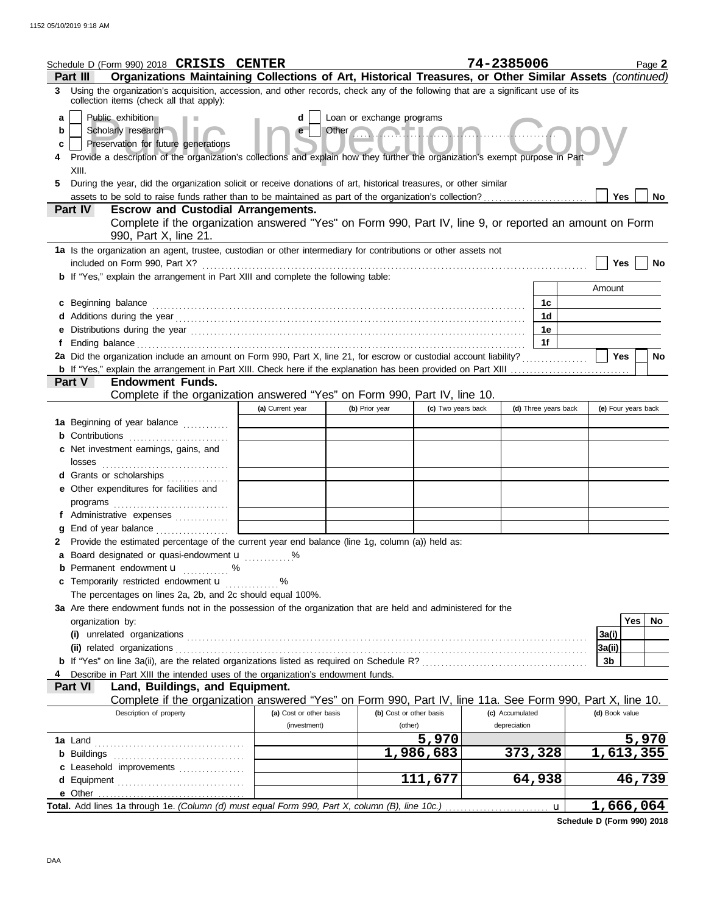|    | Schedule D (Form 990) 2018 CRISIS CENTER                                                                                                                                                                                       |                             |                           |                         | 74-2385006      |                      | Page 2              |  |  |
|----|--------------------------------------------------------------------------------------------------------------------------------------------------------------------------------------------------------------------------------|-----------------------------|---------------------------|-------------------------|-----------------|----------------------|---------------------|--|--|
|    | Organizations Maintaining Collections of Art, Historical Treasures, or Other Similar Assets (continued)<br>Part III                                                                                                            |                             |                           |                         |                 |                      |                     |  |  |
|    | 3 Using the organization's acquisition, accession, and other records, check any of the following that are a significant use of its<br>collection items (check all that apply):                                                 |                             |                           |                         |                 |                      |                     |  |  |
| a  | Public exhibition                                                                                                                                                                                                              | d                           | Loan or exchange programs |                         |                 |                      |                     |  |  |
| b  | Scholarly research                                                                                                                                                                                                             | e                           | Other                     |                         |                 |                      |                     |  |  |
| c  | Preservation for future generations                                                                                                                                                                                            |                             |                           |                         |                 |                      |                     |  |  |
|    | Provide a description of the organization's collections and explain how they further the organization's exempt purpose in Part                                                                                                 |                             |                           |                         |                 |                      |                     |  |  |
|    | XIII.                                                                                                                                                                                                                          |                             |                           |                         |                 |                      |                     |  |  |
| 5. | During the year, did the organization solicit or receive donations of art, historical treasures, or other similar                                                                                                              |                             |                           |                         |                 |                      |                     |  |  |
|    | assets to be sold to raise funds rather than to be maintained as part of the organization's collection?<br>Part IV<br><b>Escrow and Custodial Arrangements.</b>                                                                |                             |                           |                         |                 |                      | Yes<br>No.          |  |  |
|    | Complete if the organization answered "Yes" on Form 990, Part IV, line 9, or reported an amount on Form                                                                                                                        |                             |                           |                         |                 |                      |                     |  |  |
|    | 990, Part X, line 21.                                                                                                                                                                                                          |                             |                           |                         |                 |                      |                     |  |  |
|    | 1a Is the organization an agent, trustee, custodian or other intermediary for contributions or other assets not<br>included on Form 990, Part X?                                                                               |                             |                           |                         |                 |                      | Yes<br><b>No</b>    |  |  |
|    | <b>b</b> If "Yes," explain the arrangement in Part XIII and complete the following table:                                                                                                                                      |                             |                           |                         |                 |                      |                     |  |  |
|    |                                                                                                                                                                                                                                |                             |                           |                         |                 |                      | Amount              |  |  |
|    | c Beginning balance                                                                                                                                                                                                            |                             |                           |                         |                 | 1c                   |                     |  |  |
|    |                                                                                                                                                                                                                                |                             |                           |                         |                 | 1d                   |                     |  |  |
|    | e Distributions during the year manufactured contains and the year manufactured with the set of the set of the set of the set of the set of the set of the set of the set of the set of the set of the set of the set of the s |                             |                           |                         |                 | 1е                   |                     |  |  |
|    |                                                                                                                                                                                                                                |                             |                           |                         |                 | 1f                   |                     |  |  |
|    | 2a Did the organization include an amount on Form 990, Part X, line 21, for escrow or custodial account liability?                                                                                                             |                             |                           |                         |                 |                      | Yes<br>No           |  |  |
|    |                                                                                                                                                                                                                                |                             |                           |                         |                 |                      |                     |  |  |
|    | <b>Endowment Funds.</b><br><b>Part V</b>                                                                                                                                                                                       |                             |                           |                         |                 |                      |                     |  |  |
|    | Complete if the organization answered "Yes" on Form 990, Part IV, line 10.                                                                                                                                                     |                             |                           |                         |                 |                      |                     |  |  |
|    |                                                                                                                                                                                                                                | (a) Current year            | (b) Prior year            | (c) Two years back      |                 | (d) Three years back | (e) Four years back |  |  |
|    | 1a Beginning of year balance                                                                                                                                                                                                   |                             |                           |                         |                 |                      |                     |  |  |
|    | <b>b</b> Contributions <b>contributions</b>                                                                                                                                                                                    |                             |                           |                         |                 |                      |                     |  |  |
|    | c Net investment earnings, gains, and<br>losses                                                                                                                                                                                |                             |                           |                         |                 |                      |                     |  |  |
|    | <b>d</b> Grants or scholarships<br>.                                                                                                                                                                                           |                             |                           |                         |                 |                      |                     |  |  |
|    | e Other expenditures for facilities and                                                                                                                                                                                        |                             |                           |                         |                 |                      |                     |  |  |
|    |                                                                                                                                                                                                                                |                             |                           |                         |                 |                      |                     |  |  |
|    | f Administrative expenses                                                                                                                                                                                                      |                             |                           |                         |                 |                      |                     |  |  |
|    |                                                                                                                                                                                                                                |                             |                           |                         |                 |                      |                     |  |  |
|    | 2 Provide the estimated percentage of the current year end balance (line 1g, column (a)) held as:                                                                                                                              |                             |                           |                         |                 |                      |                     |  |  |
|    | a Board designated or quasi-endowment u                                                                                                                                                                                        |                             |                           |                         |                 |                      |                     |  |  |
|    | <b>b</b> Permanent endowment <b>u</b> %                                                                                                                                                                                        |                             |                           |                         |                 |                      |                     |  |  |
|    | c Temporarily restricted endowment u                                                                                                                                                                                           | $\sim$ $\sim$ $\sim$ $\sim$ |                           |                         |                 |                      |                     |  |  |
|    | The percentages on lines 2a, 2b, and 2c should equal 100%.                                                                                                                                                                     |                             |                           |                         |                 |                      |                     |  |  |
|    | 3a Are there endowment funds not in the possession of the organization that are held and administered for the                                                                                                                  |                             |                           |                         |                 |                      |                     |  |  |
|    | organization by:                                                                                                                                                                                                               |                             |                           |                         |                 |                      | <b>Yes</b><br>No    |  |  |
|    |                                                                                                                                                                                                                                |                             |                           |                         |                 |                      | 3a(i)               |  |  |
|    | (ii) related organizations                                                                                                                                                                                                     |                             |                           |                         |                 |                      | 3a(ii)              |  |  |
|    |                                                                                                                                                                                                                                |                             |                           |                         |                 |                      | 3b                  |  |  |
|    | Describe in Part XIII the intended uses of the organization's endowment funds.<br><b>Part VI</b><br>Land, Buildings, and Equipment.                                                                                            |                             |                           |                         |                 |                      |                     |  |  |
|    | Complete if the organization answered "Yes" on Form 990, Part IV, line 11a. See Form 990, Part X, line 10.                                                                                                                     |                             |                           |                         |                 |                      |                     |  |  |
|    | Description of property                                                                                                                                                                                                        | (a) Cost or other basis     |                           | (b) Cost or other basis | (c) Accumulated |                      | (d) Book value      |  |  |
|    |                                                                                                                                                                                                                                | (investment)                | (other)                   |                         | depreciation    |                      |                     |  |  |
|    |                                                                                                                                                                                                                                |                             |                           | 5,970                   |                 |                      | 5,970               |  |  |
|    |                                                                                                                                                                                                                                |                             |                           | 1,986,683               | 373,328         |                      | 1,613,355           |  |  |
|    | c Leasehold improvements                                                                                                                                                                                                       |                             |                           |                         |                 |                      |                     |  |  |
|    |                                                                                                                                                                                                                                |                             |                           | 111,677                 | 64,938          |                      | 46,739              |  |  |
|    |                                                                                                                                                                                                                                |                             |                           |                         |                 |                      |                     |  |  |
|    |                                                                                                                                                                                                                                |                             |                           |                         |                 | $\mathbf u$          | 1,666,064           |  |  |

**Schedule D (Form 990) 2018**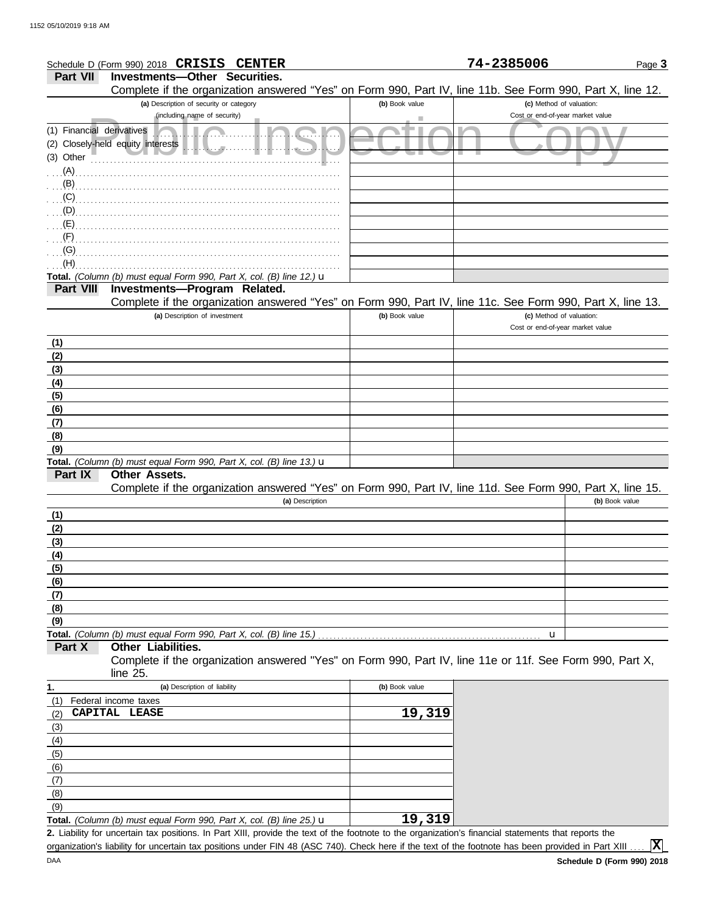|                           | Schedule D (Form 990) 2018 CRISIS CENTER                                                                                                          |                | 74-2385006                       | Page 3         |
|---------------------------|---------------------------------------------------------------------------------------------------------------------------------------------------|----------------|----------------------------------|----------------|
| <b>Part VII</b>           | <b>Investments-Other Securities.</b>                                                                                                              |                |                                  |                |
|                           | Complete if the organization answered "Yes" on Form 990, Part IV, line 11b. See Form 990, Part X, line 12.                                        |                |                                  |                |
|                           | (a) Description of security or category                                                                                                           | (b) Book value | (c) Method of valuation:         |                |
|                           | (including name of security)                                                                                                                      |                | Cost or end-of-year market value |                |
| (1) Financial derivatives |                                                                                                                                                   |                |                                  |                |
|                           | (2) Closely-held equity interests                                                                                                                 |                |                                  |                |
| (3) Other                 |                                                                                                                                                   |                |                                  |                |
| (A)                       |                                                                                                                                                   |                |                                  |                |
| (B)                       |                                                                                                                                                   |                |                                  |                |
| (C)                       |                                                                                                                                                   |                |                                  |                |
| (D)                       |                                                                                                                                                   |                |                                  |                |
| (E)                       |                                                                                                                                                   |                |                                  |                |
| (F)                       |                                                                                                                                                   |                |                                  |                |
| (G)                       |                                                                                                                                                   |                |                                  |                |
| (H)                       |                                                                                                                                                   |                |                                  |                |
|                           | Total. (Column (b) must equal Form 990, Part X, col. (B) line 12.) $\mathbf u$                                                                    |                |                                  |                |
| <b>Part VIII</b>          | Investments-Program Related.                                                                                                                      |                |                                  |                |
|                           | Complete if the organization answered "Yes" on Form 990, Part IV, line 11c. See Form 990, Part X, line 13.                                        |                |                                  |                |
|                           | (a) Description of investment                                                                                                                     | (b) Book value | (c) Method of valuation:         |                |
|                           |                                                                                                                                                   |                | Cost or end-of-year market value |                |
| (1)                       |                                                                                                                                                   |                |                                  |                |
| (2)                       |                                                                                                                                                   |                |                                  |                |
| (3)                       |                                                                                                                                                   |                |                                  |                |
| (4)                       |                                                                                                                                                   |                |                                  |                |
| (5)                       |                                                                                                                                                   |                |                                  |                |
| (6)                       |                                                                                                                                                   |                |                                  |                |
| (7)                       |                                                                                                                                                   |                |                                  |                |
| (8)                       |                                                                                                                                                   |                |                                  |                |
| (9)                       |                                                                                                                                                   |                |                                  |                |
|                           | Total. (Column (b) must equal Form 990, Part X, col. (B) line 13.) $\mathbf u$                                                                    |                |                                  |                |
| Part IX                   | Other Assets.                                                                                                                                     |                |                                  |                |
|                           | Complete if the organization answered "Yes" on Form 990, Part IV, line 11d. See Form 990, Part X, line 15.                                        |                |                                  |                |
|                           | (a) Description                                                                                                                                   |                |                                  | (b) Book value |
| (1)                       |                                                                                                                                                   |                |                                  |                |
| (2)                       |                                                                                                                                                   |                |                                  |                |
| (3)                       |                                                                                                                                                   |                |                                  |                |
| (4)                       |                                                                                                                                                   |                |                                  |                |
| (5)                       |                                                                                                                                                   |                |                                  |                |
| (6)<br>(7)                |                                                                                                                                                   |                |                                  |                |
| (8)                       |                                                                                                                                                   |                |                                  |                |
| (9)                       |                                                                                                                                                   |                |                                  |                |
|                           | Total. (Column (b) must equal Form 990, Part X, col. (B) line 15.)                                                                                |                | u                                |                |
| Part X                    | <b>Other Liabilities.</b>                                                                                                                         |                |                                  |                |
|                           | Complete if the organization answered "Yes" on Form 990, Part IV, line 11e or 11f. See Form 990, Part X,                                          |                |                                  |                |
|                           | line 25.                                                                                                                                          |                |                                  |                |
| 1.                        | (a) Description of liability                                                                                                                      | (b) Book value |                                  |                |
| (1)                       | Federal income taxes                                                                                                                              |                |                                  |                |
| (2)                       | CAPITAL LEASE                                                                                                                                     | 19,319         |                                  |                |
| (3)                       |                                                                                                                                                   |                |                                  |                |
| (4)                       |                                                                                                                                                   |                |                                  |                |
| (5)                       |                                                                                                                                                   |                |                                  |                |
| (6)                       |                                                                                                                                                   |                |                                  |                |
| (7)                       |                                                                                                                                                   |                |                                  |                |
| (8)                       |                                                                                                                                                   |                |                                  |                |
| (9)                       |                                                                                                                                                   |                |                                  |                |
|                           | <b>Total.</b> (Column (b) must equal Form 990, Part X, col. (B) line 25.) $\mathbf{u}$                                                            | 19,319         |                                  |                |
|                           | 2 Lighility for uncertain tay positions In Part XIII provide the text of the footpote to the organization's financial statements that reports the |                |                                  |                |

Liability for uncertain tax positions. In Part XIII, provide the text of the footnote to the organization's financial statements that reports the **2.** organization's liability for uncertain tax positions under FIN 48 (ASC 740). Check here if the text of the footnote has been provided in Part XIII.

**X**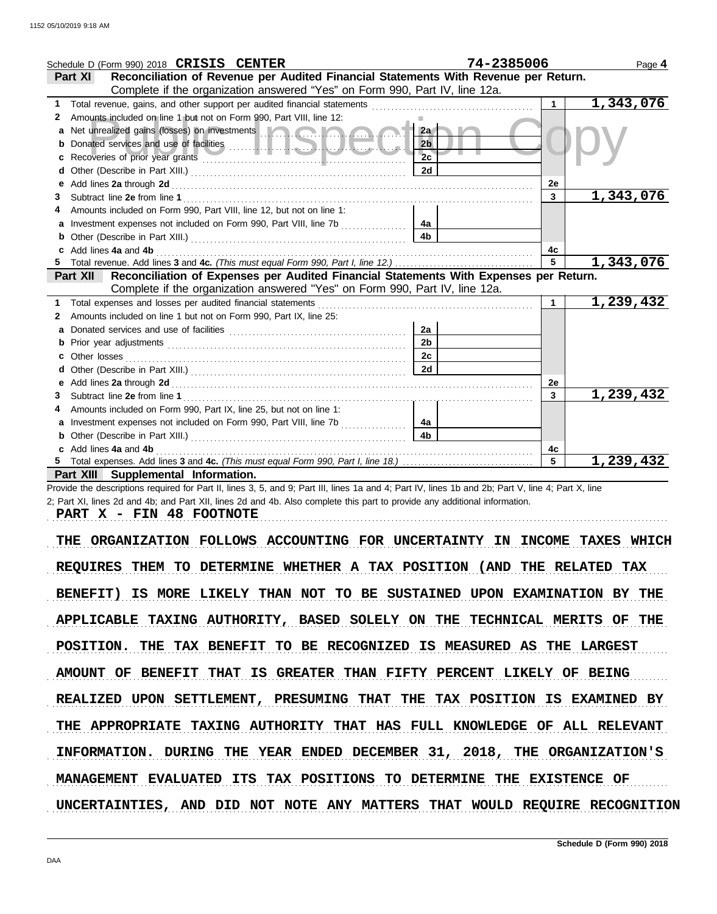|                                                                                                | Schedule D (Form 990) 2018 CRISIS CENTER                                                                                                                                                                                             | 74-2385006     |                 | Page 4                 |
|------------------------------------------------------------------------------------------------|--------------------------------------------------------------------------------------------------------------------------------------------------------------------------------------------------------------------------------------|----------------|-----------------|------------------------|
| Reconciliation of Revenue per Audited Financial Statements With Revenue per Return.<br>Part XI |                                                                                                                                                                                                                                      |                |                 |                        |
|                                                                                                | Complete if the organization answered "Yes" on Form 990, Part IV, line 12a.                                                                                                                                                          |                |                 |                        |
| 1.                                                                                             |                                                                                                                                                                                                                                      |                | $\mathbf 1$     | 1,343,076              |
| 2                                                                                              | Amounts included on line 1 but not on Form 990, Part VIII, line 12:                                                                                                                                                                  |                |                 |                        |
|                                                                                                | Net unrealized gains (losses) on investments <b>the contract of the contract of the contract of the contract of the contract of the contract of the contract of the contract of the contract of the contract of the contract of </b> | 2a             |                 |                        |
|                                                                                                |                                                                                                                                                                                                                                      | 2 <sub>b</sub> |                 |                        |
|                                                                                                |                                                                                                                                                                                                                                      | 2 <sub>c</sub> |                 |                        |
| d                                                                                              |                                                                                                                                                                                                                                      | 2d             |                 |                        |
| е                                                                                              |                                                                                                                                                                                                                                      |                | 2е              |                        |
| 3                                                                                              |                                                                                                                                                                                                                                      |                | $\mathbf{3}$    | <u>1,343,076</u>       |
|                                                                                                | Amounts included on Form 990, Part VIII, line 12, but not on line 1:                                                                                                                                                                 |                |                 |                        |
|                                                                                                | Investment expenses not included on Form 990, Part VIII, line 7b                                                                                                                                                                     | 4a             |                 |                        |
|                                                                                                |                                                                                                                                                                                                                                      | 4 <sub>b</sub> |                 |                        |
|                                                                                                | Add lines 4a and 4b                                                                                                                                                                                                                  |                | 4c              |                        |
|                                                                                                |                                                                                                                                                                                                                                      |                | $5\overline{)}$ | $\overline{1,343,076}$ |
|                                                                                                | Reconciliation of Expenses per Audited Financial Statements With Expenses per Return.<br>Part XII                                                                                                                                    |                |                 |                        |
|                                                                                                | Complete if the organization answered "Yes" on Form 990, Part IV, line 12a.                                                                                                                                                          |                |                 |                        |
| 1                                                                                              | Total expenses and losses per audited financial statements                                                                                                                                                                           |                |                 | 1,239,432              |
| 2                                                                                              | Amounts included on line 1 but not on Form 990, Part IX, line 25:                                                                                                                                                                    |                |                 |                        |
|                                                                                                |                                                                                                                                                                                                                                      | 2a             |                 |                        |
|                                                                                                |                                                                                                                                                                                                                                      | 2 <sub>b</sub> |                 |                        |
|                                                                                                | Other losses                                                                                                                                                                                                                         | 2c             |                 |                        |
|                                                                                                |                                                                                                                                                                                                                                      | 2d             |                 |                        |
| е                                                                                              |                                                                                                                                                                                                                                      |                | 2e              |                        |
| 3                                                                                              |                                                                                                                                                                                                                                      |                | 3               | 1,239,432              |
| 4                                                                                              | Amounts included on Form 990, Part IX, line 25, but not on line 1:                                                                                                                                                                   |                |                 |                        |
|                                                                                                | Investment expenses not included on Form 990, Part VIII, line 7b                                                                                                                                                                     | 4a             |                 |                        |
|                                                                                                |                                                                                                                                                                                                                                      | 4 <sub>b</sub> |                 |                        |
|                                                                                                | c Add lines 4a and 4b                                                                                                                                                                                                                |                | 4c              |                        |
|                                                                                                |                                                                                                                                                                                                                                      |                | 5               | 1,239,432              |
|                                                                                                | Part XIII Supplemental Information.                                                                                                                                                                                                  |                |                 |                        |

Provide the descriptions required for Part II, lines 3, 5, and 9; Part III, lines 1a and 4; Part IV, lines 1b and 2b; Part V, line 4; Part X, line 2; Part XI, lines 2d and 4b; and Part XII, lines 2d and 4b. Also complete this part to provide any additional information.

**PART X - FIN 48 FOOTNOTE**

THE ORGANIZATION FOLLOWS ACCOUNTING FOR UNCERTAINTY IN INCOME TAXES WHICH REQUIRES THEM TO DETERMINE WHETHER A TAX POSITION (AND THE RELATED TAX BENEFIT) IS MORE LIKELY THAN NOT TO BE SUSTAINED UPON EXAMINATION BY THE APPLICABLE TAXING AUTHORITY, BASED SOLELY ON THE TECHNICAL MERITS OF THE POSITION. THE TAX BENEFIT TO BE RECOGNIZED IS MEASURED AS THE LARGEST AMOUNT OF BENEFIT THAT IS GREATER THAN FIFTY PERCENT LIKELY OF BEING INFORMATION. DURING THE YEAR ENDED DECEMBER 31, 2018, THE ORGANIZATION'S REALIZED UPON SETTLEMENT, PRESUMING THAT THE TAX POSITION IS EXAMINED BY THE APPROPRIATE TAXING AUTHORITY THAT HAS FULL KNOWLEDGE OF ALL RELEVANT MANAGEMENT EVALUATED ITS TAX POSITIONS TO DETERMINE THE EXISTENCE OF UNCERTAINTIES, AND DID NOT NOTE ANY MATTERS THAT WOULD REQUIRE RECOGNITION

. . . . . . . . . . . . . . . . . . . . . . . . . . . . . . . . . . . . . . . . . . . . . . . . . . . . . . . . . . . . . . . . . . . . . . . . . . . . . . . . . . . . . . . . . . . . . . . . . . . . . . . . . . . . . . . . . . . . . . . . . . . . . . . . . . . . . . . . . . . . . . . . . . . . . . . . . . . . . . . . .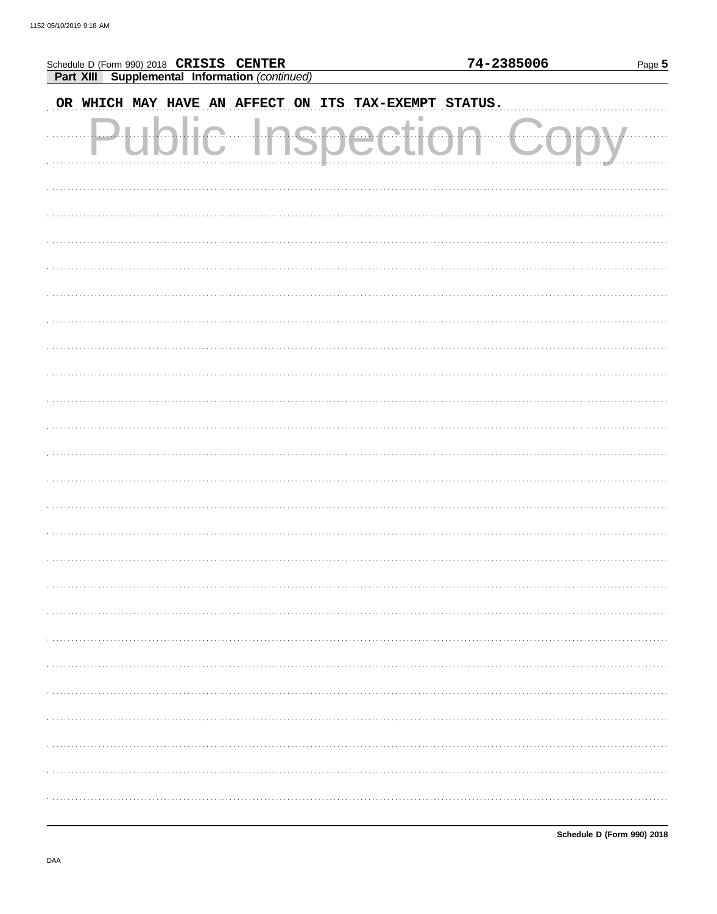| Schedule D (Form 990) 2018 CRISIS CENTER              |       | 74-2385006<br>Page 5 |
|-------------------------------------------------------|-------|----------------------|
| Part XIII Supplemental Information (continued)        |       |                      |
| OR WHICH MAY HAVE AN AFFECT ON ITS TAX-EXEMPT STATUS. |       |                      |
|                                                       | QAAAH |                      |
|                                                       |       |                      |
|                                                       |       |                      |
|                                                       |       |                      |
|                                                       |       |                      |
|                                                       |       |                      |
|                                                       |       |                      |
|                                                       |       |                      |
|                                                       |       |                      |
|                                                       |       |                      |
|                                                       |       |                      |
|                                                       |       |                      |
|                                                       |       |                      |
|                                                       |       |                      |
|                                                       |       |                      |
|                                                       |       |                      |
|                                                       |       |                      |
|                                                       |       |                      |
|                                                       |       |                      |
|                                                       |       |                      |
|                                                       |       |                      |
|                                                       |       |                      |
|                                                       |       |                      |
|                                                       |       |                      |
|                                                       |       | .                    |
|                                                       |       |                      |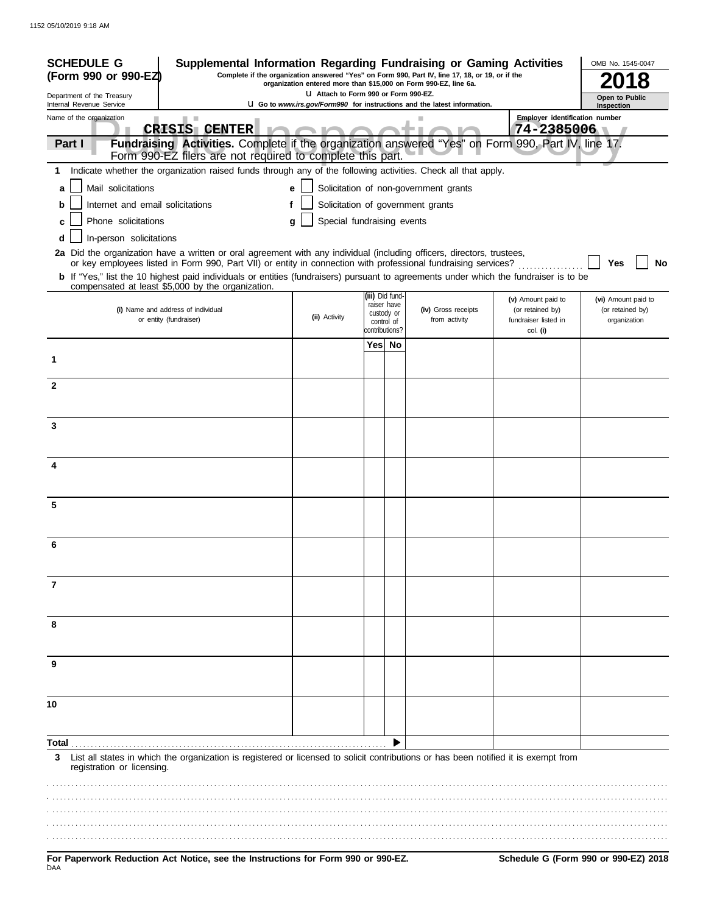| <b>SCHEDULE G</b><br>(Form 990 or 990-EZ)                                                                                                                                                  | Supplemental Information Regarding Fundraising or Gaming Activities                                                                                              |                                 |     |                                | Complete if the organization answered "Yes" on Form 990, Part IV, line 17, 18, or 19, or if the |                                          | OMB No. 1545-0047<br>8               |
|--------------------------------------------------------------------------------------------------------------------------------------------------------------------------------------------|------------------------------------------------------------------------------------------------------------------------------------------------------------------|---------------------------------|-----|--------------------------------|-------------------------------------------------------------------------------------------------|------------------------------------------|--------------------------------------|
| Department of the Treasury                                                                                                                                                                 | organization entered more than \$15,000 on Form 990-EZ, line 6a.<br>LI Attach to Form 990 or Form 990-EZ.                                                        |                                 |     |                                |                                                                                                 | Open to Public                           |                                      |
| Internal Revenue Service<br>Name of the organization                                                                                                                                       |                                                                                                                                                                  |                                 |     |                                | U Go to www.irs.gov/Form990 for instructions and the latest information.                        | Employer identification number           | Inspection                           |
|                                                                                                                                                                                            | <b>CRISIS CENTER</b>                                                                                                                                             |                                 |     |                                |                                                                                                 | 74-2385006                               |                                      |
| Part I                                                                                                                                                                                     | Fundraising Activities. Complete if the organization answered "Yes" on Form 990, Part IV, line 17.<br>Form 990-EZ filers are not required to complete this part. |                                 |     |                                |                                                                                                 |                                          |                                      |
| 1                                                                                                                                                                                          | Indicate whether the organization raised funds through any of the following activities. Check all that apply.                                                    |                                 |     |                                |                                                                                                 |                                          |                                      |
| Mail solicitations<br>a                                                                                                                                                                    |                                                                                                                                                                  | e                               |     |                                | Solicitation of non-government grants                                                           |                                          |                                      |
| Internet and email solicitations<br>b                                                                                                                                                      |                                                                                                                                                                  |                                 |     |                                | Solicitation of government grants                                                               |                                          |                                      |
| Phone solicitations                                                                                                                                                                        |                                                                                                                                                                  | Special fundraising events<br>g |     |                                |                                                                                                 |                                          |                                      |
| In-person solicitations<br>d                                                                                                                                                               |                                                                                                                                                                  |                                 |     |                                |                                                                                                 |                                          |                                      |
| 2a Did the organization have a written or oral agreement with any individual (including officers, directors, trustees,                                                                     | or key employees listed in Form 990, Part VII) or entity in connection with professional fundraising services?                                                   |                                 |     |                                |                                                                                                 |                                          | No<br>Yes                            |
| b If "Yes," list the 10 highest paid individuals or entities (fundraisers) pursuant to agreements under which the fundraiser is to be<br>compensated at least \$5,000 by the organization. |                                                                                                                                                                  |                                 |     |                                |                                                                                                 |                                          |                                      |
|                                                                                                                                                                                            |                                                                                                                                                                  |                                 |     | (iii) Did fund-<br>raiser have |                                                                                                 | (v) Amount paid to                       | (vi) Amount paid to                  |
| (i) Name and address of individual<br>or entity (fundraiser)                                                                                                                               |                                                                                                                                                                  | (ii) Activity                   |     | custody or<br>control of       | (iv) Gross receipts<br>from activity                                                            | (or retained by)<br>fundraiser listed in | (or retained by)<br>organization     |
|                                                                                                                                                                                            |                                                                                                                                                                  |                                 |     | contributions?                 |                                                                                                 | col. (i)                                 |                                      |
| 1                                                                                                                                                                                          |                                                                                                                                                                  |                                 | Yes | No                             |                                                                                                 |                                          |                                      |
| $\mathbf{2}$                                                                                                                                                                               |                                                                                                                                                                  |                                 |     |                                |                                                                                                 |                                          |                                      |
|                                                                                                                                                                                            |                                                                                                                                                                  |                                 |     |                                |                                                                                                 |                                          |                                      |
| 3                                                                                                                                                                                          |                                                                                                                                                                  |                                 |     |                                |                                                                                                 |                                          |                                      |
|                                                                                                                                                                                            |                                                                                                                                                                  |                                 |     |                                |                                                                                                 |                                          |                                      |
| 4                                                                                                                                                                                          |                                                                                                                                                                  |                                 |     |                                |                                                                                                 |                                          |                                      |
|                                                                                                                                                                                            |                                                                                                                                                                  |                                 |     |                                |                                                                                                 |                                          |                                      |
| 5                                                                                                                                                                                          |                                                                                                                                                                  |                                 |     |                                |                                                                                                 |                                          |                                      |
|                                                                                                                                                                                            |                                                                                                                                                                  |                                 |     |                                |                                                                                                 |                                          |                                      |
| 6                                                                                                                                                                                          |                                                                                                                                                                  |                                 |     |                                |                                                                                                 |                                          |                                      |
|                                                                                                                                                                                            |                                                                                                                                                                  |                                 |     |                                |                                                                                                 |                                          |                                      |
| 7                                                                                                                                                                                          |                                                                                                                                                                  |                                 |     |                                |                                                                                                 |                                          |                                      |
| 8                                                                                                                                                                                          |                                                                                                                                                                  |                                 |     |                                |                                                                                                 |                                          |                                      |
|                                                                                                                                                                                            |                                                                                                                                                                  |                                 |     |                                |                                                                                                 |                                          |                                      |
| 9                                                                                                                                                                                          |                                                                                                                                                                  |                                 |     |                                |                                                                                                 |                                          |                                      |
|                                                                                                                                                                                            |                                                                                                                                                                  |                                 |     |                                |                                                                                                 |                                          |                                      |
| 10                                                                                                                                                                                         |                                                                                                                                                                  |                                 |     |                                |                                                                                                 |                                          |                                      |
|                                                                                                                                                                                            |                                                                                                                                                                  |                                 |     |                                |                                                                                                 |                                          |                                      |
| Total                                                                                                                                                                                      |                                                                                                                                                                  |                                 |     |                                |                                                                                                 |                                          |                                      |
| 3<br>registration or licensing.                                                                                                                                                            | List all states in which the organization is registered or licensed to solicit contributions or has been notified it is exempt from                              |                                 |     |                                |                                                                                                 |                                          |                                      |
|                                                                                                                                                                                            |                                                                                                                                                                  |                                 |     |                                |                                                                                                 |                                          |                                      |
| For Paperwork Reduction Act Notice, see the Instructions for Form 990 or 990-EZ.<br>DAA                                                                                                    |                                                                                                                                                                  |                                 |     |                                |                                                                                                 |                                          | Schedule G (Form 990 or 990-EZ) 2018 |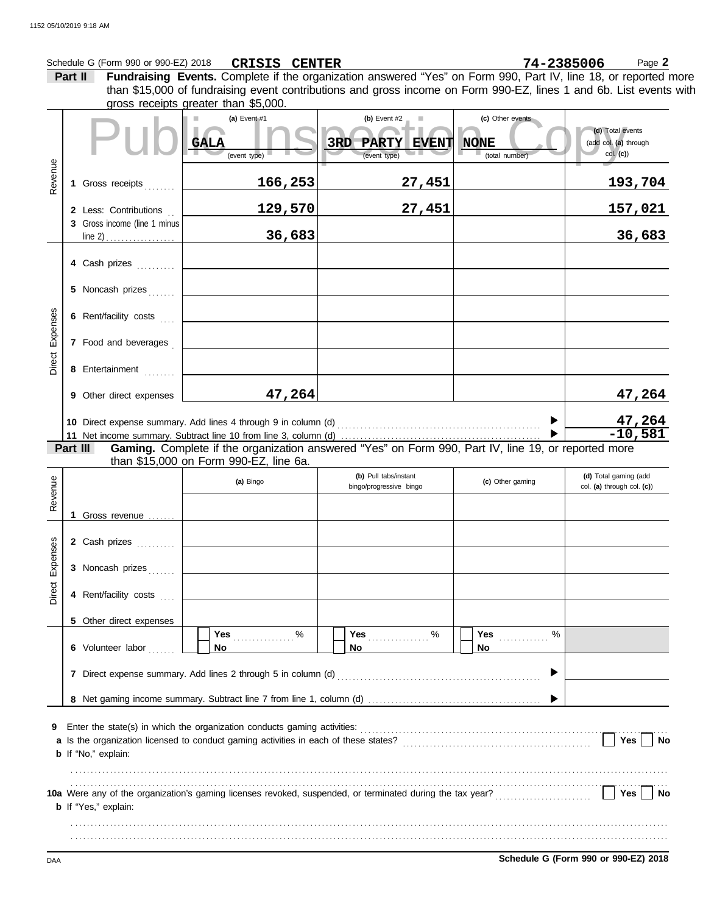|          | Schedule G (Form 990 or 990-EZ) 2018                  | <b>CRISIS CENTER</b>                   |                                                                                                                    | 74-2385006       | Page 2                                              |
|----------|-------------------------------------------------------|----------------------------------------|--------------------------------------------------------------------------------------------------------------------|------------------|-----------------------------------------------------|
|          | Part II                                               |                                        | Fundraising Events. Complete if the organization answered "Yes" on Form 990, Part IV, line 18, or reported more    |                  |                                                     |
|          |                                                       | gross receipts greater than \$5,000.   | than \$15,000 of fundraising event contributions and gross income on Form 990-EZ, lines 1 and 6b. List events with |                  |                                                     |
|          |                                                       | (a) Event #1                           | (b) Event $#2$                                                                                                     | (c) Other events |                                                     |
|          |                                                       |                                        |                                                                                                                    |                  | (d) Total events                                    |
|          |                                                       | <b>GALA</b>                            | 3RD<br>PARTY EVENT                                                                                                 | <b>NONE</b>      | (add col. (a) through                               |
|          |                                                       | (event type)                           | (event type)                                                                                                       | (total number)   | col. (c)                                            |
| Revenue  | Gross receipts<br>1                                   | 166,253                                | 27,451                                                                                                             |                  | <u> 193,704</u>                                     |
|          |                                                       |                                        |                                                                                                                    |                  |                                                     |
|          | 2 Less: Contributions<br>3 Gross income (line 1 minus | 129,570                                | 27,451                                                                                                             |                  | <u>157,021</u>                                      |
|          |                                                       | 36,683                                 |                                                                                                                    |                  | 36,683                                              |
|          | 4 Cash prizes                                         |                                        |                                                                                                                    |                  |                                                     |
|          | 5 Noncash prizes                                      |                                        |                                                                                                                    |                  |                                                     |
|          |                                                       |                                        |                                                                                                                    |                  |                                                     |
| Expenses | 6 Rent/facility costs                                 |                                        |                                                                                                                    |                  |                                                     |
|          | 7 Food and beverages                                  |                                        |                                                                                                                    |                  |                                                     |
| Direct   | 8 Entertainment                                       |                                        |                                                                                                                    |                  |                                                     |
|          | 9 Other direct expenses                               | 47,264                                 |                                                                                                                    |                  | 47,264                                              |
|          |                                                       |                                        |                                                                                                                    |                  |                                                     |
|          |                                                       |                                        |                                                                                                                    |                  | $\frac{47,264}{-10,581}$                            |
|          | Part III                                              |                                        | Gaming. Complete if the organization answered "Yes" on Form 990, Part IV, line 19, or reported more                |                  |                                                     |
|          |                                                       | than \$15,000 on Form 990-EZ, line 6a. |                                                                                                                    |                  |                                                     |
|          |                                                       | (a) Bingo                              | (b) Pull tabs/instant<br>bingo/progressive bingo                                                                   | (c) Other gaming | (d) Total gaming (add<br>col. (a) through col. (c)) |
| Revenue  |                                                       |                                        |                                                                                                                    |                  |                                                     |
|          | Gross revenue                                         |                                        |                                                                                                                    |                  |                                                     |
|          |                                                       |                                        |                                                                                                                    |                  |                                                     |
| ses      |                                                       |                                        |                                                                                                                    |                  |                                                     |
|          | 2 Cash prizes                                         |                                        |                                                                                                                    |                  |                                                     |
|          | 3 Noncash prizes                                      |                                        |                                                                                                                    |                  |                                                     |
|          | 4 Rent/facility costs                                 |                                        |                                                                                                                    |                  |                                                     |
|          |                                                       |                                        |                                                                                                                    |                  |                                                     |
| Direct   | 5 Other direct expenses                               | Yes $\ldots \ldots \ldots$ %           |                                                                                                                    |                  |                                                     |
|          | 6 Volunteer labor                                     | <b>No</b>                              | No.                                                                                                                | <b>No</b>        |                                                     |
|          |                                                       |                                        |                                                                                                                    | ▶                |                                                     |
|          |                                                       |                                        |                                                                                                                    |                  |                                                     |
|          |                                                       |                                        |                                                                                                                    |                  |                                                     |
| 9        |                                                       |                                        |                                                                                                                    |                  |                                                     |
|          | <b>b</b> If "No," explain:                            |                                        |                                                                                                                    |                  | Yes $\vert$ $\vert$<br><b>No</b>                    |
|          |                                                       |                                        |                                                                                                                    |                  |                                                     |
| Exper    |                                                       |                                        | 10a Were any of the organization's gaming licenses revoked, suspended, or terminated during the tax year?<br>L     |                  | Yes  <br>No                                         |

. . . . . . . . . . . . . . . . . . . . . . . . . . . . . . . . . . . . . . . . . . . . . . . . . . . . . . . . . . . . . . . . . . . . . . . . . . . . . . . . . . . . . . . . . . . . . . . . . . . . . . . . . . . . . . . . . . . . . . . . . . . . . . . . . . . . . . . . . . . . . . . . . . . . . . . . . . . . . . . . . . . . . . . . . . . . . . . . . . . . . . . . . . . . . . . . . . . . . . . . . . . . . . . . . . . . . . . . . . . . . . . . . . . . . . . . . . . . . . . . . . . . . . . . . . . . . . . . . . . . . . . . . . . . . . . . . . . . . . . . . . . . . . . . . . . . . . . . . . . . . . . . . . . . . .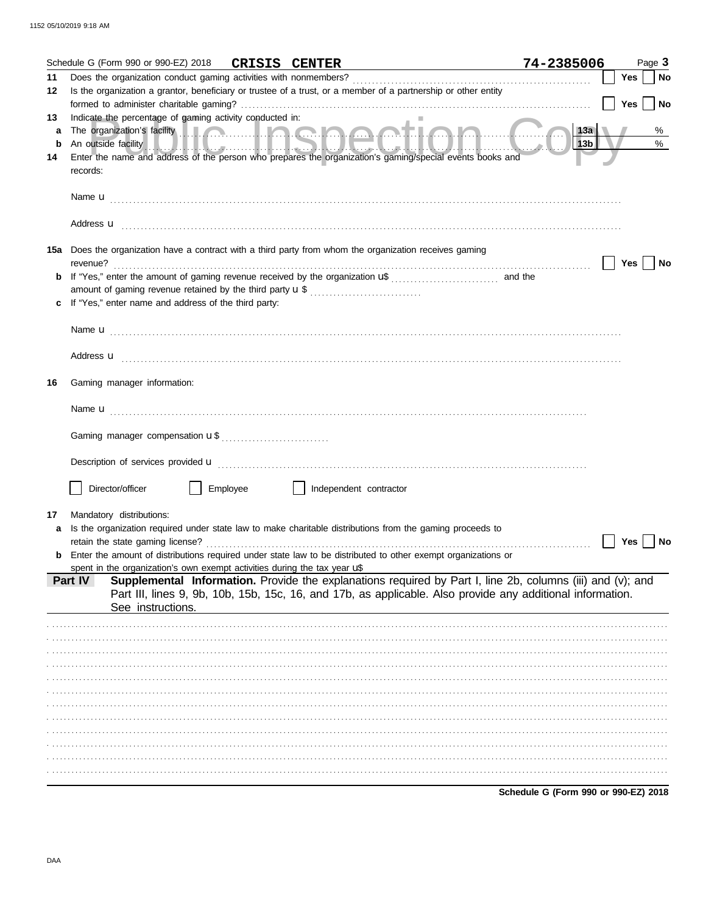|         | Schedule G (Form 990 or 990-EZ) 2018                                     |          | <b>CRISIS CENTER</b>                                                                                           | <u> 1980 - Johann Barbara, martin a</u>                                                                                                                                                                                              | 74-2385006                           |     | Page 3    |
|---------|--------------------------------------------------------------------------|----------|----------------------------------------------------------------------------------------------------------------|--------------------------------------------------------------------------------------------------------------------------------------------------------------------------------------------------------------------------------------|--------------------------------------|-----|-----------|
| 11      |                                                                          |          |                                                                                                                |                                                                                                                                                                                                                                      |                                      | Yes | <b>No</b> |
| 12      |                                                                          |          | Is the organization a grantor, beneficiary or trustee of a trust, or a member of a partnership or other entity |                                                                                                                                                                                                                                      |                                      | Yes | │No       |
| 13      | Indicate the percentage of gaming activity conducted in:                 |          |                                                                                                                |                                                                                                                                                                                                                                      |                                      |     |           |
| a<br>b  |                                                                          |          |                                                                                                                | An outside facility <b>And the Contract of the Contract of the Contract of Contract of Andrew Contract of Contract On the Contract of Contract of Contract of Contract of Contract of Contract of Contract of Contract of Contra</b> | 13a<br> 13b                          |     | %<br>$\%$ |
| 14      | records:                                                                 |          |                                                                                                                | Enter the name and address of the person who prepares the organization's gaming/special events books and                                                                                                                             |                                      |     |           |
|         |                                                                          |          |                                                                                                                |                                                                                                                                                                                                                                      |                                      |     |           |
|         |                                                                          |          |                                                                                                                |                                                                                                                                                                                                                                      |                                      |     |           |
|         | revenue?                                                                 |          | 15a Does the organization have a contract with a third party from whom the organization receives gaming        |                                                                                                                                                                                                                                      |                                      | Yes | No        |
| b       |                                                                          |          |                                                                                                                |                                                                                                                                                                                                                                      |                                      |     |           |
|         |                                                                          |          |                                                                                                                |                                                                                                                                                                                                                                      |                                      |     |           |
|         | If "Yes," enter name and address of the third party:                     |          |                                                                                                                |                                                                                                                                                                                                                                      |                                      |     |           |
|         |                                                                          |          |                                                                                                                |                                                                                                                                                                                                                                      |                                      |     |           |
|         |                                                                          |          |                                                                                                                | Address <b>u</b>                                                                                                                                                                                                                     |                                      |     |           |
| 16      | Gaming manager information:                                              |          |                                                                                                                |                                                                                                                                                                                                                                      |                                      |     |           |
|         |                                                                          |          |                                                                                                                |                                                                                                                                                                                                                                      |                                      |     |           |
|         |                                                                          |          |                                                                                                                |                                                                                                                                                                                                                                      |                                      |     |           |
|         |                                                                          |          |                                                                                                                |                                                                                                                                                                                                                                      |                                      |     |           |
|         | Director/officer                                                         | Employee | Independent contractor                                                                                         |                                                                                                                                                                                                                                      |                                      |     |           |
|         |                                                                          |          |                                                                                                                |                                                                                                                                                                                                                                      |                                      |     |           |
| 17<br>a | Mandatory distributions:                                                 |          | Is the organization required under state law to make charitable distributions from the gaming proceeds to      |                                                                                                                                                                                                                                      |                                      |     |           |
|         | retain the state gaming license?                                         |          |                                                                                                                |                                                                                                                                                                                                                                      |                                      | Yes | No        |
|         |                                                                          |          |                                                                                                                | Enter the amount of distributions required under state law to be distributed to other exempt organizations or                                                                                                                        |                                      |     |           |
|         | spent in the organization's own exempt activities during the tax year us |          |                                                                                                                |                                                                                                                                                                                                                                      |                                      |     |           |
|         | Part IV<br>See instructions.                                             |          |                                                                                                                | Supplemental Information. Provide the explanations required by Part I, line 2b, columns (iii) and (v); and<br>Part III, lines 9, 9b, 10b, 15b, 15c, 16, and 17b, as applicable. Also provide any additional information.             |                                      |     |           |
|         |                                                                          |          |                                                                                                                |                                                                                                                                                                                                                                      |                                      |     |           |
|         |                                                                          |          |                                                                                                                |                                                                                                                                                                                                                                      |                                      |     |           |
|         |                                                                          |          |                                                                                                                |                                                                                                                                                                                                                                      |                                      |     |           |
|         |                                                                          |          |                                                                                                                |                                                                                                                                                                                                                                      |                                      |     |           |
|         |                                                                          |          |                                                                                                                |                                                                                                                                                                                                                                      |                                      |     |           |
|         |                                                                          |          |                                                                                                                |                                                                                                                                                                                                                                      |                                      |     |           |
|         |                                                                          |          |                                                                                                                |                                                                                                                                                                                                                                      |                                      |     |           |
|         |                                                                          |          |                                                                                                                |                                                                                                                                                                                                                                      |                                      |     |           |
|         |                                                                          |          |                                                                                                                |                                                                                                                                                                                                                                      |                                      |     |           |
|         |                                                                          |          |                                                                                                                |                                                                                                                                                                                                                                      |                                      |     |           |
|         |                                                                          |          |                                                                                                                |                                                                                                                                                                                                                                      |                                      |     |           |
|         |                                                                          |          |                                                                                                                |                                                                                                                                                                                                                                      | Schedule G (Form 990 or 990-EZ) 2018 |     |           |